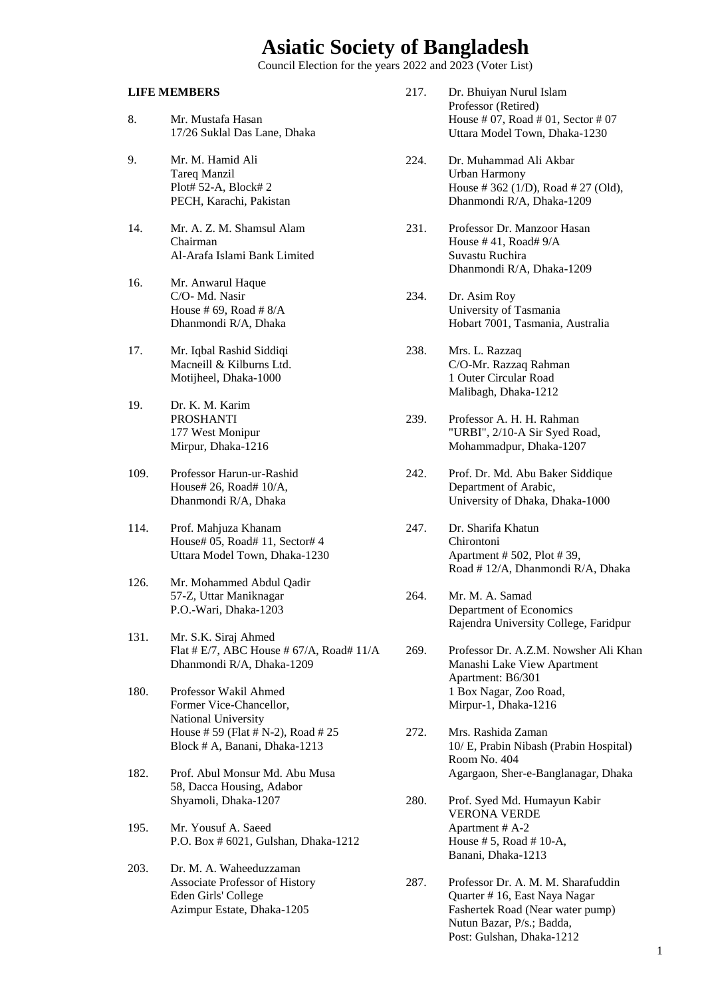Council Election for the years 2022 and 2023 (Voter List)

#### **LIFE MEMBERS**

- 8. Mr. Mustafa Hasan 17/26 Suklal Das Lane, Dhaka
- 9. Mr. M. Hamid Ali Tareq Manzil Plot# 52-A, Block# 2 PECH, Karachi, Pakistan
- 14. Mr. A. Z. M. Shamsul Alam Chairman Al-Arafa Islami Bank Limited
- 16. Mr. Anwarul Haque C/O- Md. Nasir House  $# 69$ , Road  $# 8/A$ Dhanmondi R/A, Dhaka
- 17. Mr. Iqbal Rashid Siddiqi Macneill & Kilburns Ltd. Motijheel, Dhaka-1000
- 19. Dr. K. M. Karim PROSHANTI 177 West Monipur Mirpur, Dhaka-1216
- 109. Professor Harun-ur-Rashid House# 26, Road# 10/A, Dhanmondi R/A, Dhaka
- 114. Prof. Mahjuza Khanam House# 05, Road# 11, Sector# 4 Uttara Model Town, Dhaka-1230
- 126. Mr. Mohammed Abdul Qadir 57-Z, Uttar Maniknagar P.O.-Wari, Dhaka-1203
- 131. Mr. S.K. Siraj Ahmed Flat # E/7, ABC House #  $67/A$ , Road#  $11/A$ Dhanmondi R/A, Dhaka-1209
- 180. Professor Wakil Ahmed Former Vice-Chancellor, National University House # 59 (Flat # N-2), Road # 25 Block # A, Banani, Dhaka-1213
- 182. Prof. Abul Monsur Md. Abu Musa 58, Dacca Housing, Adabor Shyamoli, Dhaka-1207
- 195. Mr. Yousuf A. Saeed P.O. Box # 6021, Gulshan, Dhaka-1212
- 203. Dr. M. A. Waheeduzzaman Associate Professor of History Eden Girls' College Azimpur Estate, Dhaka-1205
- 217. Dr. Bhuiyan Nurul Islam Professor (Retired) House # 07, Road # 01, Sector # 07 Uttara Model Town, Dhaka-1230
- 224. Dr. Muhammad Ali Akbar Urban Harmony House # 362 (1/D), Road # 27 (Old), Dhanmondi R/A, Dhaka-1209
- 231. Professor Dr. Manzoor Hasan House # 41, Road# 9/A Suvastu Ruchira Dhanmondi R/A, Dhaka-1209
- 234. Dr. Asim Roy University of Tasmania Hobart 7001, Tasmania, Australia
- 238. Mrs. L. Razzaq C/O-Mr. Razzaq Rahman 1 Outer Circular Road Malibagh, Dhaka-1212
- 239. Professor A. H. H. Rahman "URBI", 2/10-A Sir Syed Road, Mohammadpur, Dhaka-1207
- 242. Prof. Dr. Md. Abu Baker Siddique Department of Arabic, University of Dhaka, Dhaka-1000
- 247. Dr. Sharifa Khatun Chirontoni Apartment # 502, Plot # 39, Road # 12/A, Dhanmondi R/A, Dhaka
- 264. Mr. M. A. Samad Department of Economics Rajendra University College, Faridpur
- 269. Professor Dr. A.Z.M. Nowsher Ali Khan Manashi Lake View Apartment Apartment: B6/301 1 Box Nagar, Zoo Road, Mirpur-1, Dhaka-1216
- 272. Mrs. Rashida Zaman 10/ E, Prabin Nibash (Prabin Hospital) Room No. 404 Agargaon, Sher-e-Banglanagar, Dhaka
- 280. Prof. Syed Md. Humayun Kabir VERONA VERDE Apartment # A-2 House # 5, Road # 10-A, Banani, Dhaka-1213
- 287. Professor Dr. A. M. M. Sharafuddin Quarter # 16, East Naya Nagar Fashertek Road (Near water pump) Nutun Bazar, P/s.; Badda, Post: Gulshan, Dhaka-1212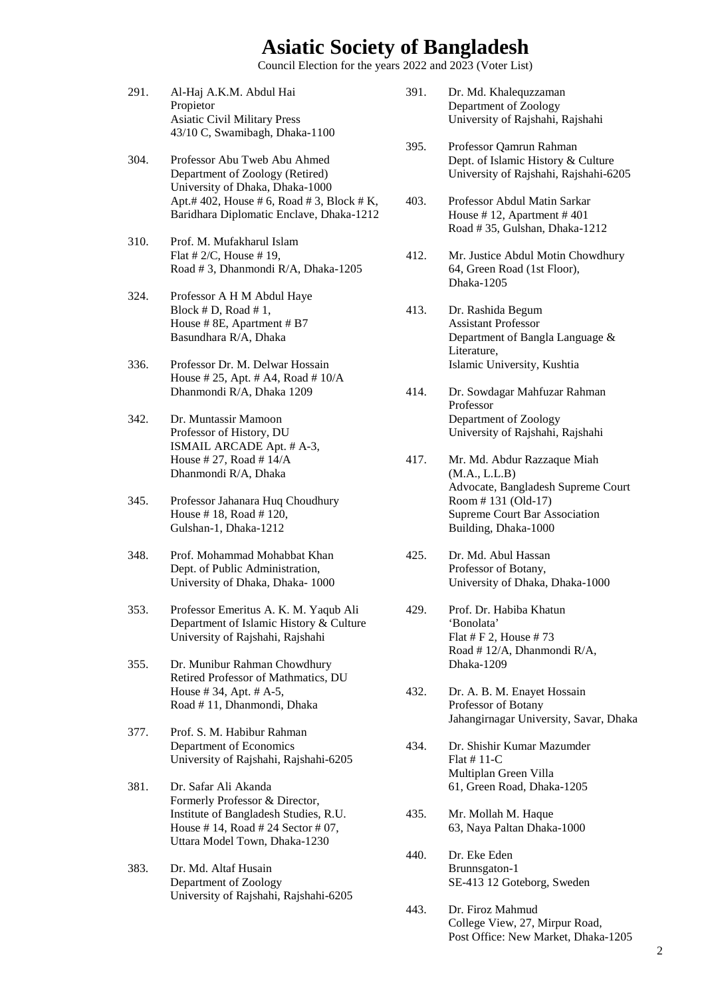- 291. Al-Haj A.K.M. Abdul Hai Propietor Asiatic Civil Military Press 43/10 C, Swamibagh, Dhaka-1100
- 304. Professor Abu Tweb Abu Ahmed Department of Zoology (Retired) University of Dhaka, Dhaka-1000 Apt.# 402, House # 6, Road # 3, Block # K, Baridhara Diplomatic Enclave, Dhaka-1212
- 310. Prof. M. Mufakharul Islam Flat # 2/C, House # 19, Road # 3, Dhanmondi R/A, Dhaka-1205
- 324. Professor A H M Abdul Haye Block  $# D$ , Road  $# 1$ , House # 8E, Apartment # B7 Basundhara R/A, Dhaka
- 336. Professor Dr. M. Delwar Hossain House # 25, Apt. # A4, Road # 10/A Dhanmondi R/A, Dhaka 1209
- 342. Dr. Muntassir Mamoon Professor of History, DU ISMAIL ARCADE Apt. # A-3, House # 27, Road # 14/A Dhanmondi R/A, Dhaka
- 345. Professor Jahanara Huq Choudhury House # 18, Road # 120, Gulshan-1, Dhaka-1212
- 348. Prof. Mohammad Mohabbat Khan Dept. of Public Administration, University of Dhaka, Dhaka- 1000
- 353. Professor Emeritus A. K. M. Yaqub Ali Department of Islamic History & Culture University of Rajshahi, Rajshahi
- 355. Dr. Munibur Rahman Chowdhury Retired Professor of Mathmatics, DU House # 34, Apt. # A-5, Road # 11, Dhanmondi, Dhaka
- 377. Prof. S. M. Habibur Rahman Department of Economics University of Rajshahi, Rajshahi-6205
- 381. Dr. Safar Ali Akanda Formerly Professor & Director, Institute of Bangladesh Studies, R.U. House # 14, Road # 24 Sector # 07, Uttara Model Town, Dhaka-1230
- 383. Dr. Md. Altaf Husain Department of Zoology University of Rajshahi, Rajshahi-6205
- 391. Dr. Md. Khalequzzaman Department of Zoology University of Rajshahi, Rajshahi
- 395. Professor Qamrun Rahman Dept. of Islamic History & Culture University of Rajshahi, Rajshahi-6205
- 403. Professor Abdul Matin Sarkar House # 12, Apartment # 401 Road # 35, Gulshan, Dhaka-1212
- 412. Mr. Justice Abdul Motin Chowdhury 64, Green Road (1st Floor), Dhaka-1205
- 413. Dr. Rashida Begum Assistant Professor Department of Bangla Language & Literature, Islamic University, Kushtia
- 414. Dr. Sowdagar Mahfuzar Rahman Professor Department of Zoology University of Rajshahi, Rajshahi
- 417. Mr. Md. Abdur Razzaque Miah (M.A., L.L.B) Advocate, Bangladesh Supreme Court Room # 131 (Old-17) Supreme Court Bar Association Building, Dhaka-1000
- 425. Dr. Md. Abul Hassan Professor of Botany, University of Dhaka, Dhaka-1000
- 429. Prof. Dr. Habiba Khatun 'Bonolata' Flat # F 2, House # 73 Road # 12/A, Dhanmondi R/A, Dhaka-1209
- 432. Dr. A. B. M. Enayet Hossain Professor of Botany Jahangirnagar University, Savar, Dhaka
- 434. Dr. Shishir Kumar Mazumder Flat # 11-C Multiplan Green Villa 61, Green Road, Dhaka-1205
- 435. Mr. Mollah M. Haque 63, Naya Paltan Dhaka-1000
- 440. Dr. Eke Eden Brunnsgaton-1 SE-413 12 Goteborg, Sweden
- 443. Dr. Firoz Mahmud College View, 27, Mirpur Road, Post Office: New Market, Dhaka-1205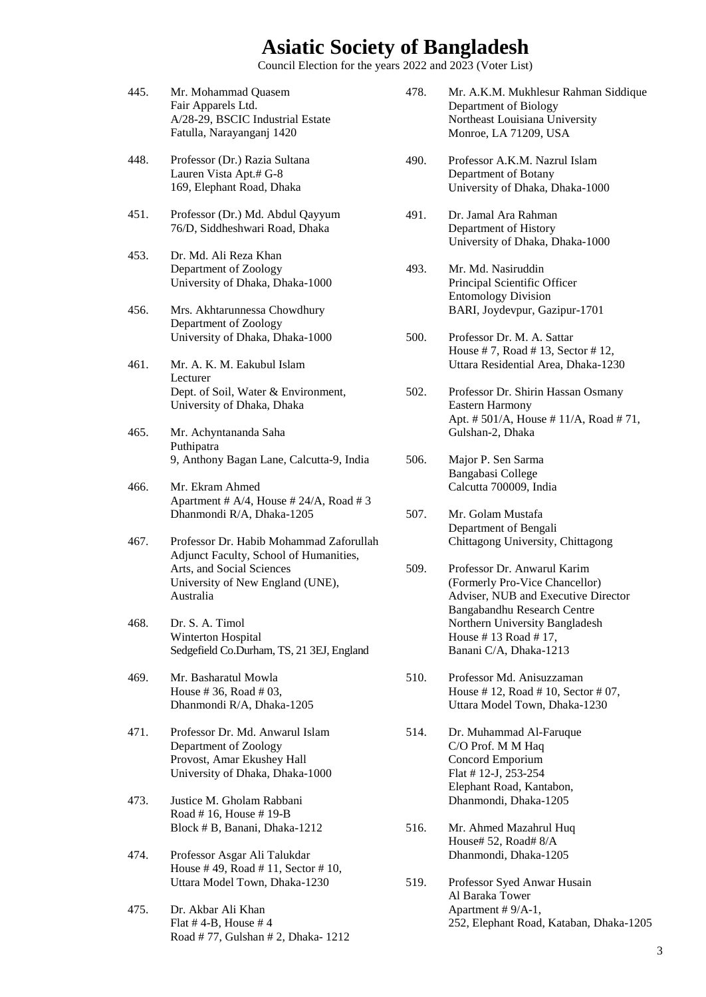- 445. Mr. Mohammad Quasem Fair Apparels Ltd. A/28-29, BSCIC Industrial Estate Fatulla, Narayanganj 1420
- 448. Professor (Dr.) Razia Sultana Lauren Vista Apt.# G-8 169, Elephant Road, Dhaka
- 451. Professor (Dr.) Md. Abdul Qayyum 76/D, Siddheshwari Road, Dhaka
- 453. Dr. Md. Ali Reza Khan Department of Zoology University of Dhaka, Dhaka-1000
- 456. Mrs. Akhtarunnessa Chowdhury Department of Zoology University of Dhaka, Dhaka-1000
- 461. Mr. A. K. M. Eakubul Islam Lecturer Dept. of Soil, Water & Environment, University of Dhaka, Dhaka
- 465. Mr. Achyntananda Saha Puthipatra 9, Anthony Bagan Lane, Calcutta-9, India
- 466. Mr. Ekram Ahmed Apartment #  $A/4$ , House # 24/A, Road # 3 Dhanmondi R/A, Dhaka-1205
- 467. Professor Dr. Habib Mohammad Zaforullah Adjunct Faculty, School of Humanities, Arts, and Social Sciences University of New England (UNE), Australia
- 468. Dr. S. A. Timol Winterton Hospital Sedgefield Co.Durham, TS, 21 3EJ, England
- 469. Mr. Basharatul Mowla House # 36, Road # 03, Dhanmondi R/A, Dhaka-1205
- 471. Professor Dr. Md. Anwarul Islam Department of Zoology Provost, Amar Ekushey Hall University of Dhaka, Dhaka-1000
- 473. Justice M. Gholam Rabbani Road # 16, House # 19-B Block # B, Banani, Dhaka-1212
- 474. Professor Asgar Ali Talukdar House # 49, Road # 11, Sector # 10, Uttara Model Town, Dhaka-1230
- 475. Dr. Akbar Ali Khan Flat  $#$  4-B, House  $#$  4 Road # 77, Gulshan # 2, Dhaka- 1212
- 478. Mr. A.K.M. Mukhlesur Rahman Siddique Department of Biology Northeast Louisiana University Monroe, LA 71209, USA
- 490. Professor A.K.M. Nazrul Islam Department of Botany University of Dhaka, Dhaka-1000
- 491. Dr. Jamal Ara Rahman Department of History University of Dhaka, Dhaka-1000
- 493. Mr. Md. Nasiruddin Principal Scientific Officer Entomology Division BARI, Joydevpur, Gazipur-1701
- 500. Professor Dr. M. A. Sattar House # 7, Road # 13, Sector # 12, Uttara Residential Area, Dhaka-1230
- 502. Professor Dr. Shirin Hassan Osmany Eastern Harmony Apt. # 501/A, House # 11/A, Road # 71, Gulshan-2, Dhaka
- 506. Major P. Sen Sarma Bangabasi College Calcutta 700009, India
- 507. Mr. Golam Mustafa Department of Bengali Chittagong University, Chittagong
- 509. Professor Dr. Anwarul Karim (Formerly Pro-Vice Chancellor) Adviser, NUB and Executive Director Bangabandhu Research Centre Northern University Bangladesh House # 13 Road # 17, Banani C/A, Dhaka-1213
- 510. Professor Md. Anisuzzaman House # 12, Road # 10, Sector # 07, Uttara Model Town, Dhaka-1230
- 514. Dr. Muhammad Al-Faruque C/O Prof. M M Haq Concord Emporium Flat # 12-J, 253-254 Elephant Road, Kantabon, Dhanmondi, Dhaka-1205
- 516. Mr. Ahmed Mazahrul Huq House# 52, Road# 8/A Dhanmondi, Dhaka-1205
- 519. Professor Syed Anwar Husain Al Baraka Tower Apartment # 9/A-1, 252, Elephant Road, Kataban, Dhaka-1205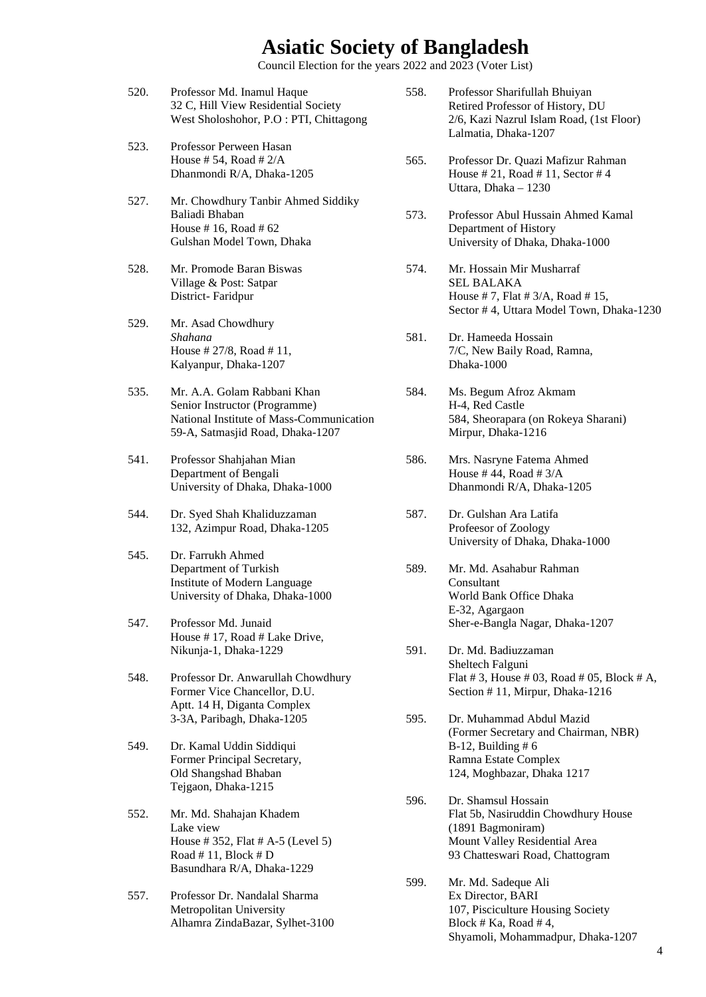- 520. Professor Md. Inamul Haque 32 C, Hill View Residential Society West Sholoshohor, P.O : PTI, Chittagong
- 523. Professor Perween Hasan House  $\# 54$ , Road  $\# 2/A$ Dhanmondi R/A, Dhaka-1205
- 527. Mr. Chowdhury Tanbir Ahmed Siddiky Baliadi Bhaban House # 16, Road # 62 Gulshan Model Town, Dhaka
- 528. Mr. Promode Baran Biswas Village & Post: Satpar District- Faridpur
- 529. Mr. Asad Chowdhury *Shahana* House # 27/8, Road # 11, Kalyanpur, Dhaka-1207
- 535. Mr. A.A. Golam Rabbani Khan Senior Instructor (Programme) National Institute of Mass-Communication 59-A, Satmasjid Road, Dhaka-1207
- 541. Professor Shahjahan Mian Department of Bengali University of Dhaka, Dhaka-1000
- 544. Dr. Syed Shah Khaliduzzaman 132, Azimpur Road, Dhaka-1205
- 545. Dr. Farrukh Ahmed Department of Turkish Institute of Modern Language University of Dhaka, Dhaka-1000
- 547. Professor Md. Junaid House # 17, Road # Lake Drive, Nikunja-1, Dhaka-1229
- 548. Professor Dr. Anwarullah Chowdhury Former Vice Chancellor, D.U. Aptt. 14 H, Diganta Complex 3-3A, Paribagh, Dhaka-1205
- 549. Dr. Kamal Uddin Siddiqui Former Principal Secretary, Old Shangshad Bhaban Tejgaon, Dhaka-1215
- 552. Mr. Md. Shahajan Khadem Lake view House # 352, Flat # A-5 (Level 5) Road # 11, Block # D Basundhara R/A, Dhaka-1229
- 557. Professor Dr. Nandalal Sharma Metropolitan University Alhamra ZindaBazar, Sylhet-3100
- 558. Professor Sharifullah Bhuiyan Retired Professor of History, DU 2/6, Kazi Nazrul Islam Road, (1st Floor) Lalmatia, Dhaka-1207
- 565. Professor Dr. Quazi Mafizur Rahman House # 21, Road # 11, Sector # 4 Uttara, Dhaka – 1230
- 573. Professor Abul Hussain Ahmed Kamal Department of History University of Dhaka, Dhaka-1000
- 574. Mr. Hossain Mir Musharraf SEL BALAKA House # 7, Flat # 3/A, Road # 15, Sector # 4, Uttara Model Town, Dhaka-1230
- 581. Dr. Hameeda Hossain 7/C, New Baily Road, Ramna, Dhaka-1000
- 584. Ms. Begum Afroz Akmam H-4, Red Castle 584, Sheorapara (on Rokeya Sharani) Mirpur, Dhaka-1216
- 586. Mrs. Nasryne Fatema Ahmed House  $\#$  44, Road  $\#$  3/A Dhanmondi R/A, Dhaka-1205
- 587. Dr. Gulshan Ara Latifa Profeesor of Zoology University of Dhaka, Dhaka-1000
- 589. Mr. Md. Asahabur Rahman Consultant World Bank Office Dhaka E-32, Agargaon Sher-e-Bangla Nagar, Dhaka-1207
- 591. Dr. Md. Badiuzzaman Sheltech Falguni Flat # 3, House # 03, Road # 05, Block # A, Section # 11, Mirpur, Dhaka-1216
- 595. Dr. Muhammad Abdul Mazid (Former Secretary and Chairman, NBR)  $B-12$ , Building #6 Ramna Estate Complex 124, Moghbazar, Dhaka 1217
- 596. Dr. Shamsul Hossain Flat 5b, Nasiruddin Chowdhury House (1891 Bagmoniram) Mount Valley Residential Area 93 Chatteswari Road, Chattogram
- 599. Mr. Md. Sadeque Ali Ex Director, BARI 107, Pisciculture Housing Society Block # Ka, Road # 4, Shyamoli, Mohammadpur, Dhaka-1207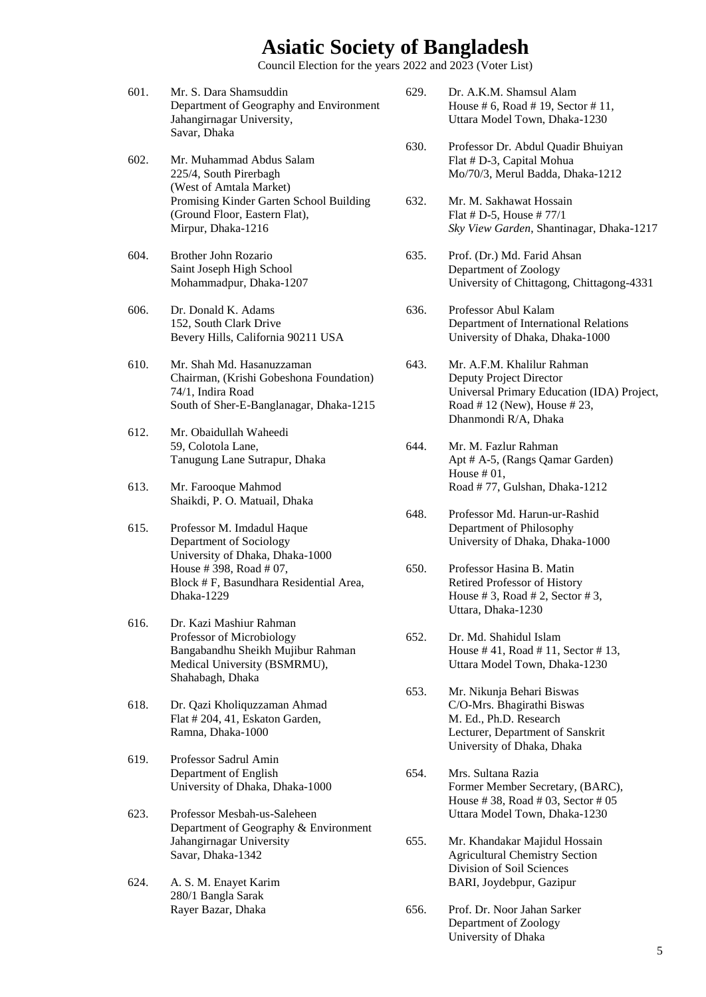- 601. Mr. S. Dara Shamsuddin Department of Geography and Environment Jahangirnagar University, Savar, Dhaka
- 602. Mr. Muhammad Abdus Salam 225/4, South Pirerbagh (West of Amtala Market) Promising Kinder Garten School Building (Ground Floor, Eastern Flat), Mirpur, Dhaka-1216
- 604. Brother John Rozario Saint Joseph High School Mohammadpur, Dhaka-1207
- 606. Dr. Donald K. Adams 152, South Clark Drive Bevery Hills, California 90211 USA
- 610. Mr. Shah Md. Hasanuzzaman Chairman, (Krishi Gobeshona Foundation) 74/1, Indira Road South of Sher-E-Banglanagar, Dhaka-1215
- 612. Mr. Obaidullah Waheedi 59, Colotola Lane, Tanugung Lane Sutrapur, Dhaka
- 613. Mr. Farooque Mahmod Shaikdi, P. O. Matuail, Dhaka
- 615. Professor M. Imdadul Haque Department of Sociology University of Dhaka, Dhaka-1000 House # 398, Road # 07, Block # F, Basundhara Residential Area, Dhaka-1229
- 616. Dr. Kazi Mashiur Rahman Professor of Microbiology Bangabandhu Sheikh Mujibur Rahman Medical University (BSMRMU), Shahabagh, Dhaka
- 618. Dr. Qazi Kholiquzzaman Ahmad Flat # 204, 41, Eskaton Garden, Ramna, Dhaka-1000
- 619. Professor Sadrul Amin Department of English University of Dhaka, Dhaka-1000
- 623. Professor Mesbah-us-Saleheen Department of Geography & Environment Jahangirnagar University Savar, Dhaka-1342
- 624. A. S. M. Enayet Karim 280/1 Bangla Sarak Rayer Bazar, Dhaka
- 629. Dr. A.K.M. Shamsul Alam House # 6, Road # 19, Sector # 11, Uttara Model Town, Dhaka-1230
- 630. Professor Dr. Abdul Quadir Bhuiyan Flat # D-3, Capital Mohua Mo/70/3, Merul Badda, Dhaka-1212
- 632. Mr. M. Sakhawat Hossain Flat # D-5, House # 77/1 *Sky View Garden*, Shantinagar, Dhaka-1217
- 635. Prof. (Dr.) Md. Farid Ahsan Department of Zoology University of Chittagong, Chittagong-4331
- 636. Professor Abul Kalam Department of International Relations University of Dhaka, Dhaka-1000
- 643. Mr. A.F.M. Khalilur Rahman Deputy Project Director Universal Primary Education (IDA) Project, Road # 12 (New), House # 23, Dhanmondi R/A, Dhaka
- 644. Mr. M. Fazlur Rahman Apt # A-5, (Rangs Qamar Garden) House # 01, Road # 77, Gulshan, Dhaka-1212
- 648. Professor Md. Harun-ur-Rashid Department of Philosophy University of Dhaka, Dhaka-1000
- 650. Professor Hasina B. Matin Retired Professor of History House  $# 3$ , Road  $# 2$ , Sector  $# 3$ , Uttara, Dhaka-1230
- 652. Dr. Md. Shahidul Islam House # 41, Road # 11, Sector # 13, Uttara Model Town, Dhaka-1230
- 653. Mr. Nikunja Behari Biswas C/O-Mrs. Bhagirathi Biswas M. Ed., Ph.D. Research Lecturer, Department of Sanskrit University of Dhaka, Dhaka
- 654. Mrs. Sultana Razia Former Member Secretary, (BARC), House # 38, Road # 03, Sector # 05 Uttara Model Town, Dhaka-1230
- 655. Mr. Khandakar Majidul Hossain Agricultural Chemistry Section Division of Soil Sciences BARI, Joydebpur, Gazipur
- 656. Prof. Dr. Noor Jahan Sarker Department of Zoology University of Dhaka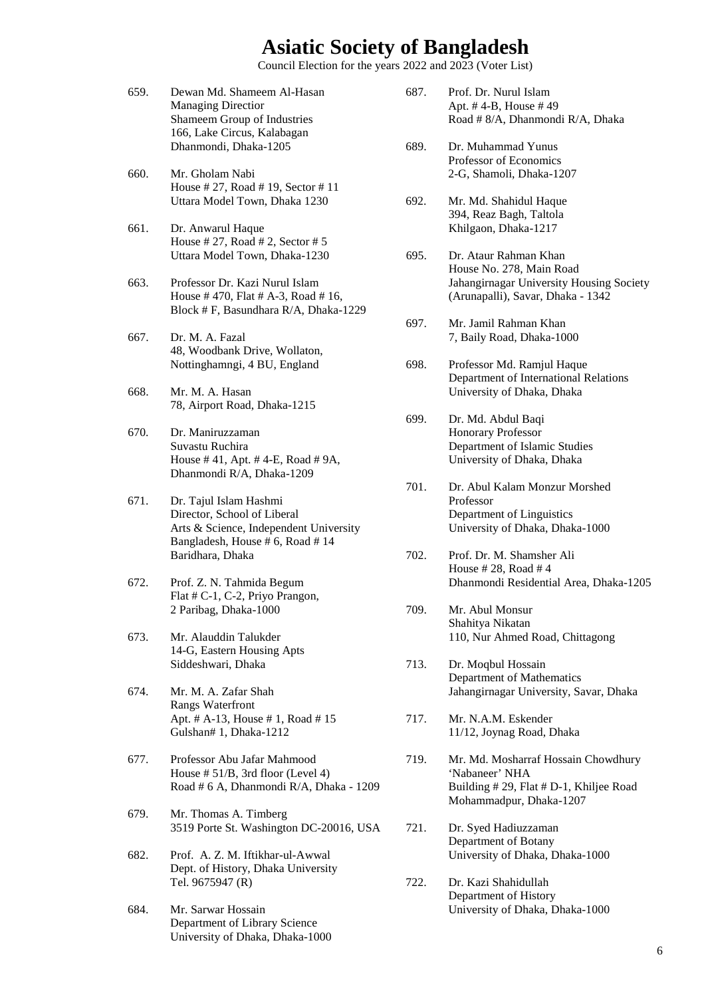- 659. Dewan Md. Shameem Al-Hasan Managing Directior Shameem Group of Industries 166, Lake Circus, Kalabagan Dhanmondi, Dhaka-1205
- 660. Mr. Gholam Nabi House # 27, Road # 19, Sector # 11 Uttara Model Town, Dhaka 1230
- 661. Dr. Anwarul Haque House # 27, Road # 2, Sector # 5 Uttara Model Town, Dhaka-1230
- 663. Professor Dr. Kazi Nurul Islam House # 470, Flat # A-3, Road # 16, Block # F, Basundhara R/A, Dhaka-1229
- 667. Dr. M. A. Fazal 48, Woodbank Drive, Wollaton, Nottinghamngi, 4 BU, England
- 668. Mr. M. A. Hasan 78, Airport Road, Dhaka-1215
- 670. Dr. Maniruzzaman Suvastu Ruchira House # 41, Apt. # 4-E, Road # 9A, Dhanmondi R/A, Dhaka-1209
- 671. Dr. Tajul Islam Hashmi Director, School of Liberal Arts & Science, Independent University Bangladesh, House # 6, Road # 14 Baridhara, Dhaka
- 672. Prof. Z. N. Tahmida Begum Flat # C-1, C-2, Priyo Prangon, 2 Paribag, Dhaka-1000
- 673. Mr. Alauddin Talukder 14-G, Eastern Housing Apts Siddeshwari, Dhaka
- 674. Mr. M. A. Zafar Shah Rangs Waterfront Apt. # A-13, House # 1, Road # 15 Gulshan# 1, Dhaka-1212
- 677. Professor Abu Jafar Mahmood House # 51/B, 3rd floor (Level 4) Road # 6 A, Dhanmondi R/A, Dhaka - 1209
- 679. Mr. Thomas A. Timberg 3519 Porte St. Washington DC-20016, USA
- 682. Prof. A. Z. M. Iftikhar-ul-Awwal Dept. of History, Dhaka University Tel. 9675947 (R)
- 684. Mr. Sarwar Hossain Department of Library Science University of Dhaka, Dhaka-1000
- 687. Prof. Dr. Nurul Islam Apt. # 4-B, House # 49 Road # 8/A, Dhanmondi R/A, Dhaka
- 689. Dr. Muhammad Yunus Professor of Economics 2-G, Shamoli, Dhaka-1207
- 692. Mr. Md. Shahidul Haque 394, Reaz Bagh, Taltola Khilgaon, Dhaka-1217
- 695. Dr. Ataur Rahman Khan House No. 278, Main Road Jahangirnagar University Housing Society (Arunapalli), Savar, Dhaka - 1342
- 697. Mr. Jamil Rahman Khan 7, Baily Road, Dhaka-1000
- 698. Professor Md. Ramjul Haque Department of International Relations University of Dhaka, Dhaka
- 699. Dr. Md. Abdul Baqi Honorary Professor Department of Islamic Studies University of Dhaka, Dhaka
- 701. Dr. Abul Kalam Monzur Morshed Professor Department of Linguistics University of Dhaka, Dhaka-1000
- 702. Prof. Dr. M. Shamsher Ali House # 28, Road # 4 Dhanmondi Residential Area, Dhaka-1205
- 709. Mr. Abul Monsur Shahitya Nikatan 110, Nur Ahmed Road, Chittagong
- 713. Dr. Moqbul Hossain Department of Mathematics Jahangirnagar University, Savar, Dhaka
- 717. Mr. N.A.M. Eskender 11/12, Joynag Road, Dhaka
- 719. Mr. Md. Mosharraf Hossain Chowdhury 'Nabaneer' NHA Building # 29, Flat # D-1, Khiljee Road Mohammadpur, Dhaka-1207
- 721. Dr. Syed Hadiuzzaman Department of Botany University of Dhaka, Dhaka-1000
- 722. Dr. Kazi Shahidullah Department of History University of Dhaka, Dhaka-1000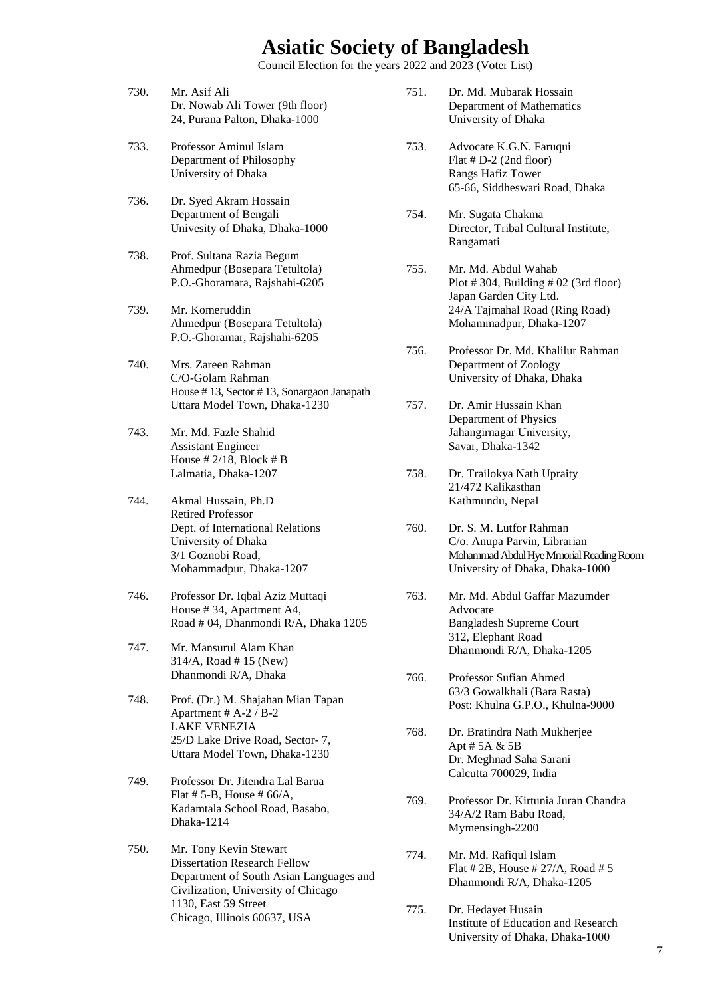- 730. Mr. Asif Ali Dr. Nowab Ali Tower (9th floor) 24, Purana Palton, Dhaka-1000
- 733. Professor Aminul Islam Department of Philosophy University of Dhaka
- 736. Dr. Syed Akram Hossain Department of Bengali Univesity of Dhaka, Dhaka-1000
- 738. Prof. Sultana Razia Begum Ahmedpur (Bosepara Tetultola) P.O.-Ghoramara, Rajshahi-6205
- 739. Mr. Komeruddin Ahmedpur (Bosepara Tetultola) P.O.-Ghoramar, Rajshahi-6205
- 740. Mrs. Zareen Rahman C/O-Golam Rahman House # 13, Sector # 13, Sonargaon Janapath Uttara Model Town, Dhaka-1230
- 743. Mr. Md. Fazle Shahid Assistant Engineer House  $\# 2/18$ , Block  $\# B$ Lalmatia, Dhaka-1207
- 744. Akmal Hussain, Ph.D Retired Professor Dept. of International Relations University of Dhaka 3/1 Goznobi Road, Mohammadpur, Dhaka-1207
- 746. Professor Dr. Iqbal Aziz Muttaqi House # 34, Apartment A4, Road # 04, Dhanmondi R/A, Dhaka 1205
- 747. Mr. Mansurul Alam Khan 314/A, Road # 15 (New) Dhanmondi R/A, Dhaka
- 748. Prof. (Dr.) M. Shajahan Mian Tapan Apartment # A-2 / B-2 LAKE VENEZIA 25/D Lake Drive Road, Sector- 7, Uttara Model Town, Dhaka-1230
- 749. Professor Dr. Jitendra Lal Barua Flat  $# 5-B$ , House  $# 66/A$ , Kadamtala School Road, Basabo, Dhaka-1214
- 750. Mr. Tony Kevin Stewart Dissertation Research Fellow Department of South Asian Languages and Civilization, University of Chicago 1130, East 59 Street Chicago, Illinois 60637, USA
- 751. Dr. Md. Mubarak Hossain Department of Mathematics University of Dhaka
- 753. Advocate K.G.N. Faruqui Flat # D-2 (2nd floor) Rangs Hafiz Tower 65-66, Siddheswari Road, Dhaka
- 754. Mr. Sugata Chakma Director, Tribal Cultural Institute, Rangamati
- 755. Mr. Md. Abdul Wahab Plot  $\# 304$ , Building  $\# 02$  (3rd floor) Japan Garden City Ltd. 24/A Tajmahal Road (Ring Road) Mohammadpur, Dhaka-1207
- 756. Professor Dr. Md. Khalilur Rahman Department of Zoology University of Dhaka, Dhaka
- 757. Dr. Amir Hussain Khan Department of Physics Jahangirnagar University, Savar, Dhaka-1342
- 758. Dr. Trailokya Nath Upraity 21/472 Kalikasthan Kathmundu, Nepal
- 760. Dr. S. M. Lutfor Rahman C/o. Anupa Parvin, Librarian Mohammad Abdul Hye Mmorial Reading Room University of Dhaka, Dhaka-1000
- 763. Mr. Md. Abdul Gaffar Mazumder Advocate Bangladesh Supreme Court 312, Elephant Road Dhanmondi R/A, Dhaka-1205
- 766. Professor Sufian Ahmed 63/3 Gowalkhali (Bara Rasta) Post: Khulna G.P.O., Khulna-9000
- 768. Dr. Bratindra Nath Mukherjee Apt # 5A & 5B Dr. Meghnad Saha Sarani Calcutta 700029, India
- 769. Professor Dr. Kirtunia Juran Chandra 34/A/2 Ram Babu Road, Mymensingh-2200
- 774. Mr. Md. Rafiqul Islam Flat # 2B, House # 27/A, Road # 5 Dhanmondi R/A, Dhaka-1205
- 775. Dr. Hedayet Husain Institute of Education and Research University of Dhaka, Dhaka-1000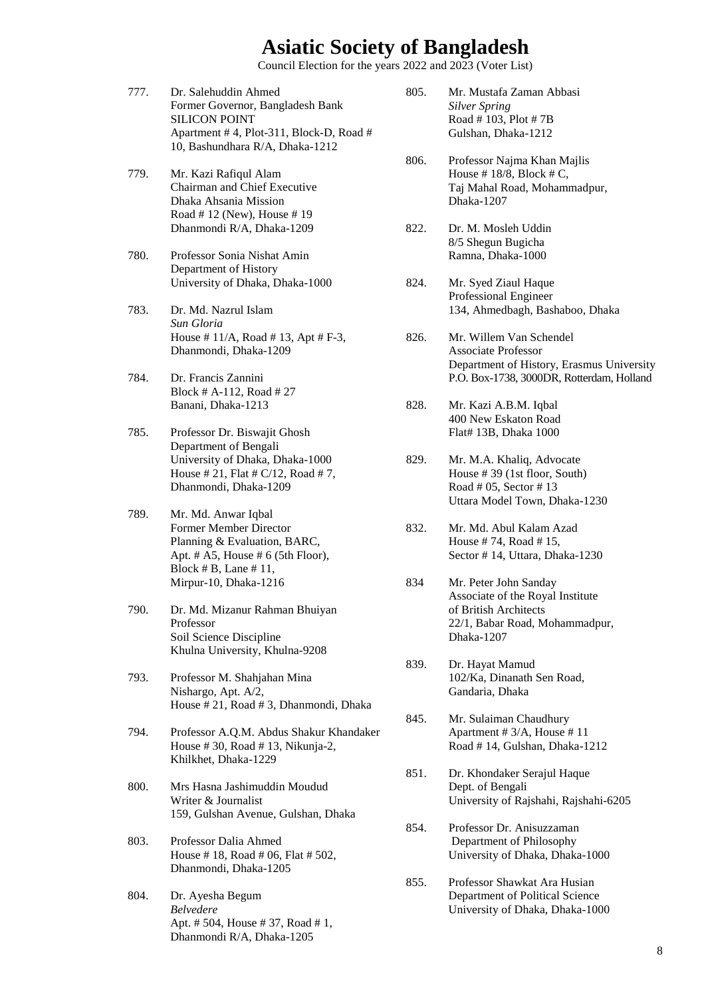- 777. Dr. Salehuddin Ahmed Former Governor, Bangladesh Bank SILICON POINT Apartment # 4, Plot-311, Block-D, Road # 10, Bashundhara R/A, Dhaka-1212
- 779. Mr. Kazi Rafiqul Alam Chairman and Chief Executive Dhaka Ahsania Mission Road # 12 (New), House # 19 Dhanmondi R/A, Dhaka-1209
- 780. Professor Sonia Nishat Amin Department of History University of Dhaka, Dhaka-1000
- 783. Dr. Md. Nazrul Islam *Sun Gloria* House # 11/A, Road # 13, Apt # F-3, Dhanmondi, Dhaka-1209
- 784. Dr. Francis Zannini Block # A-112, Road # 27 Banani, Dhaka-1213
- 785. Professor Dr. Biswajit Ghosh Department of Bengali University of Dhaka, Dhaka-1000 House # 21, Flat # C/12, Road # 7, Dhanmondi, Dhaka-1209
- 789. Mr. Md. Anwar Iqbal Former Member Director Planning & Evaluation, BARC, Apt. # A5, House # 6 (5th Floor), Block  $# B$ , Lane  $# 11$ , Mirpur-10, Dhaka-1216
- 790. Dr. Md. Mizanur Rahman Bhuiyan Professor Soil Science Discipline Khulna University, Khulna-9208
- 793. Professor M. Shahjahan Mina Nishargo, Apt. A/2, House # 21, Road # 3, Dhanmondi, Dhaka
- 794. Professor A.Q.M. Abdus Shakur Khandaker House # 30, Road # 13, Nikunja-2, Khilkhet, Dhaka-1229
- 800. Mrs Hasna Jashimuddin Moudud Writer & Journalist 159, Gulshan Avenue, Gulshan, Dhaka
- 803. Professor Dalia Ahmed House # 18, Road # 06, Flat # 502, Dhanmondi, Dhaka-1205
- 804. Dr. Ayesha Begum *Belvedere* Apt. # 504, House # 37, Road # 1, Dhanmondi R/A, Dhaka-1205
- 805. Mr. Mustafa Zaman Abbasi *Silver Spring* Road # 103, Plot # 7B Gulshan, Dhaka-1212
- 806. Professor Najma Khan Majlis House  $\#$  18/8, Block  $\#$  C, Taj Mahal Road, Mohammadpur, Dhaka-1207
- 822. Dr. M. Mosleh Uddin 8/5 Shegun Bugicha Ramna, Dhaka-1000
- 824. Mr. Syed Ziaul Haque Professional Engineer 134, Ahmedbagh, Bashaboo, Dhaka
- 826. Mr. Willem Van Schendel Associate Professor Department of History, Erasmus University P.O. Box-1738, 3000DR, Rotterdam, Holland
- 828. Mr. Kazi A.B.M. Iqbal 400 New Eskaton Road Flat# 13B, Dhaka 1000
- 829. Mr. M.A. Khaliq, Advocate House # 39 (1st floor, South) Road # 05, Sector # 13 Uttara Model Town, Dhaka-1230
- 832. Mr. Md. Abul Kalam Azad House # 74, Road # 15, Sector # 14, Uttara, Dhaka-1230
- 834 Mr. Peter John Sanday Associate of the Royal Institute of British Architects 22/1, Babar Road, Mohammadpur, Dhaka-1207
- 839. Dr. Hayat Mamud 102/Ka, Dinanath Sen Road, Gandaria, Dhaka
- 845. Mr. Sulaiman Chaudhury Apartment # 3/A, House # 11 Road # 14, Gulshan, Dhaka-1212
- 851. Dr. Khondaker Serajul Haque Dept. of Bengali University of Rajshahi, Rajshahi-6205
- 854. Professor Dr. Anisuzzaman Department of Philosophy University of Dhaka, Dhaka-1000
- 855. Professor Shawkat Ara Husian Department of Political Science University of Dhaka, Dhaka-1000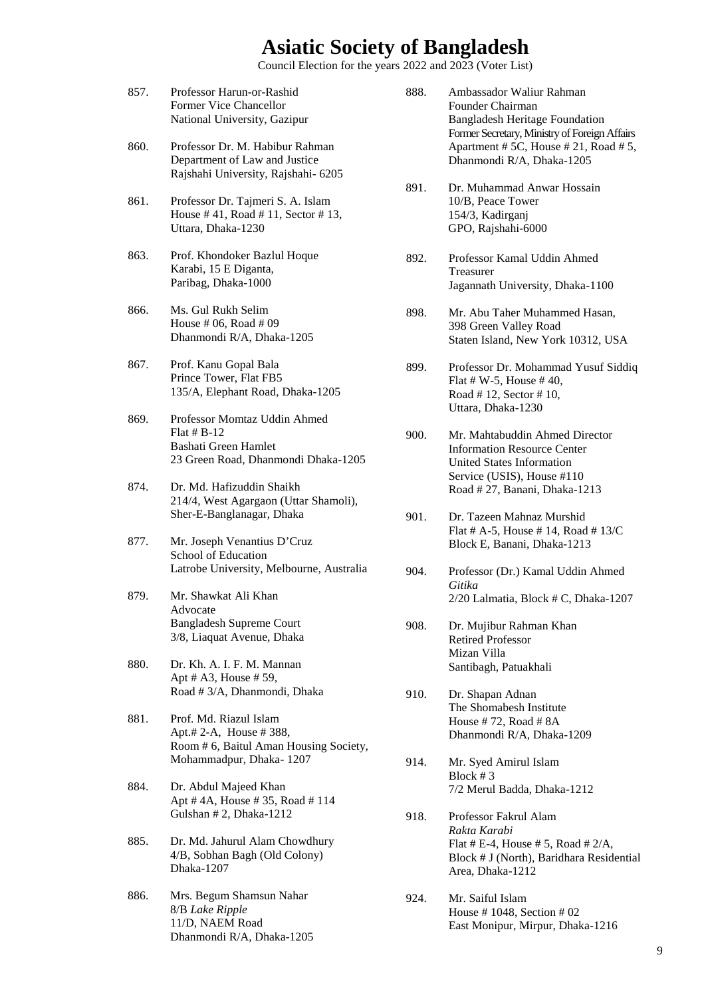- 857. Professor Harun-or-Rashid Former Vice Chancellor National University, Gazipur
- 860. Professor Dr. M. Habibur Rahman Department of Law and Justice Rajshahi University, Rajshahi- 6205
- 861. Professor Dr. Tajmeri S. A. Islam House # 41, Road # 11, Sector # 13, Uttara, Dhaka-1230
- 863. Prof. Khondoker Bazlul Hoque Karabi, 15 E Diganta, Paribag, Dhaka-1000
- 866. Ms. Gul Rukh Selim House # 06, Road # 09 Dhanmondi R/A, Dhaka-1205
- 867. Prof. Kanu Gopal Bala Prince Tower, Flat FB5 135/A, Elephant Road, Dhaka-1205
- 869. Professor Momtaz Uddin Ahmed Flat # B-12 Bashati Green Hamlet 23 Green Road, Dhanmondi Dhaka-1205
- 874. Dr. Md. Hafizuddin Shaikh 214/4, West Agargaon (Uttar Shamoli), Sher-E-Banglanagar, Dhaka
- 877. Mr. Joseph Venantius D'Cruz School of Education Latrobe University, Melbourne, Australia
- 879. Mr. Shawkat Ali Khan Advocate Bangladesh Supreme Court 3/8, Liaquat Avenue, Dhaka
- 880. Dr. Kh. A. I. F. M. Mannan Apt # A3, House # 59, Road # 3/A, Dhanmondi, Dhaka
- 881. Prof. Md. Riazul Islam Apt.# 2-A, House # 388, Room # 6, Baitul Aman Housing Society, Mohammadpur, Dhaka- 1207
- 884. Dr. Abdul Majeed Khan Apt # 4A, House # 35, Road # 114 Gulshan # 2, Dhaka-1212
- 885. Dr. Md. Jahurul Alam Chowdhury 4/B, Sobhan Bagh (Old Colony) Dhaka-1207
- 886. Mrs. Begum Shamsun Nahar 8/B *Lake Ripple* 11/D, NAEM Road Dhanmondi R/A, Dhaka-1205
- 888. Ambassador Waliur Rahman Founder Chairman Bangladesh Heritage Foundation Former Secretary, Ministry of Foreign Affairs Apartment # 5C, House # 21, Road # 5, Dhanmondi R/A, Dhaka-1205
- 891. Dr. Muhammad Anwar Hossain 10/B, Peace Tower 154/3, Kadirganj GPO, Rajshahi-6000
- 892. Professor Kamal Uddin Ahmed Treasurer Jagannath University, Dhaka-1100
- 898. Mr. Abu Taher Muhammed Hasan, 398 Green Valley Road Staten Island, New York 10312, USA
- 899. Professor Dr. Mohammad Yusuf Siddiq Flat  $# W-5$ , House  $# 40$ , Road # 12, Sector # 10, Uttara, Dhaka-1230
- 900. Mr. Mahtabuddin Ahmed Director Information Resource Center United States Information Service (USIS), House #110 Road # 27, Banani, Dhaka-1213
- 901. Dr. Tazeen Mahnaz Murshid Flat # A-5, House # 14, Road # 13/C Block E, Banani, Dhaka-1213
- 904. Professor (Dr.) Kamal Uddin Ahmed *Gitika* 2/20 Lalmatia, Block # C, Dhaka-1207
- 908. Dr. Mujibur Rahman Khan Retired Professor Mizan Villa Santibagh, Patuakhali
- 910. Dr. Shapan Adnan The Shomabesh Institute House # 72, Road # 8A Dhanmondi R/A, Dhaka-1209
- 914. Mr. Syed Amirul Islam Block # 3 7/2 Merul Badda, Dhaka-1212
- 918. Professor Fakrul Alam *Rakta Karabi* Flat # E-4, House # 5, Road #  $2/A$ , Block # J (North), Baridhara Residential Area, Dhaka-1212
- 924. Mr. Saiful Islam House # 1048, Section # 02 East Monipur, Mirpur, Dhaka-1216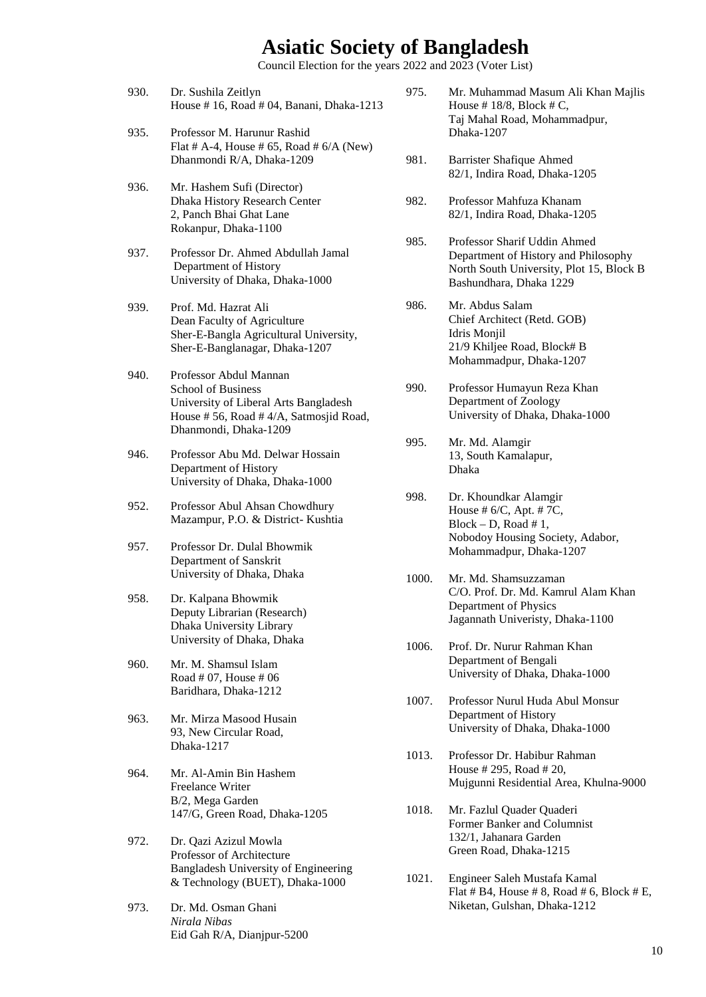- 930. Dr. Sushila Zeitlyn House # 16, Road # 04, Banani, Dhaka-1213
- 935. Professor M. Harunur Rashid Flat # A-4, House # 65, Road # 6/A (New) Dhanmondi R/A, Dhaka-1209
- 936. Mr. Hashem Sufi (Director) Dhaka History Research Center 2, Panch Bhai Ghat Lane Rokanpur, Dhaka-1100
- 937. Professor Dr. Ahmed Abdullah Jamal Department of History University of Dhaka, Dhaka-1000
- 939. Prof. Md. Hazrat Ali Dean Faculty of Agriculture Sher-E-Bangla Agricultural University, Sher-E-Banglanagar, Dhaka-1207
- 940. Professor Abdul Mannan School of Business University of Liberal Arts Bangladesh House # 56, Road # 4/A, Satmosjid Road, Dhanmondi, Dhaka-1209
- 946. Professor Abu Md. Delwar Hossain Department of History University of Dhaka, Dhaka-1000
- 952. Professor Abul Ahsan Chowdhury Mazampur, P.O. & District- Kushtia
- 957. Professor Dr. Dulal Bhowmik Department of Sanskrit University of Dhaka, Dhaka
- 958. Dr. Kalpana Bhowmik Deputy Librarian (Research) Dhaka University Library University of Dhaka, Dhaka
- 960. Mr. M. Shamsul Islam Road # 07, House # 06 Baridhara, Dhaka-1212
- 963. Mr. Mirza Masood Husain 93, New Circular Road, Dhaka-1217
- 964. Mr. Al-Amin Bin Hashem Freelance Writer B/2, Mega Garden 147/G, Green Road, Dhaka-1205
- 972. Dr. Qazi Azizul Mowla Professor of Architecture Bangladesh University of Engineering & Technology (BUET), Dhaka-1000
- 973. Dr. Md. Osman Ghani *Nirala Nibas* Eid Gah R/A, Dianjpur-5200
- 975. Mr. Muhammad Masum Ali Khan Majlis House  $\#$  18/8, Block  $\#$  C, Taj Mahal Road, Mohammadpur, Dhaka-1207
- 981. Barrister Shafique Ahmed 82/1, Indira Road, Dhaka-1205
- 982. Professor Mahfuza Khanam 82/1, Indira Road, Dhaka-1205
- 985. Professor Sharif Uddin Ahmed Department of History and Philosophy North South University, Plot 15, Block B Bashundhara, Dhaka 1229
- 986. Mr. Abdus Salam Chief Architect (Retd. GOB) Idris Monjil 21/9 Khiljee Road, Block# B Mohammadpur, Dhaka-1207
- 990. Professor Humayun Reza Khan Department of Zoology University of Dhaka, Dhaka-1000
- 995. Mr. Md. Alamgir 13, South Kamalapur, Dhaka
- 998. Dr. Khoundkar Alamgir House # 6/C, Apt. # 7C,  $Block - D$ , Road # 1, Nobodoy Housing Society, Adabor, Mohammadpur, Dhaka-1207
- 1000. Mr. Md. Shamsuzzaman C/O. Prof. Dr. Md. Kamrul Alam Khan Department of Physics Jagannath Univeristy, Dhaka-1100
- 1006. Prof. Dr. Nurur Rahman Khan Department of Bengali University of Dhaka, Dhaka-1000
- 1007. Professor Nurul Huda Abul Monsur Department of History University of Dhaka, Dhaka-1000
- 1013. Professor Dr. Habibur Rahman House # 295, Road # 20, Mujgunni Residential Area, Khulna-9000
- 1018. Mr. Fazlul Quader Quaderi Former Banker and Columnist 132/1, Jahanara Garden Green Road, Dhaka-1215
- 1021. Engineer Saleh Mustafa Kamal Flat # B4, House # 8, Road # 6, Block # E, Niketan, Gulshan, Dhaka-1212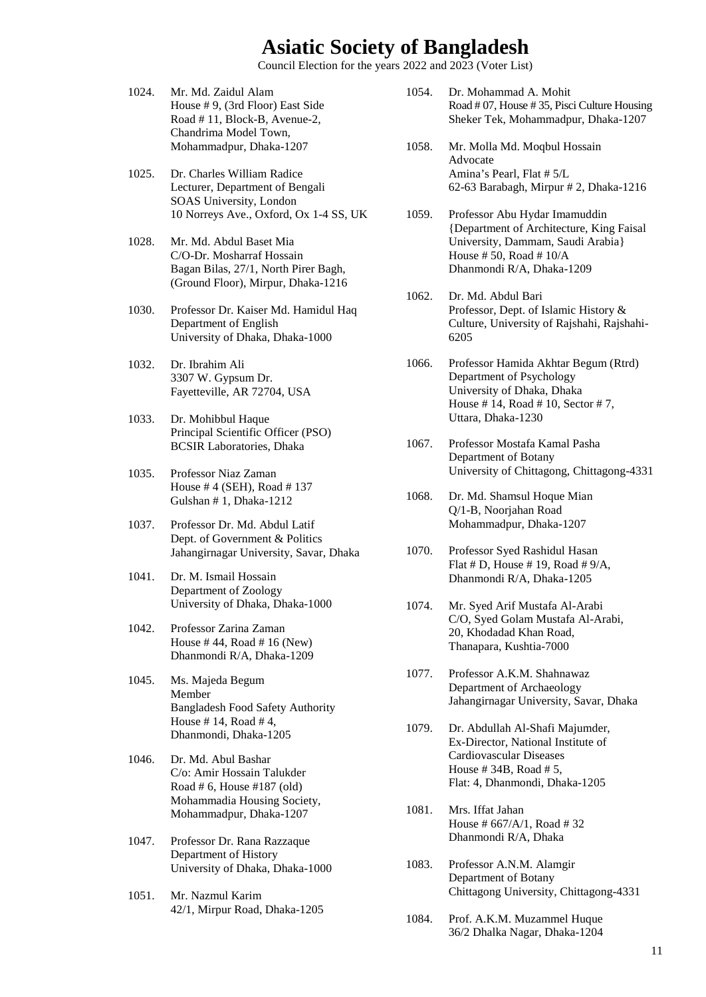- 1024. Mr. Md. Zaidul Alam House # 9, (3rd Floor) East Side Road # 11, Block-B, Avenue-2, Chandrima Model Town, Mohammadpur, Dhaka-1207
- 1025. Dr. Charles William Radice Lecturer, Department of Bengali SOAS University, London 10 Norreys Ave., Oxford, Ox 1-4 SS, UK
- 1028. Mr. Md. Abdul Baset Mia C/O-Dr. Mosharraf Hossain Bagan Bilas, 27/1, North Pirer Bagh, (Ground Floor), Mirpur, Dhaka-1216
- 1030. Professor Dr. Kaiser Md. Hamidul Haq Department of English University of Dhaka, Dhaka-1000
- 1032. Dr. Ibrahim Ali 3307 W. Gypsum Dr. Fayetteville, AR 72704, USA
- 1033. Dr. Mohibbul Haque Principal Scientific Officer (PSO) BCSIR Laboratories, Dhaka
- 1035. Professor Niaz Zaman House # 4 (SEH), Road # 137 Gulshan # 1, Dhaka-1212
- 1037. Professor Dr. Md. Abdul Latif Dept. of Government & Politics Jahangirnagar University, Savar, Dhaka
- 1041. Dr. M. Ismail Hossain Department of Zoology University of Dhaka, Dhaka-1000
- 1042. Professor Zarina Zaman House # 44, Road # 16 (New) Dhanmondi R/A, Dhaka-1209
- 1045. Ms. Majeda Begum Member Bangladesh Food Safety Authority House # 14, Road # 4, Dhanmondi, Dhaka-1205
- 1046. Dr. Md. Abul Bashar C/o: Amir Hossain Talukder Road # 6, House #187 (old) Mohammadia Housing Society, Mohammadpur, Dhaka-1207
- 1047. Professor Dr. Rana Razzaque Department of History University of Dhaka, Dhaka-1000
- 1051. Mr. Nazmul Karim 42/1, Mirpur Road, Dhaka-1205
- 1054. Dr. Mohammad A. Mohit Road # 07, House # 35, Pisci Culture Housing Sheker Tek, Mohammadpur, Dhaka-1207
- 1058. Mr. Molla Md. Moqbul Hossain Advocate Amina's Pearl, Flat # 5/L 62-63 Barabagh, Mirpur # 2, Dhaka-1216
- 1059. Professor Abu Hydar Imamuddin {Department of Architecture, King Faisal University, Dammam, Saudi Arabia} House # 50, Road # 10/A Dhanmondi R/A, Dhaka-1209
- 1062. Dr. Md. Abdul Bari Professor, Dept. of Islamic History & Culture, University of Rajshahi, Rajshahi-6205
- 1066. Professor Hamida Akhtar Begum (Rtrd) Department of Psychology University of Dhaka, Dhaka House # 14, Road # 10, Sector # 7, Uttara, Dhaka-1230
- 1067. Professor Mostafa Kamal Pasha Department of Botany University of Chittagong, Chittagong-4331
- 1068. Dr. Md. Shamsul Hoque Mian Q/1-B, Noorjahan Road Mohammadpur, Dhaka-1207
- 1070. Professor Syed Rashidul Hasan Flat # D, House # 19, Road # 9/A, Dhanmondi R/A, Dhaka-1205
- 1074. Mr. Syed Arif Mustafa Al-Arabi C/O, Syed Golam Mustafa Al-Arabi, 20, Khodadad Khan Road, Thanapara, Kushtia-7000
- 1077. Professor A.K.M. Shahnawaz Department of Archaeology Jahangirnagar University, Savar, Dhaka
- 1079. Dr. Abdullah Al-Shafi Majumder, Ex-Director, National Institute of Cardiovascular Diseases House # 34B, Road # 5, Flat: 4, Dhanmondi, Dhaka-1205
- 1081. Mrs. Iffat Jahan House # 667/A/1, Road # 32 Dhanmondi R/A, Dhaka
- 1083. Professor A.N.M. Alamgir Department of Botany Chittagong University, Chittagong-4331
- 1084. Prof. A.K.M. Muzammel Huque 36/2 Dhalka Nagar, Dhaka-1204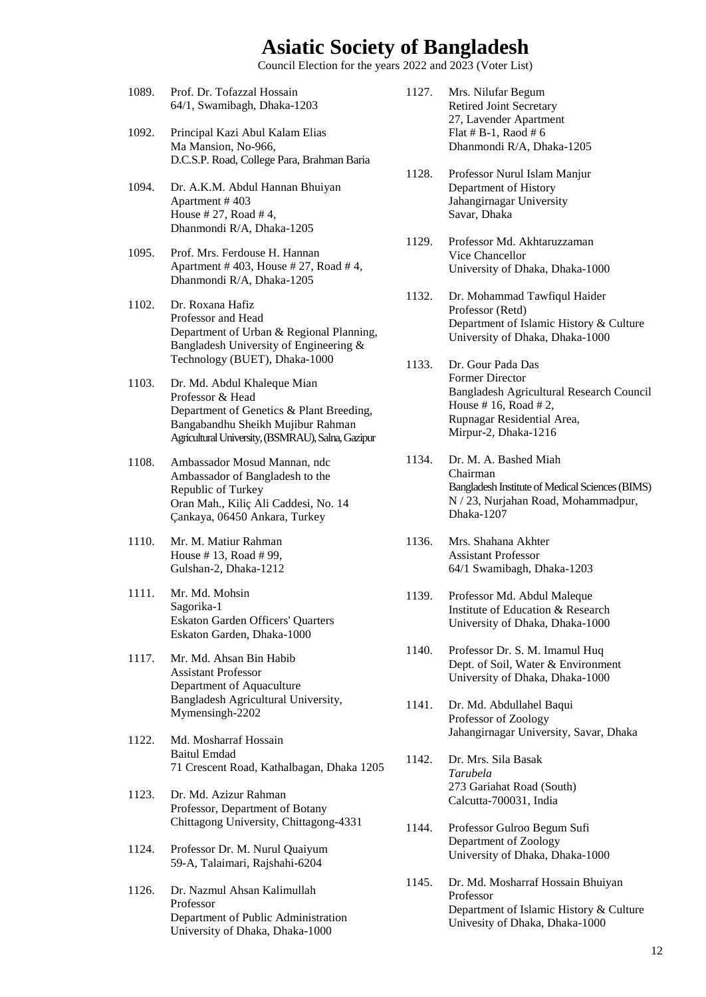- 1089. Prof. Dr. Tofazzal Hossain 64/1, Swamibagh, Dhaka-1203
- 1092. Principal Kazi Abul Kalam Elias Ma Mansion, No-966, D.C.S.P. Road, College Para, Brahman Baria
- 1094. Dr. A.K.M. Abdul Hannan Bhuiyan Apartment # 403 House # 27, Road # 4, Dhanmondi R/A, Dhaka-1205
- 1095. Prof. Mrs. Ferdouse H. Hannan Apartment # 403, House # 27, Road # 4, Dhanmondi R/A, Dhaka-1205
- 1102. Dr. Roxana Hafiz Professor and Head Department of Urban & Regional Planning, Bangladesh University of Engineering & Technology (BUET), Dhaka-1000
- 1103. Dr. Md. Abdul Khaleque Mian Professor & Head Department of Genetics & Plant Breeding, Bangabandhu Sheikh Mujibur Rahman Agricultural University, (BSMRAU), Salna, Gazipur
- 1108. Ambassador Mosud Mannan, ndc Ambassador of Bangladesh to the Republic of Turkey Oran Mah., Kiliç Ali Caddesi, No. 14 Çankaya, 06450 Ankara, Turkey
- 1110. Mr. M. Matiur Rahman House # 13, Road # 99, Gulshan-2, Dhaka-1212
- 1111. Mr. Md. Mohsin Sagorika-1 Eskaton Garden Officers' Quarters Eskaton Garden, Dhaka-1000
- 1117. Mr. Md. Ahsan Bin Habib Assistant Professor Department of Aquaculture Bangladesh Agricultural University, Mymensingh-2202
- 1122. Md. Mosharraf Hossain Baitul Emdad 71 Crescent Road, Kathalbagan, Dhaka 1205
- 1123. Dr. Md. Azizur Rahman Professor, Department of Botany Chittagong University, Chittagong-4331
- 1124. Professor Dr. M. Nurul Quaiyum 59-A, Talaimari, Rajshahi-6204
- 1126. Dr. Nazmul Ahsan Kalimullah Professor Department of Public Administration University of Dhaka, Dhaka-1000
- 1127. Mrs. Nilufar Begum Retired Joint Secretary 27, Lavender Apartment Flat # B-1, Raod # 6 Dhanmondi R/A, Dhaka-1205
- 1128. Professor Nurul Islam Manjur Department of History Jahangirnagar University Savar, Dhaka
- 1129. Professor Md. Akhtaruzzaman Vice Chancellor University of Dhaka, Dhaka-1000
- 1132. Dr. Mohammad Tawfiqul Haider Professor (Retd) Department of Islamic History & Culture University of Dhaka, Dhaka-1000
- 1133. Dr. Gour Pada Das Former Director Bangladesh Agricultural Research Council House # 16, Road # 2, Rupnagar Residential Area, Mirpur-2, Dhaka-1216
- 1134. Dr. M. A. Bashed Miah Chairman Bangladesh Institute of Medical Sciences (BIMS) N / 23, Nurjahan Road, Mohammadpur, Dhaka-1207
- 1136. Mrs. Shahana Akhter Assistant Professor 64/1 Swamibagh, Dhaka-1203
- 1139. Professor Md. Abdul Maleque Institute of Education & Research University of Dhaka, Dhaka-1000
- 1140. Professor Dr. S. M. Imamul Huq Dept. of Soil, Water & Environment University of Dhaka, Dhaka-1000
- 1141. Dr. Md. Abdullahel Baqui Professor of Zoology Jahangirnagar University, Savar, Dhaka
- 1142. Dr. Mrs. Sila Basak *Tarubela* 273 Gariahat Road (South) Calcutta-700031, India
- 1144. Professor Gulroo Begum Sufi Department of Zoology University of Dhaka, Dhaka-1000
- 1145. Dr. Md. Mosharraf Hossain Bhuiyan Professor Department of Islamic History & Culture Univesity of Dhaka, Dhaka-1000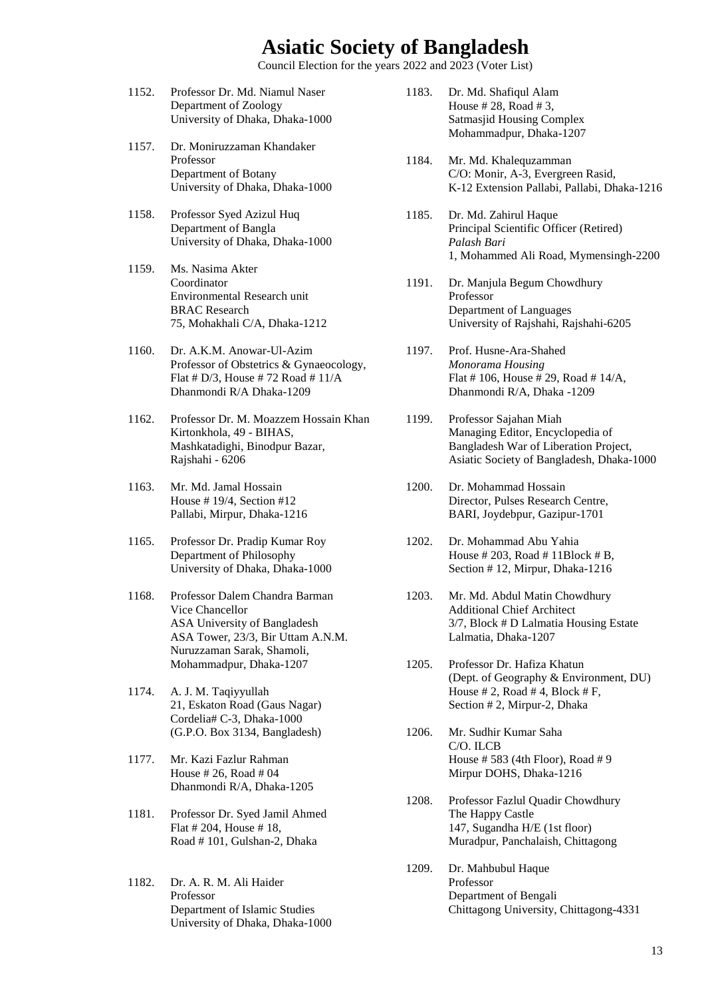- 1152. Professor Dr. Md. Niamul Naser Department of Zoology University of Dhaka, Dhaka-1000
- 1157. Dr. Moniruzzaman Khandaker Professor Department of Botany University of Dhaka, Dhaka-1000
- 1158. Professor Syed Azizul Huq Department of Bangla University of Dhaka, Dhaka-1000
- 1159. Ms. Nasima Akter Coordinator Environmental Research unit BRAC Research 75, Mohakhali C/A, Dhaka-1212
- 1160. Dr. A.K.M. Anowar-Ul-Azim Professor of Obstetrics & Gynaeocology, Flat # D/3, House # 72 Road # 11/A Dhanmondi R/A Dhaka-1209
- 1162. Professor Dr. M. Moazzem Hossain Khan Kirtonkhola, 49 - BIHAS, Mashkatadighi, Binodpur Bazar, Rajshahi - 6206
- 1163. Mr. Md. Jamal Hossain House # 19/4, Section #12 Pallabi, Mirpur, Dhaka-1216
- 1165. Professor Dr. Pradip Kumar Roy Department of Philosophy University of Dhaka, Dhaka-1000
- 1168. Professor Dalem Chandra Barman Vice Chancellor ASA University of Bangladesh ASA Tower, 23/3, Bir Uttam A.N.M. Nuruzzaman Sarak, Shamoli, Mohammadpur, Dhaka-1207
- 1174. A. J. M. Taqiyyullah 21, Eskaton Road (Gaus Nagar) Cordelia# C-3, Dhaka-1000 (G.P.O. Box 3134, Bangladesh)
- 1177. Mr. Kazi Fazlur Rahman House # 26, Road # 04 Dhanmondi R/A, Dhaka-1205
- 1181. Professor Dr. Syed Jamil Ahmed Flat # 204, House # 18, Road # 101, Gulshan-2, Dhaka
- 1182. Dr. A. R. M. Ali Haider Professor Department of Islamic Studies University of Dhaka, Dhaka-1000
- 1183. Dr. Md. Shafiqul Alam House # 28, Road # 3, Satmasjid Housing Complex Mohammadpur, Dhaka-1207
- 1184. Mr. Md. Khalequzamman C/O: Monir, A-3, Evergreen Rasid, K-12 Extension Pallabi, Pallabi, Dhaka-1216
- 1185. Dr. Md. Zahirul Haque Principal Scientific Officer (Retired) *Palash Bari* 1, Mohammed Ali Road, Mymensingh-2200
- 1191. Dr. Manjula Begum Chowdhury Professor Department of Languages University of Rajshahi, Rajshahi-6205
- 1197. Prof. Husne-Ara-Shahed *Monorama Housing* Flat # 106, House # 29, Road # 14/A, Dhanmondi R/A, Dhaka -1209
- 1199. Professor Sajahan Miah Managing Editor, Encyclopedia of Bangladesh War of Liberation Project, Asiatic Society of Bangladesh, Dhaka-1000
- 1200. Dr. Mohammad Hossain Director, Pulses Research Centre, BARI, Joydebpur, Gazipur-1701
- 1202. Dr. Mohammad Abu Yahia House # 203, Road # 11Block # B, Section # 12, Mirpur, Dhaka-1216
- 1203. Mr. Md. Abdul Matin Chowdhury Additional Chief Architect 3/7, Block # D Lalmatia Housing Estate Lalmatia, Dhaka-1207
- 1205. Professor Dr. Hafiza Khatun (Dept. of Geography & Environment, DU) House  $# 2$ , Road  $# 4$ , Block  $# F$ , Section # 2, Mirpur-2, Dhaka
- 1206. Mr. Sudhir Kumar Saha C/O. ILCB House # 583 (4th Floor), Road # 9 Mirpur DOHS, Dhaka-1216
- 1208. Professor Fazlul Quadir Chowdhury The Happy Castle 147, Sugandha H/E (1st floor) Muradpur, Panchalaish, Chittagong
- 1209. Dr. Mahbubul Haque Professor Department of Bengali Chittagong University, Chittagong-4331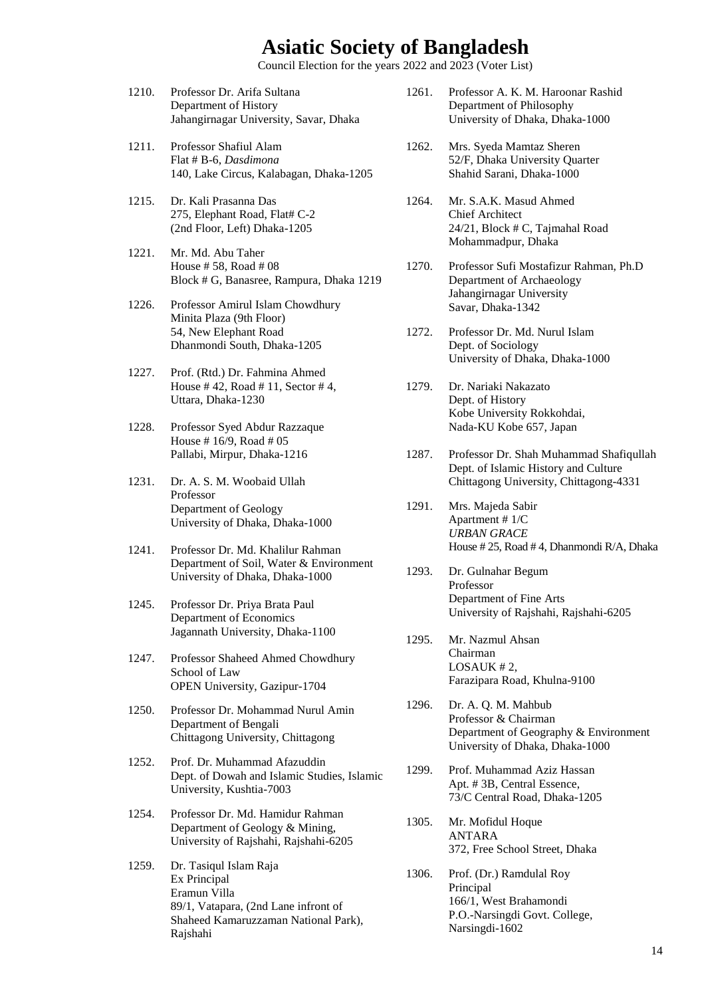- 1210. Professor Dr. Arifa Sultana Department of History Jahangirnagar University, Savar, Dhaka
- 1211. Professor Shafiul Alam Flat # B-6, *Dasdimona* 140, Lake Circus, Kalabagan, Dhaka-1205
- 1215. Dr. Kali Prasanna Das 275, Elephant Road, Flat# C-2 (2nd Floor, Left) Dhaka-1205
- 1221. Mr. Md. Abu Taher House # 58, Road # 08 Block # G, Banasree, Rampura, Dhaka 1219
- 1226. Professor Amirul Islam Chowdhury Minita Plaza (9th Floor) 54, New Elephant Road Dhanmondi South, Dhaka-1205
- 1227. Prof. (Rtd.) Dr. Fahmina Ahmed House # 42, Road # 11, Sector # 4, Uttara, Dhaka-1230
- 1228. Professor Syed Abdur Razzaque House # 16/9, Road # 05 Pallabi, Mirpur, Dhaka-1216
- 1231. Dr. A. S. M. Woobaid Ullah Professor Department of Geology University of Dhaka, Dhaka-1000
- 1241. Professor Dr. Md. Khalilur Rahman Department of Soil, Water & Environment University of Dhaka, Dhaka-1000
- 1245. Professor Dr. Priya Brata Paul Department of Economics Jagannath University, Dhaka-1100
- 1247. Professor Shaheed Ahmed Chowdhury School of Law OPEN University, Gazipur-1704
- 1250. Professor Dr. Mohammad Nurul Amin Department of Bengali Chittagong University, Chittagong
- 1252. Prof. Dr. Muhammad Afazuddin Dept. of Dowah and Islamic Studies, Islamic University, Kushtia-7003
- 1254. Professor Dr. Md. Hamidur Rahman Department of Geology & Mining, University of Rajshahi, Rajshahi-6205
- 1259. Dr. Tasiqul Islam Raja Ex Principal Eramun Villa 89/1, Vatapara, (2nd Lane infront of Shaheed Kamaruzzaman National Park), Rajshahi
- 1261. Professor A. K. M. Haroonar Rashid Department of Philosophy University of Dhaka, Dhaka-1000
- 1262. Mrs. Syeda Mamtaz Sheren 52/F, Dhaka University Quarter Shahid Sarani, Dhaka-1000
- 1264. Mr. S.A.K. Masud Ahmed Chief Architect 24/21, Block # C, Tajmahal Road Mohammadpur, Dhaka
- 1270. Professor Sufi Mostafizur Rahman, Ph.D Department of Archaeology Jahangirnagar University Savar, Dhaka-1342
- 1272. Professor Dr. Md. Nurul Islam Dept. of Sociology University of Dhaka, Dhaka-1000
- 1279. Dr. Nariaki Nakazato Dept. of History Kobe University Rokkohdai, Nada-KU Kobe 657, Japan
- 1287. Professor Dr. Shah Muhammad Shafiqullah Dept. of Islamic History and Culture Chittagong University, Chittagong-4331
- 1291. Mrs. Majeda Sabir Apartment # 1/C *URBAN GRACE* House # 25, Road # 4, Dhanmondi R/A, Dhaka
- 1293. Dr. Gulnahar Begum Professor Department of Fine Arts University of Rajshahi, Rajshahi-6205
- 1295. Mr. Nazmul Ahsan Chairman LOSAUK # 2, Farazipara Road, Khulna-9100
- 1296. Dr. A. Q. M. Mahbub Professor & Chairman Department of Geography & Environment University of Dhaka, Dhaka-1000
- 1299. Prof. Muhammad Aziz Hassan Apt. # 3B, Central Essence, 73/C Central Road, Dhaka-1205
- 1305. Mr. Mofidul Hoque ANTARA 372, Free School Street, Dhaka
- 1306. Prof. (Dr.) Ramdulal Roy Principal 166/1, West Brahamondi P.O.-Narsingdi Govt. College, Narsingdi-1602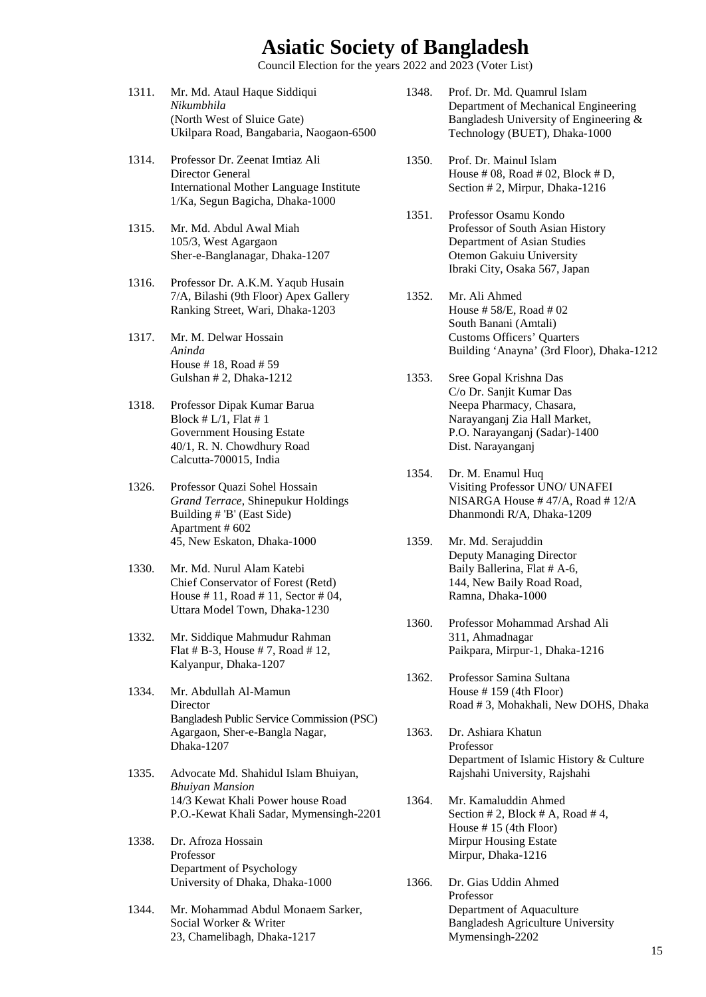- 1311. Mr. Md. Ataul Haque Siddiqui *Nikumbhila* (North West of Sluice Gate) Ukilpara Road, Bangabaria, Naogaon-6500
- 1314. Professor Dr. Zeenat Imtiaz Ali Director General International Mother Language Institute 1/Ka, Segun Bagicha, Dhaka-1000
- 1315. Mr. Md. Abdul Awal Miah 105/3, West Agargaon Sher-e-Banglanagar, Dhaka-1207
- 1316. Professor Dr. A.K.M. Yaqub Husain 7/A, Bilashi (9th Floor) Apex Gallery Ranking Street, Wari, Dhaka-1203
- 1317. Mr. M. Delwar Hossain *Aninda* House # 18, Road # 59 Gulshan # 2, Dhaka-1212
- 1318. Professor Dipak Kumar Barua Block  $# L/1$ , Flat  $# 1$ Government Housing Estate 40/1, R. N. Chowdhury Road Calcutta-700015, India
- 1326. Professor Quazi Sohel Hossain *Grand Terrace*, Shinepukur Holdings Building # 'B' (East Side) Apartment # 602 45, New Eskaton, Dhaka-1000
- 1330. Mr. Md. Nurul Alam Katebi Chief Conservator of Forest (Retd) House # 11, Road # 11, Sector # 04, Uttara Model Town, Dhaka-1230
- 1332. Mr. Siddique Mahmudur Rahman Flat # B-3, House # 7, Road # 12, Kalyanpur, Dhaka-1207
- 1334. Mr. Abdullah Al-Mamun Director Bangladesh Public Service Commission (PSC) Agargaon, Sher-e-Bangla Nagar, Dhaka-1207
- 1335. Advocate Md. Shahidul Islam Bhuiyan, *Bhuiyan Mansion* 14/3 Kewat Khali Power house Road P.O.-Kewat Khali Sadar, Mymensingh-2201
- 1338. Dr. Afroza Hossain Professor Department of Psychology University of Dhaka, Dhaka-1000
- 1344. Mr. Mohammad Abdul Monaem Sarker, Social Worker & Writer 23, Chamelibagh, Dhaka-1217
- 1348. Prof. Dr. Md. Quamrul Islam Department of Mechanical Engineering Bangladesh University of Engineering & Technology (BUET), Dhaka-1000
- 1350. Prof. Dr. Mainul Islam House # 08, Road # 02, Block # D, Section # 2, Mirpur, Dhaka-1216
- 1351. Professor Osamu Kondo Professor of South Asian History Department of Asian Studies Otemon Gakuiu University Ibraki City, Osaka 567, Japan
- 1352. Mr. Ali Ahmed House # 58/E, Road # 02 South Banani (Amtali) Customs Officers' Quarters Building 'Anayna' (3rd Floor), Dhaka-1212
- 1353. Sree Gopal Krishna Das C/o Dr. Sanjit Kumar Das Neepa Pharmacy, Chasara, Narayanganj Zia Hall Market, P.O. Narayanganj (Sadar)-1400 Dist. Narayanganj
- 1354. Dr. M. Enamul Huq Visiting Professor UNO/ UNAFEI NISARGA House # 47/A, Road # 12/A Dhanmondi R/A, Dhaka-1209
- 1359. Mr. Md. Serajuddin Deputy Managing Director Baily Ballerina, Flat # A-6, 144, New Baily Road Road, Ramna, Dhaka-1000
- 1360. Professor Mohammad Arshad Ali 311, Ahmadnagar Paikpara, Mirpur-1, Dhaka-1216
- 1362. Professor Samina Sultana House # 159 (4th Floor) Road # 3, Mohakhali, New DOHS, Dhaka
- 1363. Dr. Ashiara Khatun Professor Department of Islamic History & Culture Rajshahi University, Rajshahi
- 1364. Mr. Kamaluddin Ahmed Section  $# 2$ , Block  $# A$ , Road  $# 4$ , House # 15 (4th Floor) Mirpur Housing Estate Mirpur, Dhaka-1216
- 1366. Dr. Gias Uddin Ahmed Professor Department of Aquaculture Bangladesh Agriculture University Mymensingh-2202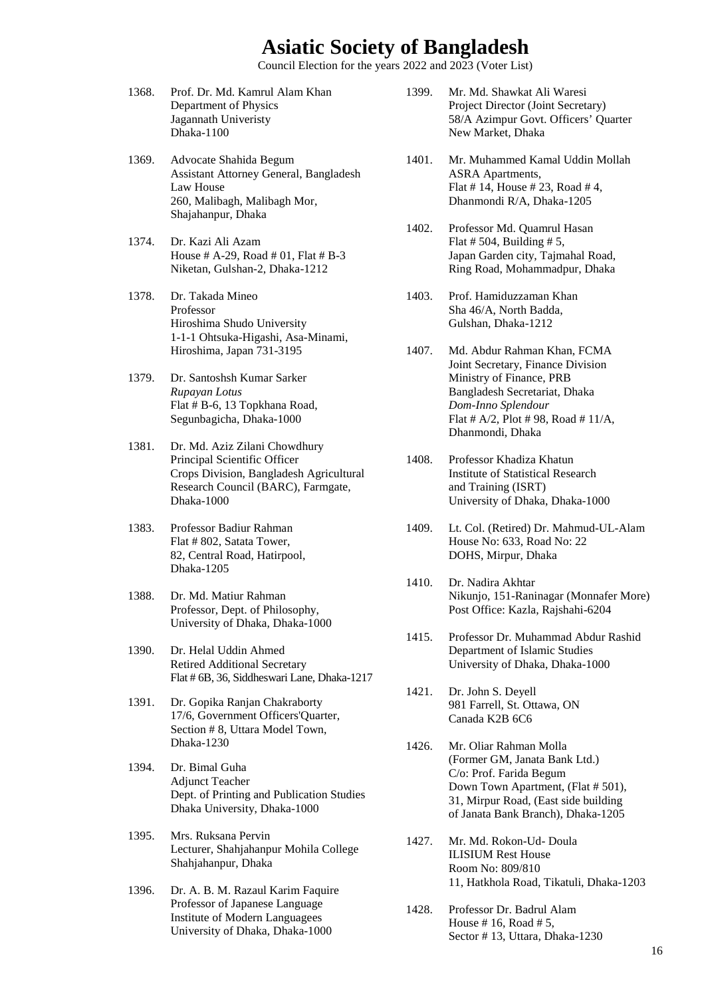- 1368. Prof. Dr. Md. Kamrul Alam Khan Department of Physics Jagannath Univeristy Dhaka-1100
- 1369. Advocate Shahida Begum Assistant Attorney General, Bangladesh Law House 260, Malibagh, Malibagh Mor, Shajahanpur, Dhaka
- 1374. Dr. Kazi Ali Azam House # A-29, Road # 01, Flat # B-3 Niketan, Gulshan-2, Dhaka-1212
- 1378. Dr. Takada Mineo Professor Hiroshima Shudo University 1-1-1 Ohtsuka-Higashi, Asa-Minami, Hiroshima, Japan 731-3195
- 1379. Dr. Santoshsh Kumar Sarker *Rupayan Lotus*  Flat # B-6, 13 Topkhana Road, Segunbagicha, Dhaka-1000
- 1381. Dr. Md. Aziz Zilani Chowdhury Principal Scientific Officer Crops Division, Bangladesh Agricultural Research Council (BARC), Farmgate, Dhaka-1000
- 1383. Professor Badiur Rahman Flat # 802, Satata Tower, 82, Central Road, Hatirpool, Dhaka-1205
- 1388. Dr. Md. Matiur Rahman Professor, Dept. of Philosophy, University of Dhaka, Dhaka-1000
- 1390. Dr. Helal Uddin Ahmed Retired Additional Secretary Flat # 6B, 36, Siddheswari Lane, Dhaka-1217
- 1391. Dr. Gopika Ranjan Chakraborty 17/6, Government Officers'Quarter, Section # 8, Uttara Model Town, Dhaka-1230
- 1394. Dr. Bimal Guha Adjunct Teacher Dept. of Printing and Publication Studies Dhaka University, Dhaka-1000
- 1395. Mrs. Ruksana Pervin Lecturer, Shahjahanpur Mohila College Shahjahanpur, Dhaka
- 1396. Dr. A. B. M. Razaul Karim Faquire Professor of Japanese Language Institute of Modern Languagees University of Dhaka, Dhaka-1000
- 1399. Mr. Md. Shawkat Ali Waresi Project Director (Joint Secretary) 58/A Azimpur Govt. Officers' Quarter New Market, Dhaka
- 1401. Mr. Muhammed Kamal Uddin Mollah ASRA Apartments, Flat # 14, House # 23, Road # 4, Dhanmondi R/A, Dhaka-1205
- 1402. Professor Md. Quamrul Hasan Flat  $# 504$ , Building  $# 5$ , Japan Garden city, Tajmahal Road, Ring Road, Mohammadpur, Dhaka
- 1403. Prof. Hamiduzzaman Khan Sha 46/A, North Badda, Gulshan, Dhaka-1212
- 1407. Md. Abdur Rahman Khan, FCMA Joint Secretary, Finance Division Ministry of Finance, PRB Bangladesh Secretariat, Dhaka *Dom-Inno Splendour* Flat # A/2, Plot # 98, Road # 11/A, Dhanmondi, Dhaka
- 1408. Professor Khadiza Khatun Institute of Statistical Research and Training (ISRT) University of Dhaka, Dhaka-1000
- 1409. Lt. Col. (Retired) Dr. Mahmud-UL-Alam House No: 633, Road No: 22 DOHS, Mirpur, Dhaka
- 1410. Dr. Nadira Akhtar Nikunjo, 151-Raninagar (Monnafer More) Post Office: Kazla, Rajshahi-6204
- 1415. Professor Dr. Muhammad Abdur Rashid Department of Islamic Studies University of Dhaka, Dhaka-1000
- 1421. Dr. John S. Deyell 981 Farrell, St. Ottawa, ON Canada K2B 6C6
- 1426. Mr. Oliar Rahman Molla (Former GM, Janata Bank Ltd.) C/o: Prof. Farida Begum Down Town Apartment, (Flat # 501), 31, Mirpur Road, (East side building of Janata Bank Branch), Dhaka-1205
- 1427. Mr. Md. Rokon-Ud- Doula ILISIUM Rest House Room No: 809/810 11, Hatkhola Road, Tikatuli, Dhaka-1203
- 1428. Professor Dr. Badrul Alam House # 16, Road # 5, Sector # 13, Uttara, Dhaka-1230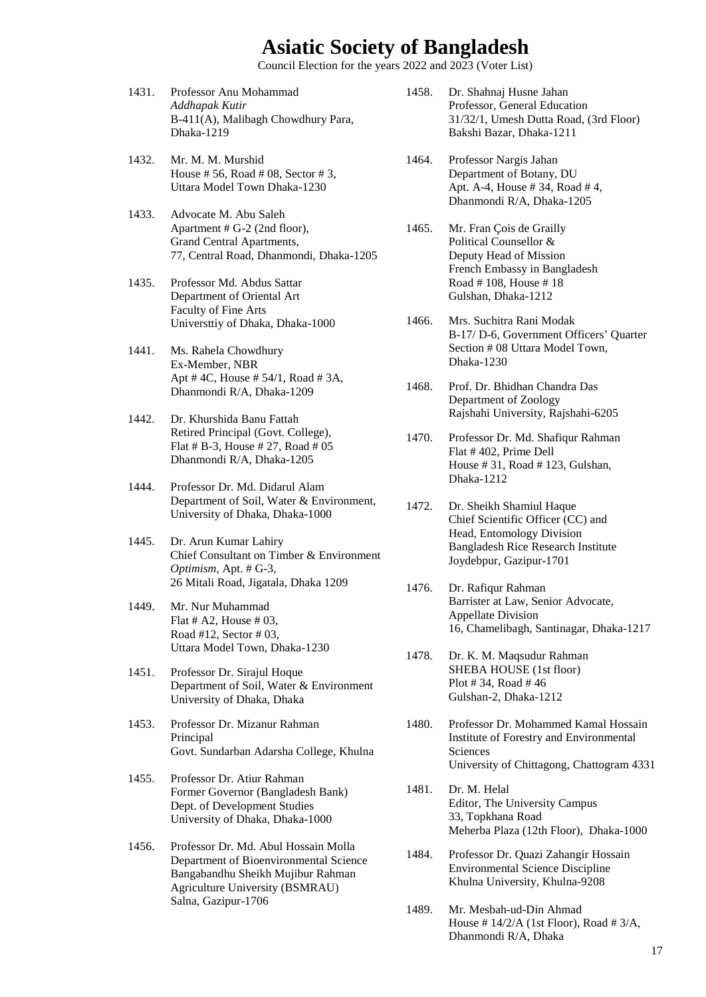- 1431. Professor Anu Mohammad *Addhapak Kutir* B-411(A), Malibagh Chowdhury Para, Dhaka-1219
- 1432. Mr. M. M. Murshid House # 56, Road # 08, Sector # 3, Uttara Model Town Dhaka-1230
- 1433. Advocate M. Abu Saleh Apartment # G-2 (2nd floor), Grand Central Apartments, 77, Central Road, Dhanmondi, Dhaka-1205
- 1435. Professor Md. Abdus Sattar Department of Oriental Art Faculty of Fine Arts Universttiy of Dhaka, Dhaka-1000
- 1441. Ms. Rahela Chowdhury Ex-Member, NBR Apt # 4C, House # 54/1, Road # 3A, Dhanmondi R/A, Dhaka-1209
- 1442. Dr. Khurshida Banu Fattah Retired Principal (Govt. College), Flat # B-3, House # 27, Road # 05 Dhanmondi R/A, Dhaka-1205
- 1444. Professor Dr. Md. Didarul Alam Department of Soil, Water & Environment, University of Dhaka, Dhaka-1000
- 1445. Dr. Arun Kumar Lahiry Chief Consultant on Timber & Environment *Optimism*, Apt. # G-3, 26 Mitali Road, Jigatala, Dhaka 1209
- 1449. Mr. Nur Muhammad Flat  $# A2$ , House  $# 03$ , Road #12, Sector # 03, Uttara Model Town, Dhaka-1230
- 1451. Professor Dr. Sirajul Hoque Department of Soil, Water & Environment University of Dhaka, Dhaka
- 1453. Professor Dr. Mizanur Rahman Principal Govt. Sundarban Adarsha College, Khulna
- 1455. Professor Dr. Atiur Rahman Former Governor (Bangladesh Bank) Dept. of Development Studies University of Dhaka, Dhaka-1000
- 1456. Professor Dr. Md. Abul Hossain Molla Department of Bioenvironmental Science Bangabandhu Sheikh Mujibur Rahman Agriculture University (BSMRAU) Salna, Gazipur-1706
- 1458. Dr. Shahnaj Husne Jahan Professor, General Education 31/32/1, Umesh Dutta Road, (3rd Floor) Bakshi Bazar, Dhaka-1211
- 1464. Professor Nargis Jahan Department of Botany, DU Apt. A-4, House # 34, Road # 4, Dhanmondi R/A, Dhaka-1205
- 1465. Mr. Fran Çois de Grailly Political Counsellor & Deputy Head of Mission French Embassy in Bangladesh Road # 108, House # 18 Gulshan, Dhaka-1212
- 1466. Mrs. Suchitra Rani Modak B-17/ D-6, Government Officers' Quarter Section # 08 Uttara Model Town, Dhaka-1230
- 1468. Prof. Dr. Bhidhan Chandra Das Department of Zoology Rajshahi University, Rajshahi-6205
- 1470. Professor Dr. Md. Shafiqur Rahman Flat # 402, Prime Dell House # 31, Road # 123, Gulshan, Dhaka-1212
- 1472. Dr. Sheikh Shamiul Haque Chief Scientific Officer (CC) and Head, Entomology Division Bangladesh Rice Research Institute Joydebpur, Gazipur-1701
- 1476. Dr. Rafiqur Rahman Barrister at Law, Senior Advocate, Appellate Division 16, Chamelibagh, Santinagar, Dhaka-1217
- 1478. Dr. K. M. Maqsudur Rahman SHEBA HOUSE (1st floor) Plot # 34, Road # 46 Gulshan-2, Dhaka-1212
- 1480. Professor Dr. Mohammed Kamal Hossain Institute of Forestry and Environmental Sciences University of Chittagong, Chattogram 4331
- 1481. Dr. M. Helal Editor, The University Campus 33, Topkhana Road Meherba Plaza (12th Floor), Dhaka-1000
- 1484. Professor Dr. Quazi Zahangir Hossain Environmental Science Discipline Khulna University, Khulna-9208
- 1489. Mr. Mesbah-ud-Din Ahmad House # 14/2/A (1st Floor), Road # 3/A, Dhanmondi R/A, Dhaka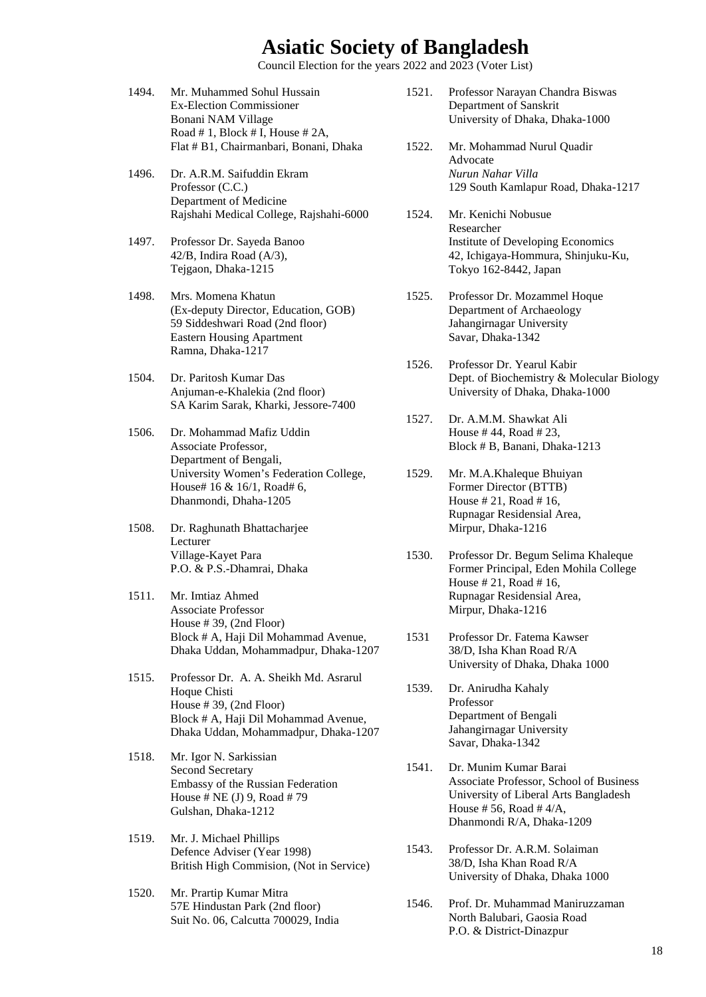- 1494. Mr. Muhammed Sohul Hussain Ex-Election Commissioner Bonani NAM Village Road  $# 1$ , Block  $# I$ , House  $# 2A$ , Flat # B1, Chairmanbari, Bonani, Dhaka
- 1496. Dr. A.R.M. Saifuddin Ekram Professor (C.C.) Department of Medicine Rajshahi Medical College, Rajshahi-6000
- 1497. Professor Dr. Sayeda Banoo 42/B, Indira Road (A/3), Tejgaon, Dhaka-1215
- 1498. Mrs. Momena Khatun (Ex-deputy Director, Education, GOB) 59 Siddeshwari Road (2nd floor) Eastern Housing Apartment Ramna, Dhaka-1217
- 1504. Dr. Paritosh Kumar Das Anjuman-e-Khalekia (2nd floor) SA Karim Sarak, Kharki, Jessore-7400
- 1506. Dr. Mohammad Mafiz Uddin Associate Professor, Department of Bengali, University Women's Federation College, House# 16 & 16/1, Road# 6, Dhanmondi, Dhaha-1205
- 1508. Dr. Raghunath Bhattacharjee Lecturer Village-Kayet Para P.O. & P.S.-Dhamrai, Dhaka
- 1511. Mr. Imtiaz Ahmed Associate Professor House # 39, (2nd Floor) Block # A, Haji Dil Mohammad Avenue, Dhaka Uddan, Mohammadpur, Dhaka-1207
- 1515. Professor Dr. A. A. Sheikh Md. Asrarul Hoque Chisti House # 39, (2nd Floor) Block # A, Haji Dil Mohammad Avenue, Dhaka Uddan, Mohammadpur, Dhaka-1207
- 1518. Mr. Igor N. Sarkissian Second Secretary Embassy of the Russian Federation House # NE (J) 9, Road # 79 Gulshan, Dhaka-1212
- 1519. Mr. J. Michael Phillips Defence Adviser (Year 1998) British High Commision, (Not in Service)
- 1520. Mr. Prartip Kumar Mitra 57E Hindustan Park (2nd floor) Suit No. 06, Calcutta 700029, India
- 1521. Professor Narayan Chandra Biswas Department of Sanskrit University of Dhaka, Dhaka-1000
- 1522. Mr. Mohammad Nurul Quadir Advocate *Nurun Nahar Villa* 129 South Kamlapur Road, Dhaka-1217
- 1524. Mr. Kenichi Nobusue Researcher Institute of Developing Economics 42, Ichigaya-Hommura, Shinjuku-Ku, Tokyo 162-8442, Japan
- 1525. Professor Dr. Mozammel Hoque Department of Archaeology Jahangirnagar University Savar, Dhaka-1342
- 1526. Professor Dr. Yearul Kabir Dept. of Biochemistry & Molecular Biology University of Dhaka, Dhaka-1000
- 1527. Dr. A.M.M. Shawkat Ali House # 44, Road # 23, Block # B, Banani, Dhaka-1213
- 1529. Mr. M.A.Khaleque Bhuiyan Former Director (BTTB) House # 21, Road # 16, Rupnagar Residensial Area, Mirpur, Dhaka-1216
- 1530. Professor Dr. Begum Selima Khaleque Former Principal, Eden Mohila College House # 21, Road # 16, Rupnagar Residensial Area, Mirpur, Dhaka-1216
- 1531 Professor Dr. Fatema Kawser 38/D, Isha Khan Road R/A University of Dhaka, Dhaka 1000
- 1539. Dr. Anirudha Kahaly Professor Department of Bengali Jahangirnagar University Savar, Dhaka-1342
- 1541. Dr. Munim Kumar Barai Associate Professor, School of Business University of Liberal Arts Bangladesh House # 56, Road # 4/A, Dhanmondi R/A, Dhaka-1209
- 1543. Professor Dr. A.R.M. Solaiman 38/D, Isha Khan Road R/A University of Dhaka, Dhaka 1000
- 1546. Prof. Dr. Muhammad Maniruzzaman North Balubari, Gaosia Road P.O. & District-Dinazpur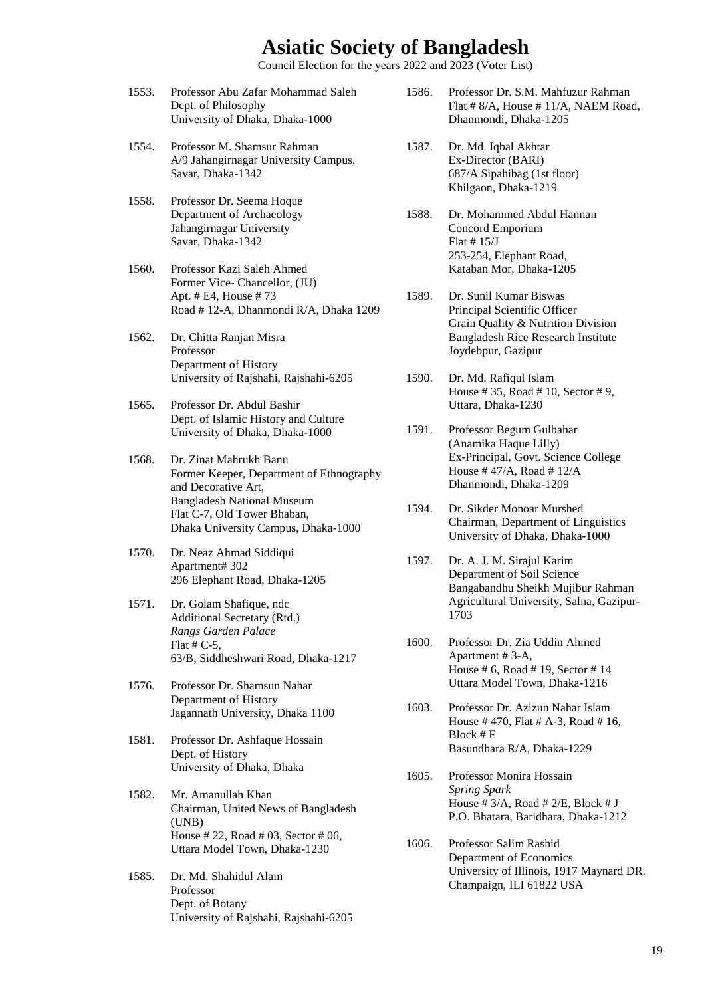- 1553. Professor Abu Zafar Mohammad Saleh Dept. of Philosophy University of Dhaka, Dhaka-1000
- 1554. Professor M. Shamsur Rahman A/9 Jahangirnagar University Campus, Savar, Dhaka-1342
- 1558. Professor Dr. Seema Hoque Department of Archaeology Jahangirnagar University Savar, Dhaka-1342
- 1560. Professor Kazi Saleh Ahmed Former Vice- Chancellor, (JU) Apt. # E4, House # 73 Road # 12-A, Dhanmondi R/A, Dhaka 1209
- 1562. Dr. Chitta Ranjan Misra Professor Department of History University of Rajshahi, Rajshahi-6205
- 1565. Professor Dr. Abdul Bashir Dept. of Islamic History and Culture University of Dhaka, Dhaka-1000
- 1568. Dr. Zinat Mahrukh Banu Former Keeper, Department of Ethnography and Decorative Art, Bangladesh National Museum Flat C-7, Old Tower Bhaban, Dhaka University Campus, Dhaka-1000
- 1570. Dr. Neaz Ahmad Siddiqui Apartment# 302 296 Elephant Road, Dhaka-1205
- 1571. Dr. Golam Shafique, ndc Additional Secretary (Rtd.) *Rangs Garden Palace* Flat  $# C$ -5. 63/B, Siddheshwari Road, Dhaka-1217
- 1576. Professor Dr. Shamsun Nahar Department of History Jagannath University, Dhaka 1100
- 1581. Professor Dr. Ashfaque Hossain Dept. of History University of Dhaka, Dhaka
- 1582. Mr. Amanullah Khan Chairman, United News of Bangladesh (UNB) House # 22, Road # 03, Sector # 06, Uttara Model Town, Dhaka-1230
- 1585. Dr. Md. Shahidul Alam Professor Dept. of Botany University of Rajshahi, Rajshahi-6205
- 1586. Professor Dr. S.M. Mahfuzur Rahman Flat # 8/A, House # 11/A, NAEM Road, Dhanmondi, Dhaka-1205
- 1587. Dr. Md. Iqbal Akhtar Ex-Director (BARI) 687/A Sipahibag (1st floor) Khilgaon, Dhaka-1219
- 1588. Dr. Mohammed Abdul Hannan Concord Emporium Flat  $# 15/J$ 253-254, Elephant Road, Kataban Mor, Dhaka-1205
- 1589. Dr. Sunil Kumar Biswas Principal Scientific Officer Grain Quality & Nutrition Division Bangladesh Rice Research Institute Joydebpur, Gazipur
- 1590. Dr. Md. Rafiqul Islam House # 35, Road # 10, Sector # 9, Uttara, Dhaka-1230
- 1591. Professor Begum Gulbahar (Anamika Haque Lilly) Ex-Principal, Govt. Science College House # 47/A, Road # 12/A Dhanmondi, Dhaka-1209
- 1594. Dr. Sikder Monoar Murshed Chairman, Department of Linguistics University of Dhaka, Dhaka-1000
- 1597. Dr. A. J. M. Sirajul Karim Department of Soil Science Bangabandhu Sheikh Mujibur Rahman Agricultural University, Salna, Gazipur-1703
- 1600. Professor Dr. Zia Uddin Ahmed Apartment # 3-A, House # 6, Road # 19, Sector # 14 Uttara Model Town, Dhaka-1216
- 1603. Professor Dr. Azizun Nahar Islam House # 470, Flat # A-3, Road # 16, Block # F Basundhara R/A, Dhaka-1229
- 1605. Professor Monira Hossain *Spring Spark* House  $\# 3/A$ , Road  $\# 2/E$ , Block  $\# J$ P.O. Bhatara, Baridhara, Dhaka-1212
- 1606. Professor Salim Rashid Department of Economics University of Illinois, 1917 Maynard DR. Champaign, ILI 61822 USA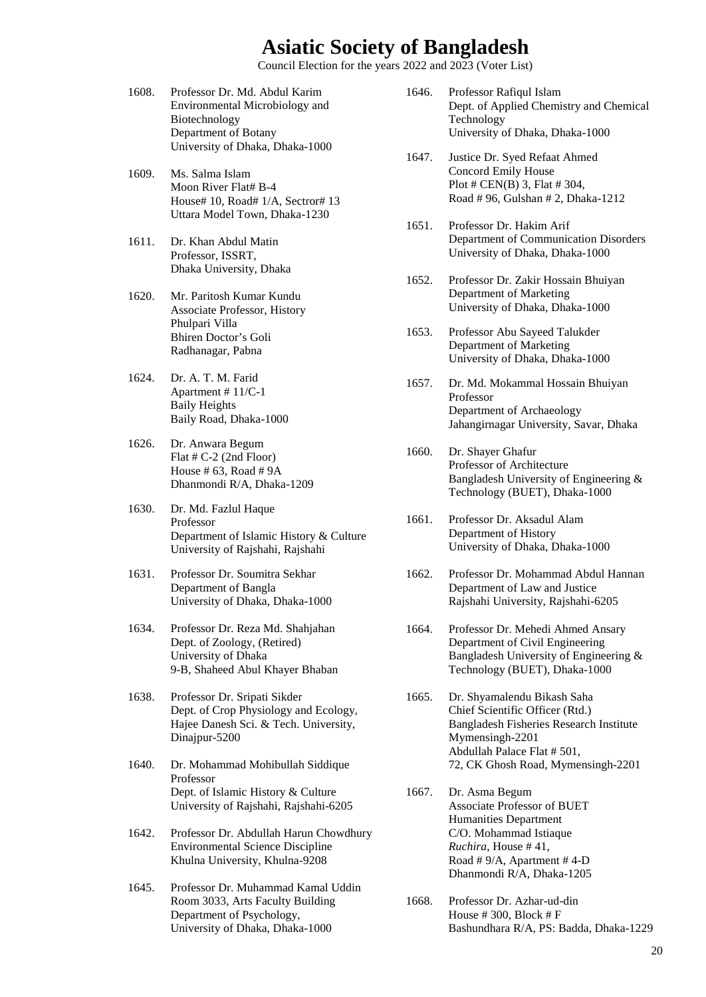- 1608. Professor Dr. Md. Abdul Karim Environmental Microbiology and Biotechnology Department of Botany University of Dhaka, Dhaka-1000
- 1609. Ms. Salma Islam Moon River Flat# B-4 House# 10, Road# 1/A, Sectror# 13 Uttara Model Town, Dhaka-1230
- 1611. Dr. Khan Abdul Matin Professor, ISSRT, Dhaka University, Dhaka
- 1620. Mr. Paritosh Kumar Kundu Associate Professor, History Phulpari Villa Bhiren Doctor's Goli Radhanagar, Pabna
- 1624. Dr. A. T. M. Farid Apartment # 11/C-1 Baily Heights Baily Road, Dhaka-1000
- 1626. Dr. Anwara Begum Flat # C-2 (2nd Floor) House  $# 63$ , Road  $# 9A$ Dhanmondi R/A, Dhaka-1209
- 1630. Dr. Md. Fazlul Haque Professor Department of Islamic History & Culture University of Rajshahi, Rajshahi
- 1631. Professor Dr. Soumitra Sekhar Department of Bangla University of Dhaka, Dhaka-1000
- 1634. Professor Dr. Reza Md. Shahjahan Dept. of Zoology, (Retired) University of Dhaka 9-B, Shaheed Abul Khayer Bhaban
- 1638. Professor Dr. Sripati Sikder Dept. of Crop Physiology and Ecology, Hajee Danesh Sci. & Tech. University, Dinajpur-5200
- 1640. Dr. Mohammad Mohibullah Siddique Professor Dept. of Islamic History & Culture University of Rajshahi, Rajshahi-6205
- 1642. Professor Dr. Abdullah Harun Chowdhury Environmental Science Discipline Khulna University, Khulna-9208
- 1645. Professor Dr. Muhammad Kamal Uddin Room 3033, Arts Faculty Building Department of Psychology, University of Dhaka, Dhaka-1000
- 1646. Professor Rafiqul Islam Dept. of Applied Chemistry and Chemical Technology University of Dhaka, Dhaka-1000
- 1647. Justice Dr. Syed Refaat Ahmed Concord Emily House Plot # CEN(B) 3, Flat # 304, Road # 96, Gulshan # 2, Dhaka-1212
- 1651. Professor Dr. Hakim Arif Department of Communication Disorders University of Dhaka, Dhaka-1000
- 1652. Professor Dr. Zakir Hossain Bhuiyan Department of Marketing University of Dhaka, Dhaka-1000
- 1653. Professor Abu Sayeed Talukder Department of Marketing University of Dhaka, Dhaka-1000
- 1657. Dr. Md. Mokammal Hossain Bhuiyan Professor Department of Archaeology Jahangirnagar University, Savar, Dhaka
- 1660. Dr. Shayer Ghafur Professor of Architecture Bangladesh University of Engineering & Technology (BUET), Dhaka-1000
- 1661. Professor Dr. Aksadul Alam Department of History University of Dhaka, Dhaka-1000
- 1662. Professor Dr. Mohammad Abdul Hannan Department of Law and Justice Rajshahi University, Rajshahi-6205
- 1664. Professor Dr. Mehedi Ahmed Ansary Department of Civil Engineering Bangladesh University of Engineering & Technology (BUET), Dhaka-1000
- 1665. Dr. Shyamalendu Bikash Saha Chief Scientific Officer (Rtd.) Bangladesh Fisheries Research Institute Mymensingh-2201 Abdullah Palace Flat # 501, 72, CK Ghosh Road, Mymensingh-2201
- 1667. Dr. Asma Begum Associate Professor of BUET Humanities Department C/O. Mohammad Istiaque *Ruchira*, House # 41, Road # 9/A, Apartment # 4-D Dhanmondi R/A, Dhaka-1205
- 1668. Professor Dr. Azhar-ud-din House # 300, Block # F Bashundhara R/A, PS: Badda, Dhaka-1229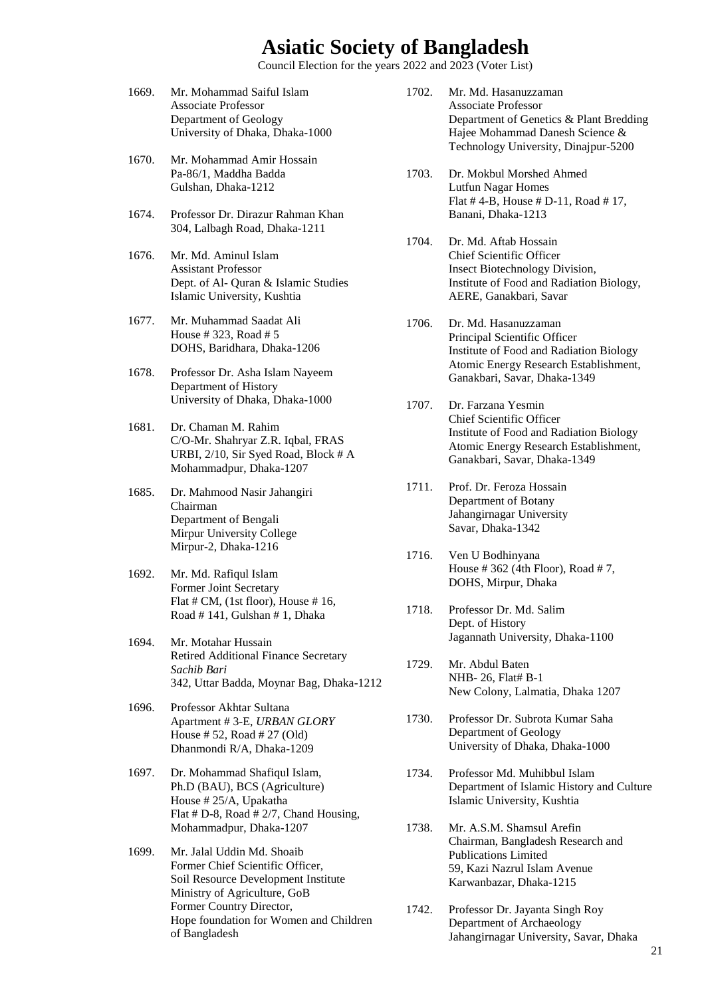- 1669. Mr. Mohammad Saiful Islam Associate Professor Department of Geology University of Dhaka, Dhaka-1000
- 1670. Mr. Mohammad Amir Hossain Pa-86/1, Maddha Badda Gulshan, Dhaka-1212
- 1674. Professor Dr. Dirazur Rahman Khan 304, Lalbagh Road, Dhaka-1211
- 1676. Mr. Md. Aminul Islam Assistant Professor Dept. of Al- Quran & Islamic Studies Islamic University, Kushtia
- 1677. Mr. Muhammad Saadat Ali House # 323, Road # 5 DOHS, Baridhara, Dhaka-1206
- 1678. Professor Dr. Asha Islam Nayeem Department of History University of Dhaka, Dhaka-1000
- 1681. Dr. Chaman M. Rahim C/O-Mr. Shahryar Z.R. Iqbal, FRAS URBI, 2/10, Sir Syed Road, Block # A Mohammadpur, Dhaka-1207
- 1685. Dr. Mahmood Nasir Jahangiri Chairman Department of Bengali Mirpur University College Mirpur-2, Dhaka-1216
- 1692. Mr. Md. Rafiqul Islam Former Joint Secretary Flat # CM, (1st floor), House # 16, Road # 141, Gulshan # 1, Dhaka
- 1694. Mr. Motahar Hussain Retired Additional Finance Secretary *Sachib Bari* 342, Uttar Badda, Moynar Bag, Dhaka-1212
- 1696. Professor Akhtar Sultana Apartment # 3-E, *URBAN GLORY* House # 52, Road # 27 (Old) Dhanmondi R/A, Dhaka-1209
- 1697. Dr. Mohammad Shafiqul Islam, Ph.D (BAU), BCS (Agriculture) House # 25/A, Upakatha Flat # D-8, Road # 2/7, Chand Housing, Mohammadpur, Dhaka-1207
- 1699. Mr. Jalal Uddin Md. Shoaib Former Chief Scientific Officer, Soil Resource Development Institute Ministry of Agriculture, GoB Former Country Director, Hope foundation for Women and Children of Bangladesh
- 1702. Mr. Md. Hasanuzzaman Associate Professor Department of Genetics & Plant Bredding Hajee Mohammad Danesh Science & Technology University, Dinajpur-5200
- 1703. Dr. Mokbul Morshed Ahmed Lutfun Nagar Homes Flat # 4-B, House # D-11, Road # 17, Banani, Dhaka-1213
- 1704. Dr. Md. Aftab Hossain Chief Scientific Officer Insect Biotechnology Division, Institute of Food and Radiation Biology, AERE, Ganakbari, Savar
- 1706. Dr. Md. Hasanuzzaman Principal Scientific Officer Institute of Food and Radiation Biology Atomic Energy Research Establishment, Ganakbari, Savar, Dhaka-1349
- 1707. Dr. Farzana Yesmin Chief Scientific Officer Institute of Food and Radiation Biology Atomic Energy Research Establishment, Ganakbari, Savar, Dhaka-1349
- 1711. Prof. Dr. Feroza Hossain Department of Botany Jahangirnagar University Savar, Dhaka-1342
- 1716. Ven U Bodhinyana House # 362 (4th Floor), Road # 7, DOHS, Mirpur, Dhaka
- 1718. Professor Dr. Md. Salim Dept. of History Jagannath University, Dhaka-1100
- 1729. Mr. Abdul Baten NHB- 26, Flat# B-1 New Colony, Lalmatia, Dhaka 1207
- 1730. Professor Dr. Subrota Kumar Saha Department of Geology University of Dhaka, Dhaka-1000
- 1734. Professor Md. Muhibbul Islam Department of Islamic History and Culture Islamic University, Kushtia
- 1738. Mr. A.S.M. Shamsul Arefin Chairman, Bangladesh Research and Publications Limited 59, Kazi Nazrul Islam Avenue Karwanbazar, Dhaka-1215
- 1742. Professor Dr. Jayanta Singh Roy Department of Archaeology Jahangirnagar University, Savar, Dhaka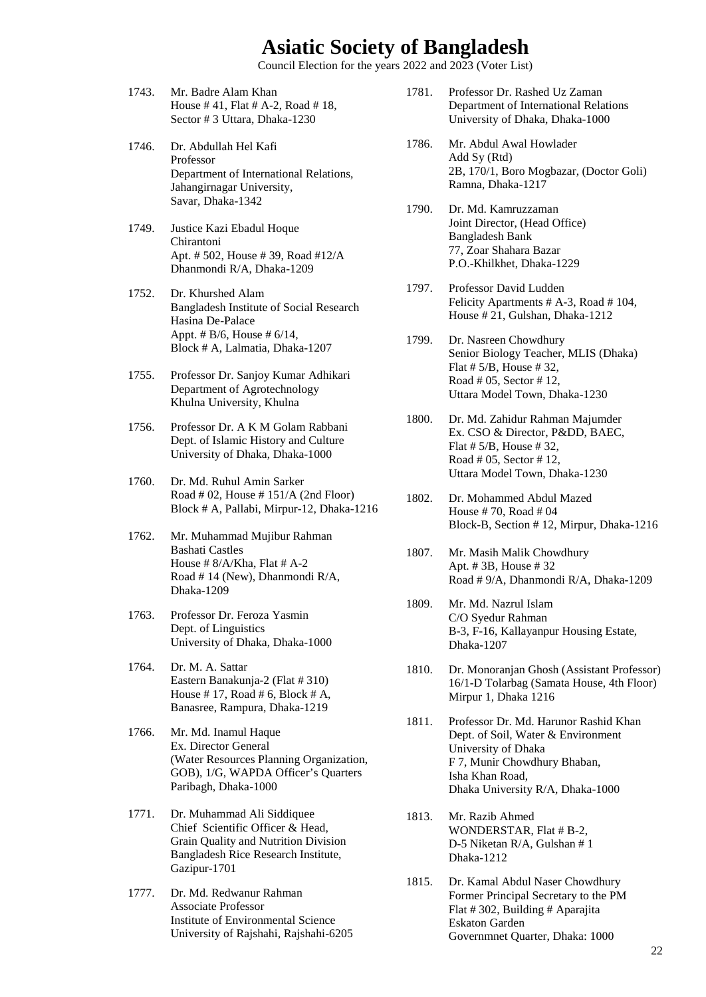- 1743. Mr. Badre Alam Khan House # 41, Flat # A-2, Road # 18, Sector # 3 Uttara, Dhaka-1230
- 1746. Dr. Abdullah Hel Kafi Professor Department of International Relations, Jahangirnagar University, Savar, Dhaka-1342
- 1749. Justice Kazi Ebadul Hoque Chirantoni Apt. # 502, House # 39, Road #12/A Dhanmondi R/A, Dhaka-1209
- 1752. Dr. Khurshed Alam Bangladesh Institute of Social Research Hasina De-Palace Appt. # B/6, House # 6/14, Block # A, Lalmatia, Dhaka-1207
- 1755. Professor Dr. Sanjoy Kumar Adhikari Department of Agrotechnology Khulna University, Khulna
- 1756. Professor Dr. A K M Golam Rabbani Dept. of Islamic History and Culture University of Dhaka, Dhaka-1000
- 1760. Dr. Md. Ruhul Amin Sarker Road # 02, House # 151/A (2nd Floor) Block # A, Pallabi, Mirpur-12, Dhaka-1216
- 1762. Mr. Muhammad Mujibur Rahman Bashati Castles House # 8/A/Kha, Flat # A-2 Road # 14 (New), Dhanmondi R/A, Dhaka-1209
- 1763. Professor Dr. Feroza Yasmin Dept. of Linguistics University of Dhaka, Dhaka-1000
- 1764. Dr. M. A. Sattar Eastern Banakunja-2 (Flat # 310) House  $\#$  17, Road  $\#$  6, Block  $\#$  A, Banasree, Rampura, Dhaka-1219
- 1766. Mr. Md. Inamul Haque Ex. Director General (Water Resources Planning Organization, GOB), 1/G, WAPDA Officer's Quarters Paribagh, Dhaka-1000
- 1771. Dr. Muhammad Ali Siddiquee Chief Scientific Officer & Head, Grain Quality and Nutrition Division Bangladesh Rice Research Institute, Gazipur-1701
- 1777. Dr. Md. Redwanur Rahman Associate Professor Institute of Environmental Science University of Rajshahi, Rajshahi-6205
- 1781. Professor Dr. Rashed Uz Zaman Department of International Relations University of Dhaka, Dhaka-1000
- 1786. Mr. Abdul Awal Howlader Add Sy (Rtd) 2B, 170/1, Boro Mogbazar, (Doctor Goli) Ramna, Dhaka-1217
- 1790. Dr. Md. Kamruzzaman Joint Director, (Head Office) Bangladesh Bank 77, Zoar Shahara Bazar P.O.-Khilkhet, Dhaka-1229
- 1797. Professor David Ludden Felicity Apartments # A-3, Road # 104, House # 21, Gulshan, Dhaka-1212
- 1799. Dr. Nasreen Chowdhury Senior Biology Teacher, MLIS (Dhaka) Flat # 5/B, House # 32, Road # 05, Sector # 12, Uttara Model Town, Dhaka-1230
- 1800. Dr. Md. Zahidur Rahman Majumder Ex. CSO & Director, P&DD, BAEC, Flat # 5/B, House # 32, Road # 05, Sector # 12, Uttara Model Town, Dhaka-1230
- 1802. Dr. Mohammed Abdul Mazed House # 70, Road # 04 Block-B, Section # 12, Mirpur, Dhaka-1216
- 1807. Mr. Masih Malik Chowdhury Apt. # 3B, House # 32 Road # 9/A, Dhanmondi R/A, Dhaka-1209
- 1809. Mr. Md. Nazrul Islam C/O Syedur Rahman B-3, F-16, Kallayanpur Housing Estate, Dhaka-1207
- 1810. Dr. Monoranjan Ghosh (Assistant Professor) 16/1-D Tolarbag (Samata House, 4th Floor) Mirpur 1, Dhaka 1216
- 1811. Professor Dr. Md. Harunor Rashid Khan Dept. of Soil, Water & Environment University of Dhaka F 7, Munir Chowdhury Bhaban, Isha Khan Road, Dhaka University R/A, Dhaka-1000
- 1813. Mr. Razib Ahmed WONDERSTAR, Flat # B-2, D-5 Niketan R/A, Gulshan # 1 Dhaka-1212
- 1815. Dr. Kamal Abdul Naser Chowdhury Former Principal Secretary to the PM Flat # 302, Building # Aparajita Eskaton Garden Governmnet Quarter, Dhaka: 1000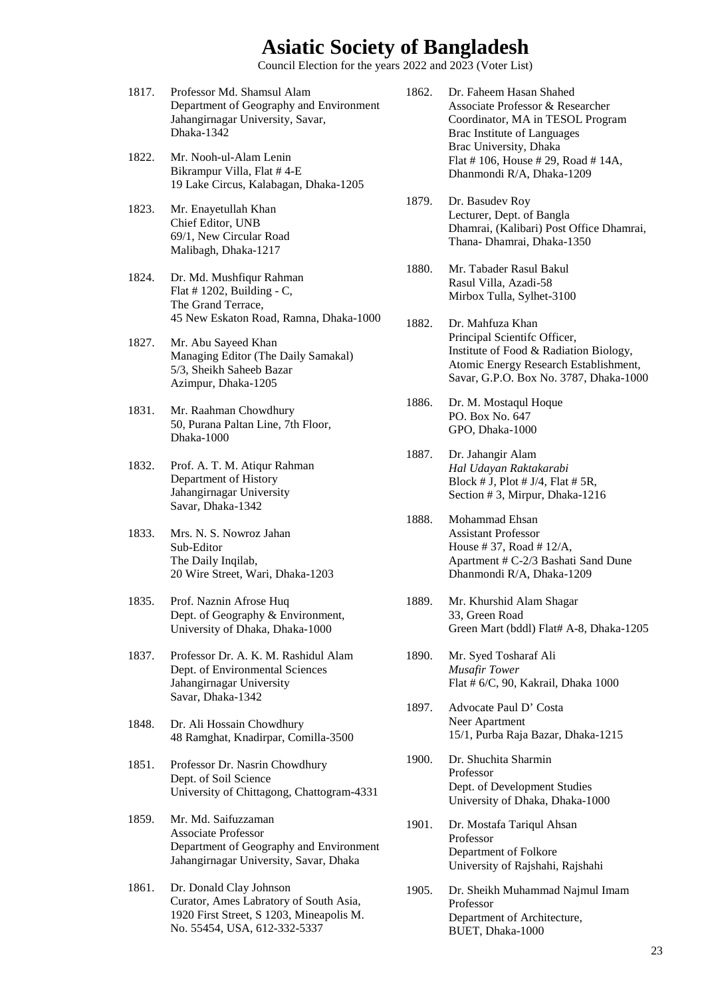- 1817. Professor Md. Shamsul Alam Department of Geography and Environment Jahangirnagar University, Savar, Dhaka-1342
- 1822. Mr. Nooh-ul-Alam Lenin Bikrampur Villa, Flat # 4-E 19 Lake Circus, Kalabagan, Dhaka-1205
- 1823. Mr. Enayetullah Khan Chief Editor, UNB 69/1, New Circular Road Malibagh, Dhaka-1217
- 1824. Dr. Md. Mushfiqur Rahman Flat  $# 1202$ , Building - C, The Grand Terrace, 45 New Eskaton Road, Ramna, Dhaka-1000
- 1827. Mr. Abu Sayeed Khan Managing Editor (The Daily Samakal) 5/3, Sheikh Saheeb Bazar Azimpur, Dhaka-1205
- 1831. Mr. Raahman Chowdhury 50, Purana Paltan Line, 7th Floor, Dhaka-1000
- 1832. Prof. A. T. M. Atiqur Rahman Department of History Jahangirnagar University Savar, Dhaka-1342
- 1833. Mrs. N. S. Nowroz Jahan Sub-Editor The Daily Inqilab, 20 Wire Street, Wari, Dhaka-1203
- 1835. Prof. Naznin Afrose Huq Dept. of Geography & Environment, University of Dhaka, Dhaka-1000
- 1837. Professor Dr. A. K. M. Rashidul Alam Dept. of Environmental Sciences Jahangirnagar University Savar, Dhaka-1342
- 1848. Dr. Ali Hossain Chowdhury 48 Ramghat, Knadirpar, Comilla-3500
- 1851. Professor Dr. Nasrin Chowdhury Dept. of Soil Science University of Chittagong, Chattogram-4331
- 1859. Mr. Md. Saifuzzaman Associate Professor Department of Geography and Environment Jahangirnagar University, Savar, Dhaka
- 1861. Dr. Donald Clay Johnson Curator, Ames Labratory of South Asia, 1920 First Street, S 1203, Mineapolis M. No. 55454, USA, 612-332-5337
- 1862. Dr. Faheem Hasan Shahed Associate Professor & Researcher Coordinator, MA in TESOL Program Brac Institute of Languages Brac University, Dhaka Flat # 106, House # 29, Road # 14A, Dhanmondi R/A, Dhaka-1209
- 1879. Dr. Basudev Roy Lecturer, Dept. of Bangla Dhamrai, (Kalibari) Post Office Dhamrai, Thana- Dhamrai, Dhaka-1350
- 1880. Mr. Tabader Rasul Bakul Rasul Villa, Azadi-58 Mirbox Tulla, Sylhet-3100
- 1882. Dr. Mahfuza Khan Principal Scientifc Officer, Institute of Food & Radiation Biology, Atomic Energy Research Establishment, Savar, G.P.O. Box No. 3787, Dhaka-1000
- 1886. Dr. M. Mostaqul Hoque PO. Box No. 647 GPO, Dhaka-1000
- 1887. Dr. Jahangir Alam *Hal Udayan Raktakarabi* Block # J, Plot #  $J/4$ , Flat # 5R, Section # 3, Mirpur, Dhaka-1216
- 1888. Mohammad Ehsan Assistant Professor House # 37, Road # 12/A, Apartment # C-2/3 Bashati Sand Dune Dhanmondi R/A, Dhaka-1209
- 1889. Mr. Khurshid Alam Shagar 33, Green Road Green Mart (bddl) Flat# A-8, Dhaka-1205
- 1890. Mr. Syed Tosharaf Ali *Musafir Tower* Flat # 6/C, 90, Kakrail, Dhaka 1000
- 1897. Advocate Paul D' Costa Neer Apartment 15/1, Purba Raja Bazar, Dhaka-1215
- 1900. Dr. Shuchita Sharmin Professor Dept. of Development Studies University of Dhaka, Dhaka-1000
- 1901. Dr. Mostafa Tariqul Ahsan Professor Department of Folkore University of Rajshahi, Rajshahi
- 1905. Dr. Sheikh Muhammad Najmul Imam Professor Department of Architecture, BUET, Dhaka-1000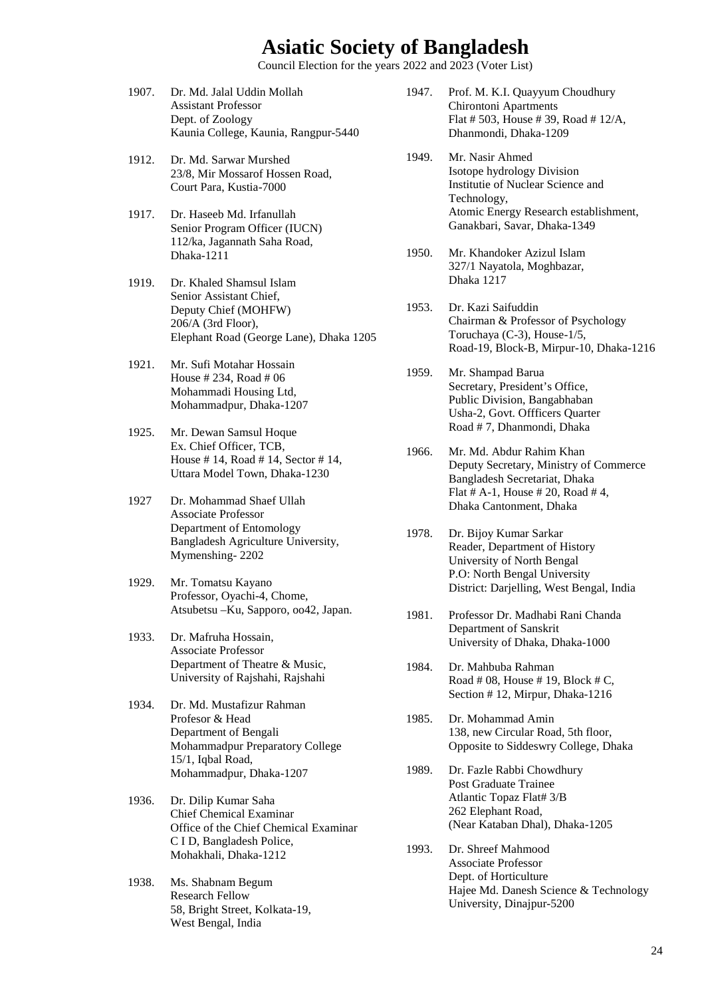- 1907. Dr. Md. Jalal Uddin Mollah Assistant Professor Dept. of Zoology Kaunia College, Kaunia, Rangpur-5440
- 1912. Dr. Md. Sarwar Murshed 23/8, Mir Mossarof Hossen Road, Court Para, Kustia-7000
- 1917. Dr. Haseeb Md. Irfanullah Senior Program Officer (IUCN) 112/ka, Jagannath Saha Road, Dhaka-1211
- 1919. Dr. Khaled Shamsul Islam Senior Assistant Chief, Deputy Chief (MOHFW) 206/A (3rd Floor), Elephant Road (George Lane), Dhaka 1205
- 1921. Mr. Sufi Motahar Hossain House # 234, Road # 06 Mohammadi Housing Ltd, Mohammadpur, Dhaka-1207
- 1925. Mr. Dewan Samsul Hoque Ex. Chief Officer, TCB, House # 14, Road # 14, Sector # 14, Uttara Model Town, Dhaka-1230
- 1927 Dr. Mohammad Shaef Ullah Associate Professor Department of Entomology Bangladesh Agriculture University, Mymenshing- 2202
- 1929. Mr. Tomatsu Kayano Professor, Oyachi-4, Chome, Atsubetsu –Ku, Sapporo, oo42, Japan.
- 1933. Dr. Mafruha Hossain, Associate Professor Department of Theatre & Music, University of Rajshahi, Rajshahi
- 1934. Dr. Md. Mustafizur Rahman Profesor & Head Department of Bengali Mohammadpur Preparatory College 15/1, Iqbal Road, Mohammadpur, Dhaka-1207
- 1936. Dr. Dilip Kumar Saha Chief Chemical Examinar Office of the Chief Chemical Examinar C I D, Bangladesh Police, Mohakhali, Dhaka-1212
- 1938. Ms. Shabnam Begum Research Fellow 58, Bright Street, Kolkata-19, West Bengal, India
- 1947. Prof. M. K.I. Quayyum Choudhury Chirontoni Apartments Flat # 503, House # 39, Road # 12/A, Dhanmondi, Dhaka-1209
- 1949. Mr. Nasir Ahmed Isotope hydrology Division Institutie of Nuclear Science and Technology, Atomic Energy Research establishment, Ganakbari, Savar, Dhaka-1349
- 1950. Mr. Khandoker Azizul Islam 327/1 Nayatola, Moghbazar, Dhaka 1217
- 1953. Dr. Kazi Saifuddin Chairman & Professor of Psychology Toruchaya (C-3), House-1/5, Road-19, Block-B, Mirpur-10, Dhaka-1216
- 1959. Mr. Shampad Barua Secretary, President's Office, Public Division, Bangabhaban Usha-2, Govt. Offficers Quarter Road # 7, Dhanmondi, Dhaka
- 1966. Mr. Md. Abdur Rahim Khan Deputy Secretary, Ministry of Commerce Bangladesh Secretariat, Dhaka Flat # A-1, House # 20, Road # 4, Dhaka Cantonment, Dhaka
- 1978. Dr. Bijoy Kumar Sarkar Reader, Department of History University of North Bengal P.O: North Bengal University District: Darjelling, West Bengal, India
- 1981. Professor Dr. Madhabi Rani Chanda Department of Sanskrit University of Dhaka, Dhaka-1000
- 1984. Dr. Mahbuba Rahman Road # 08, House # 19, Block # C, Section # 12, Mirpur, Dhaka-1216
- 1985. Dr. Mohammad Amin 138, new Circular Road, 5th floor, Opposite to Siddeswry College, Dhaka
- 1989. Dr. Fazle Rabbi Chowdhury Post Graduate Trainee Atlantic Topaz Flat# 3/B 262 Elephant Road, (Near Kataban Dhal), Dhaka-1205
- 1993. Dr. Shreef Mahmood Associate Professor Dept. of Horticulture Hajee Md. Danesh Science & Technology University, Dinajpur-5200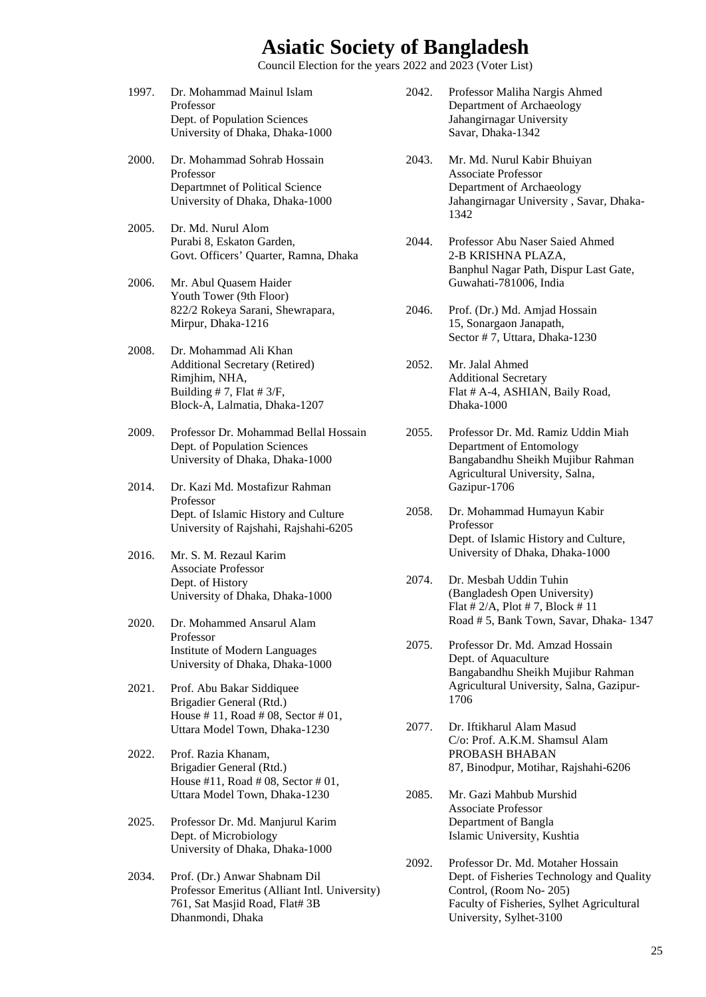- 1997. Dr. Mohammad Mainul Islam Professor Dept. of Population Sciences University of Dhaka, Dhaka-1000
- 2000. Dr. Mohammad Sohrab Hossain Professor Departmnet of Political Science University of Dhaka, Dhaka-1000
- 2005. Dr. Md. Nurul Alom Purabi 8, Eskaton Garden, Govt. Officers' Quarter, Ramna, Dhaka
- 2006. Mr. Abul Quasem Haider Youth Tower (9th Floor) 822/2 Rokeya Sarani, Shewrapara, Mirpur, Dhaka-1216
- 2008. Dr. Mohammad Ali Khan Additional Secretary (Retired) Rimjhim, NHA, Building  $# 7$ , Flat  $# 3/F$ , Block-A, Lalmatia, Dhaka-1207
- 2009. Professor Dr. Mohammad Bellal Hossain Dept. of Population Sciences University of Dhaka, Dhaka-1000
- 2014. Dr. Kazi Md. Mostafizur Rahman Professor Dept. of Islamic History and Culture University of Rajshahi, Rajshahi-6205
- 2016. Mr. S. M. Rezaul Karim Associate Professor Dept. of History University of Dhaka, Dhaka-1000
- 2020. Dr. Mohammed Ansarul Alam Professor Institute of Modern Languages University of Dhaka, Dhaka-1000
- 2021. Prof. Abu Bakar Siddiquee Brigadier General (Rtd.) House # 11, Road # 08, Sector # 01, Uttara Model Town, Dhaka-1230
- 2022. Prof. Razia Khanam, Brigadier General (Rtd.) House #11, Road # 08, Sector # 01, Uttara Model Town, Dhaka-1230
- 2025. Professor Dr. Md. Manjurul Karim Dept. of Microbiology University of Dhaka, Dhaka-1000
- 2034. Prof. (Dr.) Anwar Shabnam Dil Professor Emeritus (Alliant Intl. University) 761, Sat Masjid Road, Flat# 3B Dhanmondi, Dhaka
- 2042. Professor Maliha Nargis Ahmed Department of Archaeology Jahangirnagar University Savar, Dhaka-1342
- 2043. Mr. Md. Nurul Kabir Bhuiyan Associate Professor Department of Archaeology Jahangirnagar University , Savar, Dhaka-1342
- 2044. Professor Abu Naser Saied Ahmed 2-B KRISHNA PLAZA, Banphul Nagar Path, Dispur Last Gate, Guwahati-781006, India
- 2046. Prof. (Dr.) Md. Amjad Hossain 15, Sonargaon Janapath, Sector # 7, Uttara, Dhaka-1230
- 2052. Mr. Jalal Ahmed Additional Secretary Flat # A-4, ASHIAN, Baily Road, Dhaka-1000
- 2055. Professor Dr. Md. Ramiz Uddin Miah Department of Entomology Bangabandhu Sheikh Mujibur Rahman Agricultural University, Salna, Gazipur-1706
- 2058. Dr. Mohammad Humayun Kabir Professor Dept. of Islamic History and Culture, University of Dhaka, Dhaka-1000
- 2074. Dr. Mesbah Uddin Tuhin (Bangladesh Open University) Flat # 2/A, Plot # 7, Block # 11 Road # 5, Bank Town, Savar, Dhaka- 1347
- 2075. Professor Dr. Md. Amzad Hossain Dept. of Aquaculture Bangabandhu Sheikh Mujibur Rahman Agricultural University, Salna, Gazipur-1706
- 2077. Dr. Iftikharul Alam Masud C/o: Prof. A.K.M. Shamsul Alam PROBASH BHABAN 87, Binodpur, Motihar, Rajshahi-6206
- 2085. Mr. Gazi Mahbub Murshid Associate Professor Department of Bangla Islamic University, Kushtia
- 2092. Professor Dr. Md. Motaher Hossain Dept. of Fisheries Technology and Quality Control, (Room No- 205) Faculty of Fisheries, Sylhet Agricultural University, Sylhet-3100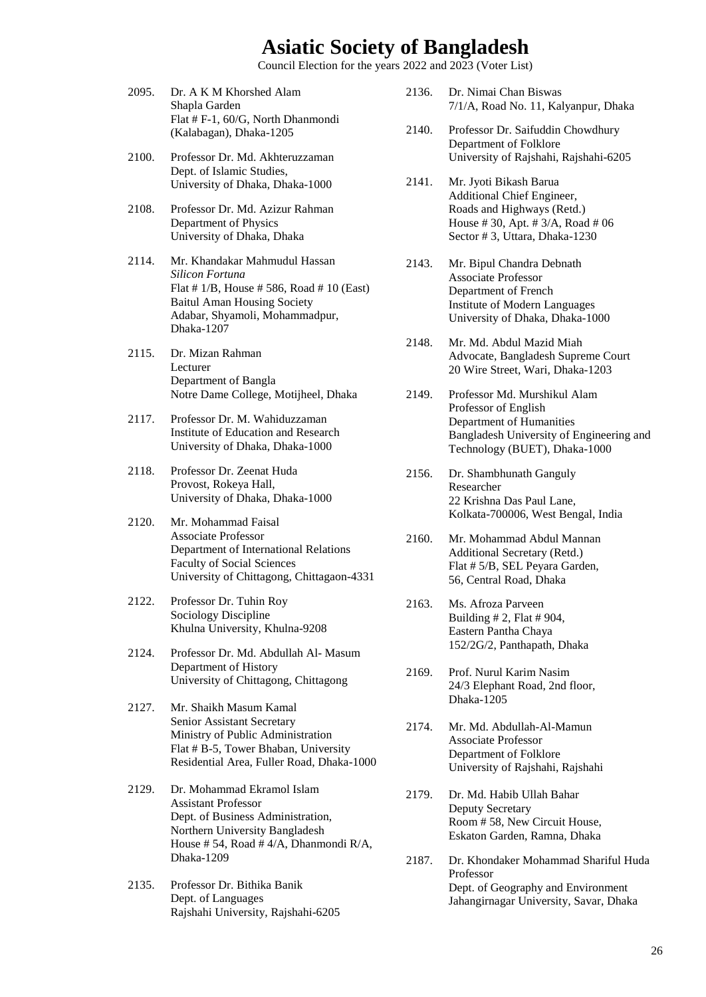- 2095. Dr. A K M Khorshed Alam Shapla Garden Flat # F-1, 60/G, North Dhanmondi (Kalabagan), Dhaka-1205
- 2100. Professor Dr. Md. Akhteruzzaman Dept. of Islamic Studies, University of Dhaka, Dhaka-1000
- 2108. Professor Dr. Md. Azizur Rahman Department of Physics University of Dhaka, Dhaka
- 2114. Mr. Khandakar Mahmudul Hassan *Silicon Fortuna*  Flat # 1/B, House # 586, Road # 10 (East) Baitul Aman Housing Society Adabar, Shyamoli, Mohammadpur, Dhaka-1207
- 2115. Dr. Mizan Rahman Lecturer Department of Bangla Notre Dame College, Motijheel, Dhaka
- 2117. Professor Dr. M. Wahiduzzaman Institute of Education and Research University of Dhaka, Dhaka-1000
- 2118. Professor Dr. Zeenat Huda Provost, Rokeya Hall, University of Dhaka, Dhaka-1000
- 2120. Mr. Mohammad Faisal Associate Professor Department of International Relations Faculty of Social Sciences University of Chittagong, Chittagaon-4331
- 2122. Professor Dr. Tuhin Roy Sociology Discipline Khulna University, Khulna-9208
- 2124. Professor Dr. Md. Abdullah Al- Masum Department of History University of Chittagong, Chittagong
- 2127. Mr. Shaikh Masum Kamal Senior Assistant Secretary Ministry of Public Administration Flat # B-5, Tower Bhaban, University Residential Area, Fuller Road, Dhaka-1000
- 2129. Dr. Mohammad Ekramol Islam Assistant Professor Dept. of Business Administration, Northern University Bangladesh House # 54, Road # 4/A, Dhanmondi R/A, Dhaka-1209
- 2135. Professor Dr. Bithika Banik Dept. of Languages Rajshahi University, Rajshahi-6205
- 2136. Dr. Nimai Chan Biswas 7/1/A, Road No. 11, Kalyanpur, Dhaka
- 2140. Professor Dr. Saifuddin Chowdhury Department of Folklore University of Rajshahi, Rajshahi-6205
- 2141. Mr. Jyoti Bikash Barua Additional Chief Engineer, Roads and Highways (Retd.) House # 30, Apt. # 3/A, Road # 06 Sector # 3, Uttara, Dhaka-1230
- 2143. Mr. Bipul Chandra Debnath Associate Professor Department of French Institute of Modern Languages University of Dhaka, Dhaka-1000
- 2148. Mr. Md. Abdul Mazid Miah Advocate, Bangladesh Supreme Court 20 Wire Street, Wari, Dhaka-1203
- 2149. Professor Md. Murshikul Alam Professor of English Department of Humanities Bangladesh University of Engineering and Technology (BUET), Dhaka-1000
- 2156. Dr. Shambhunath Ganguly Researcher 22 Krishna Das Paul Lane, Kolkata-700006, West Bengal, India
- 2160. Mr. Mohammad Abdul Mannan Additional Secretary (Retd.) Flat # 5/B, SEL Peyara Garden, 56, Central Road, Dhaka
- 2163. Ms. Afroza Parveen Building  $# 2$ , Flat  $# 904$ , Eastern Pantha Chaya 152/2G/2, Panthapath, Dhaka
- 2169. Prof. Nurul Karim Nasim 24/3 Elephant Road, 2nd floor, Dhaka-1205
- 2174. Mr. Md. Abdullah-Al-Mamun Associate Professor Department of Folklore University of Rajshahi, Rajshahi
- 2179. Dr. Md. Habib Ullah Bahar Deputy Secretary Room # 58, New Circuit House, Eskaton Garden, Ramna, Dhaka
- 2187. Dr. Khondaker Mohammad Shariful Huda Professor Dept. of Geography and Environment Jahangirnagar University, Savar, Dhaka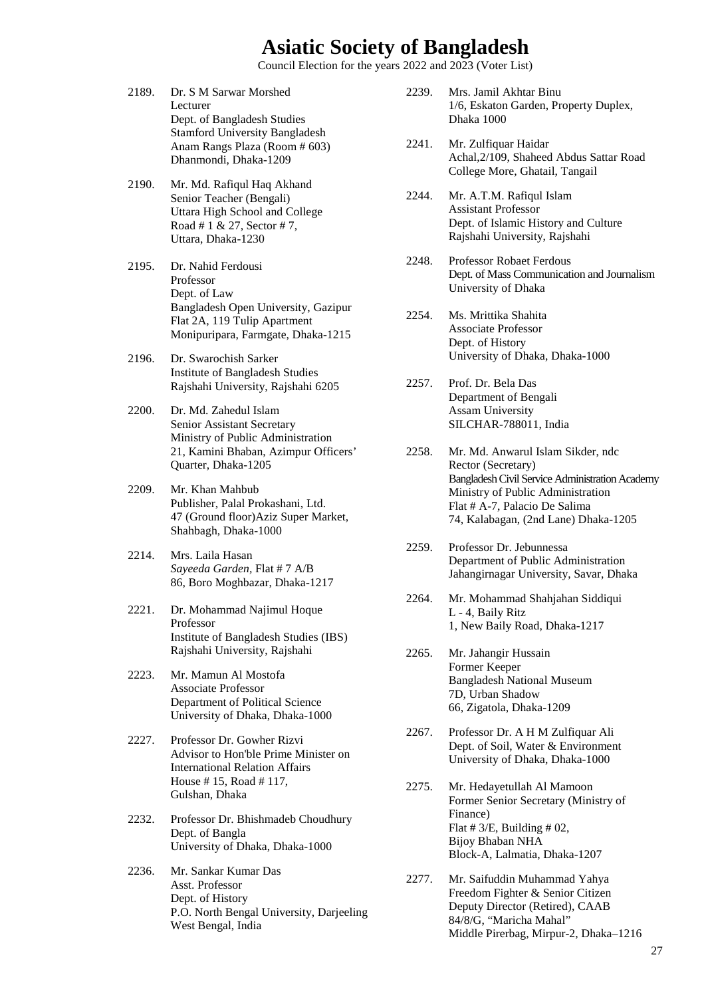- 2189. Dr. S M Sarwar Morshed Lecturer Dept. of Bangladesh Studies Stamford University Bangladesh Anam Rangs Plaza (Room # 603) Dhanmondi, Dhaka-1209
- 2190. Mr. Md. Rafiqul Haq Akhand Senior Teacher (Bengali) Uttara High School and College Road # 1 & 27, Sector # 7, Uttara, Dhaka-1230
- 2195. Dr. Nahid Ferdousi Professor Dept. of Law Bangladesh Open University, Gazipur Flat 2A, 119 Tulip Apartment Monipuripara, Farmgate, Dhaka-1215
- 2196. Dr. Swarochish Sarker Institute of Bangladesh Studies Rajshahi University, Rajshahi 6205
- 2200. Dr. Md. Zahedul Islam Senior Assistant Secretary Ministry of Public Administration 21, Kamini Bhaban, Azimpur Officers' Quarter, Dhaka-1205
- 2209. Mr. Khan Mahbub Publisher, Palal Prokashani, Ltd. 47 (Ground floor)Aziz Super Market, Shahbagh, Dhaka-1000
- 2214. Mrs. Laila Hasan *Sayeeda Garden,* Flat # 7 A/B 86, Boro Moghbazar, Dhaka-1217
- 2221. Dr. Mohammad Najimul Hoque Professor Institute of Bangladesh Studies (IBS) Rajshahi University, Rajshahi
- 2223. Mr. Mamun Al Mostofa Associate Professor Department of Political Science University of Dhaka, Dhaka-1000
- 2227. Professor Dr. Gowher Rizvi Advisor to Hon'ble Prime Minister on International Relation Affairs House # 15, Road # 117, Gulshan, Dhaka
- 2232. Professor Dr. Bhishmadeb Choudhury Dept. of Bangla University of Dhaka, Dhaka-1000
- 2236. Mr. Sankar Kumar Das Asst. Professor Dept. of History P.O. North Bengal University, Darjeeling West Bengal, India
- 2239. Mrs. Jamil Akhtar Binu 1/6, Eskaton Garden, Property Duplex, Dhaka 1000
- 2241. Mr. Zulfiquar Haidar Achal,2/109, Shaheed Abdus Sattar Road College More, Ghatail, Tangail
- 2244. Mr. A.T.M. Rafiqul Islam Assistant Professor Dept. of Islamic History and Culture Rajshahi University, Rajshahi
- 2248. Professor Robaet Ferdous Dept. of Mass Communication and Journalism University of Dhaka
- 2254. Ms. Mrittika Shahita Associate Professor Dept. of History University of Dhaka, Dhaka-1000
- 2257. Prof. Dr. Bela Das Department of Bengali Assam University SILCHAR-788011, India
- 2258. Mr. Md. Anwarul Islam Sikder, ndc Rector (Secretary) Bangladesh Civil Service Administration Academy Ministry of Public Administration Flat # A-7, Palacio De Salima 74, Kalabagan, (2nd Lane) Dhaka-1205
- 2259. Professor Dr. Jebunnessa Department of Public Administration Jahangirnagar University, Savar, Dhaka
- 2264. Mr. Mohammad Shahjahan Siddiqui L - 4, Baily Ritz 1, New Baily Road, Dhaka-1217
- 2265. Mr. Jahangir Hussain Former Keeper Bangladesh National Museum 7D, Urban Shadow 66, Zigatola, Dhaka-1209
- 2267. Professor Dr. A H M Zulfiquar Ali Dept. of Soil, Water & Environment University of Dhaka, Dhaka-1000
- 2275. Mr. Hedayetullah Al Mamoon Former Senior Secretary (Ministry of Finance) Flat  $\# 3/E$ , Building  $\# 02$ , Bijoy Bhaban NHA Block-A, Lalmatia, Dhaka-1207
- 2277. Mr. Saifuddin Muhammad Yahya Freedom Fighter & Senior Citizen Deputy Director (Retired), CAAB 84/8/G, "Maricha Mahal" Middle Pirerbag, Mirpur-2, Dhaka–1216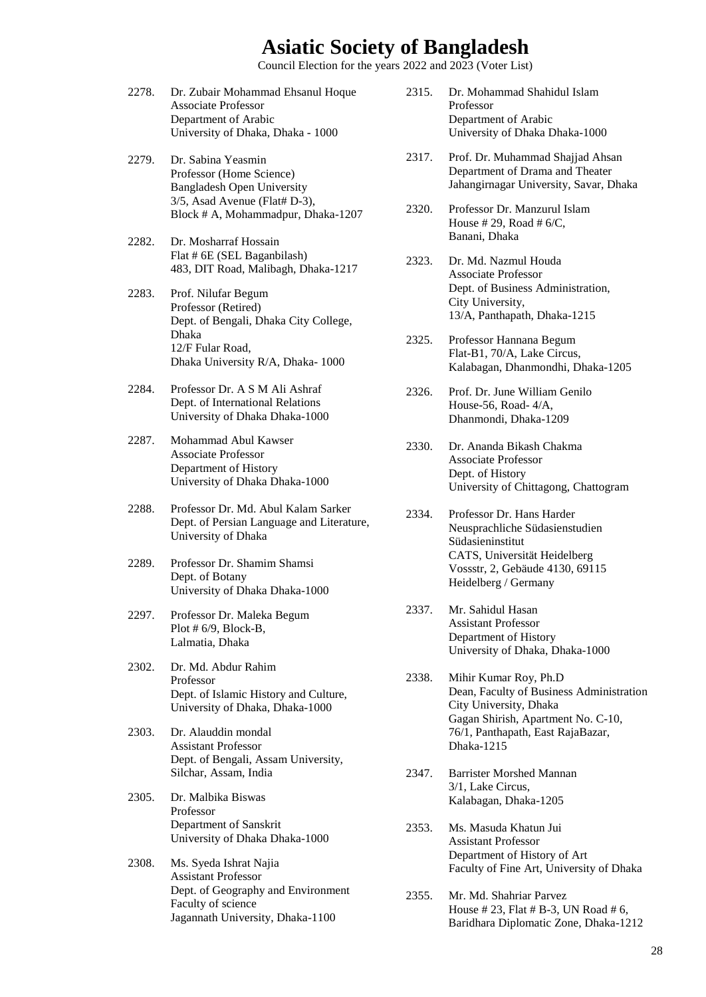- 2278. Dr. Zubair Mohammad Ehsanul Hoque Associate Professor Department of Arabic University of Dhaka, Dhaka - 1000
- 2279. Dr. Sabina Yeasmin Professor (Home Science) Bangladesh Open University 3/5, Asad Avenue (Flat# D-3), Block # A, Mohammadpur, Dhaka-1207
- 2282. Dr. Mosharraf Hossain Flat # 6E (SEL Baganbilash) 483, DIT Road, Malibagh, Dhaka-1217
- 2283. Prof. Nilufar Begum Professor (Retired) Dept. of Bengali, Dhaka City College, Dhaka 12/F Fular Road, Dhaka University R/A, Dhaka- 1000
- 2284. Professor Dr. A S M Ali Ashraf Dept. of International Relations University of Dhaka Dhaka-1000
- 2287. Mohammad Abul Kawser Associate Professor Department of History University of Dhaka Dhaka-1000
- 2288. Professor Dr. Md. Abul Kalam Sarker Dept. of Persian Language and Literature, University of Dhaka
- 2289. Professor Dr. Shamim Shamsi Dept. of Botany University of Dhaka Dhaka-1000
- 2297. Professor Dr. Maleka Begum Plot # 6/9, Block-B, Lalmatia, Dhaka
- 2302. Dr. Md. Abdur Rahim Professor Dept. of Islamic History and Culture, University of Dhaka, Dhaka-1000
- 2303. Dr. Alauddin mondal Assistant Professor Dept. of Bengali, Assam University, Silchar, Assam, India
- 2305. Dr. Malbika Biswas Professor Department of Sanskrit University of Dhaka Dhaka-1000
- 2308. Ms. Syeda Ishrat Najia Assistant Professor Dept. of Geography and Environment Faculty of science Jagannath University, Dhaka-1100
- 2315. Dr. Mohammad Shahidul Islam Professor Department of Arabic University of Dhaka Dhaka-1000
- 2317. Prof. Dr. Muhammad Shajjad Ahsan Department of Drama and Theater Jahangirnagar University, Savar, Dhaka
- 2320. Professor Dr. Manzurul Islam House  $\#$  29, Road  $\#$  6/C, Banani, Dhaka
- 2323. Dr. Md. Nazmul Houda Associate Professor Dept. of Business Administration, City University, 13/A, Panthapath, Dhaka-1215
- 2325. Professor Hannana Begum Flat-B1, 70/A, Lake Circus, Kalabagan, Dhanmondhi, Dhaka-1205
- 2326. Prof. Dr. June William Genilo House-56, Road- 4/A, Dhanmondi, Dhaka-1209
- 2330. Dr. Ananda Bikash Chakma Associate Professor Dept. of History University of Chittagong, Chattogram
- 2334. Professor Dr. Hans Harder Neusprachliche Südasienstudien Südasieninstitut CATS, Universität Heidelberg Vossstr, 2, Gebäude 4130, 69115 Heidelberg / Germany
- 2337. Mr. Sahidul Hasan Assistant Professor Department of History University of Dhaka, Dhaka-1000
- 2338. Mihir Kumar Roy, Ph.D Dean, Faculty of Business Administration City University, Dhaka Gagan Shirish, Apartment No. C-10, 76/1, Panthapath, East RajaBazar, Dhaka-1215
- 2347. Barrister Morshed Mannan 3/1, Lake Circus, Kalabagan, Dhaka-1205
- 2353. Ms. Masuda Khatun Jui Assistant Professor Department of History of Art Faculty of Fine Art, University of Dhaka
- 2355. Mr. Md. Shahriar Parvez House # 23, Flat # B-3, UN Road # 6, Baridhara Diplomatic Zone, Dhaka-1212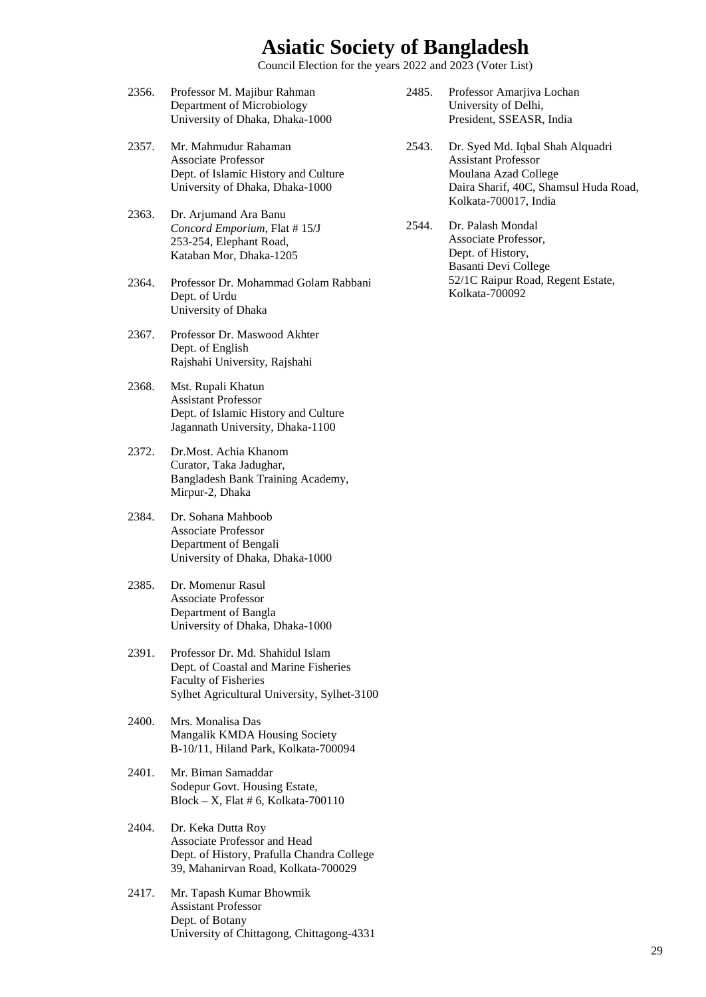- 2356. Professor M. Majibur Rahman Department of Microbiology University of Dhaka, Dhaka-1000
- 2357. Mr. Mahmudur Rahaman Associate Professor Dept. of Islamic History and Culture University of Dhaka, Dhaka-1000
- 2363. Dr. Arjumand Ara Banu *Concord Emporium*, Flat # 15/J 253-254, Elephant Road, Kataban Mor, Dhaka-1205
- 2364. Professor Dr. Mohammad Golam Rabbani Dept. of Urdu University of Dhaka
- 2367. Professor Dr. Maswood Akhter Dept. of English Rajshahi University, Rajshahi
- 2368. Mst. Rupali Khatun Assistant Professor Dept. of Islamic History and Culture Jagannath University, Dhaka-1100
- 2372. Dr.Most. Achia Khanom Curator, Taka Jadughar, Bangladesh Bank Training Academy, Mirpur-2, Dhaka
- 2384. Dr. Sohana Mahboob Associate Professor Department of Bengali University of Dhaka, Dhaka-1000
- 2385. Dr. Momenur Rasul Associate Professor Department of Bangla University of Dhaka, Dhaka-1000
- 2391. Professor Dr. Md. Shahidul Islam Dept. of Coastal and Marine Fisheries Faculty of Fisheries Sylhet Agricultural University, Sylhet-3100
- 2400. Mrs. Monalisa Das Mangalik KMDA Housing Society B-10/11, Hiland Park, Kolkata-700094
- 2401. Mr. Biman Samaddar Sodepur Govt. Housing Estate, Block – X, Flat  $# 6$ , Kolkata-700110
- 2404. Dr. Keka Dutta Roy Associate Professor and Head Dept. of History, Prafulla Chandra College 39, Mahanirvan Road, Kolkata-700029
- 2417. Mr. Tapash Kumar Bhowmik Assistant Professor Dept. of Botany University of Chittagong, Chittagong-4331
- 2485. Professor Amarjiva Lochan University of Delhi, President, SSEASR, India
- 2543. Dr. Syed Md. Iqbal Shah Alquadri Assistant Professor Moulana Azad College Daira Sharif, 40C, Shamsul Huda Road, Kolkata-700017, India
- 2544. Dr. Palash Mondal Associate Professor, Dept. of History, Basanti Devi College 52/1C Raipur Road, Regent Estate, Kolkata-700092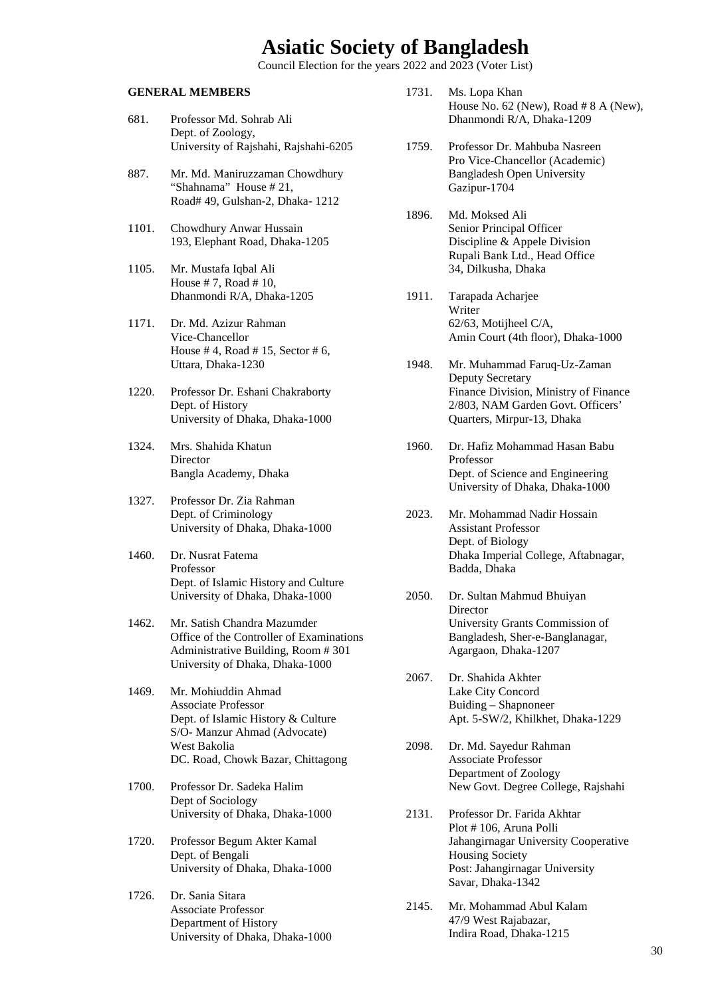Council Election for the years 2022 and 2023 (Voter List)

#### **GENERAL MEMBERS**

- 681. Professor Md. Sohrab Ali Dept. of Zoology, University of Rajshahi, Rajshahi-6205
- 887. Mr. Md. Maniruzzaman Chowdhury "Shahnama" House # 21, Road# 49, Gulshan-2, Dhaka- 1212
- 1101. Chowdhury Anwar Hussain 193, Elephant Road, Dhaka-1205
- 1105. Mr. Mustafa Iqbal Ali House # 7, Road # 10, Dhanmondi R/A, Dhaka-1205
- 1171. Dr. Md. Azizur Rahman Vice-Chancellor House # 4, Road # 15, Sector # 6, Uttara, Dhaka-1230
- 1220. Professor Dr. Eshani Chakraborty Dept. of History University of Dhaka, Dhaka-1000
- 1324. Mrs. Shahida Khatun Director Bangla Academy, Dhaka
- 1327. Professor Dr. Zia Rahman Dept. of Criminology University of Dhaka, Dhaka-1000
- 1460. Dr. Nusrat Fatema Professor Dept. of Islamic History and Culture University of Dhaka, Dhaka-1000
- 1462. Mr. Satish Chandra Mazumder Office of the Controller of Examinations Administrative Building, Room # 301 University of Dhaka, Dhaka-1000
- 1469. Mr. Mohiuddin Ahmad Associate Professor Dept. of Islamic History & Culture S/O- Manzur Ahmad (Advocate) West Bakolia DC. Road, Chowk Bazar, Chittagong
- 1700. Professor Dr. Sadeka Halim Dept of Sociology University of Dhaka, Dhaka-1000
- 1720. Professor Begum Akter Kamal Dept. of Bengali University of Dhaka, Dhaka-1000
- 1726. Dr. Sania Sitara Associate Professor Department of History University of Dhaka, Dhaka-1000
- 1731. Ms. Lopa Khan House No. 62 (New), Road # 8 A (New), Dhanmondi R/A, Dhaka-1209
- 1759. Professor Dr. Mahbuba Nasreen Pro Vice-Chancellor (Academic) Bangladesh Open University Gazipur-1704
- 1896. Md. Moksed Ali Senior Principal Officer Discipline & Appele Division Rupali Bank Ltd., Head Office 34, Dilkusha, Dhaka
- 1911. Tarapada Acharjee Writer 62/63, Motijheel C/A, Amin Court (4th floor), Dhaka-1000
- 1948. Mr. Muhammad Faruq-Uz-Zaman Deputy Secretary Finance Division, Ministry of Finance 2/803, NAM Garden Govt. Officers' Quarters, Mirpur-13, Dhaka
- 1960. Dr. Hafiz Mohammad Hasan Babu Professor Dept. of Science and Engineering University of Dhaka, Dhaka-1000
- 2023. Mr. Mohammad Nadir Hossain Assistant Professor Dept. of Biology Dhaka Imperial College, Aftabnagar, Badda, Dhaka
- 2050. Dr. Sultan Mahmud Bhuiyan Director University Grants Commission of Bangladesh, Sher-e-Banglanagar, Agargaon, Dhaka-1207
- 2067. Dr. Shahida Akhter Lake City Concord Buiding – Shapnoneer Apt. 5-SW/2, Khilkhet, Dhaka-1229
- 2098. Dr. Md. Sayedur Rahman Associate Professor Department of Zoology New Govt. Degree College, Rajshahi
- 2131. Professor Dr. Farida Akhtar Plot # 106, Aruna Polli Jahangirnagar University Cooperative Housing Society Post: Jahangirnagar University Savar, Dhaka-1342
- 2145. Mr. Mohammad Abul Kalam 47/9 West Rajabazar, Indira Road, Dhaka-1215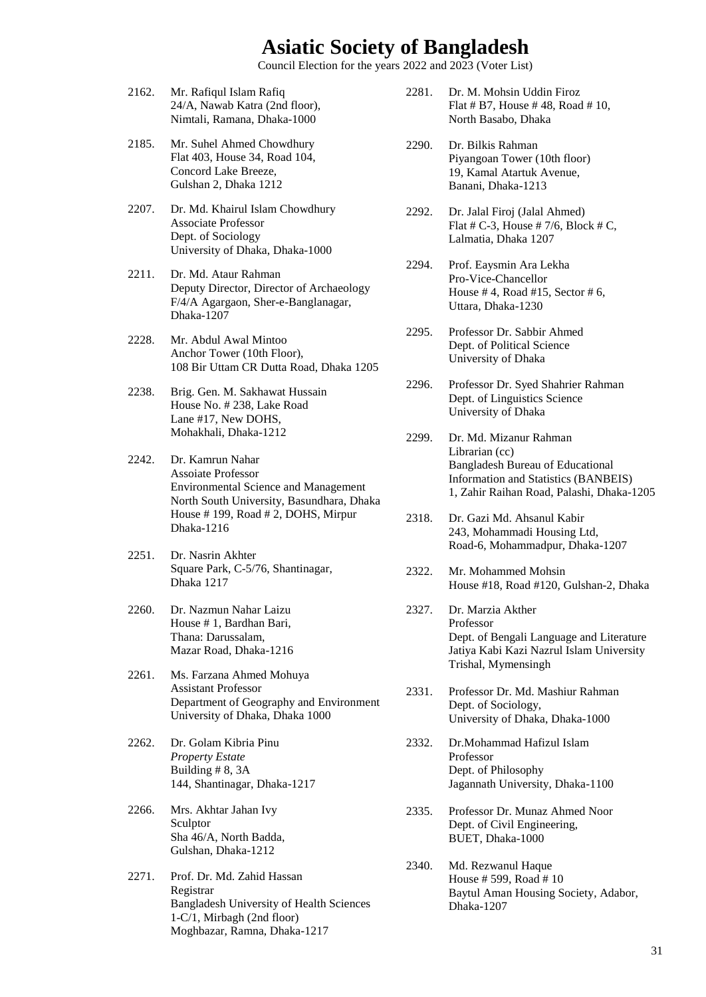- 2162. Mr. Rafiqul Islam Rafiq 24/A, Nawab Katra (2nd floor), Nimtali, Ramana, Dhaka-1000
- 2185. Mr. Suhel Ahmed Chowdhury Flat 403, House 34, Road 104, Concord Lake Breeze, Gulshan 2, Dhaka 1212
- 2207. Dr. Md. Khairul Islam Chowdhury Associate Professor Dept. of Sociology University of Dhaka, Dhaka-1000
- 2211. Dr. Md. Ataur Rahman Deputy Director, Director of Archaeology F/4/A Agargaon, Sher-e-Banglanagar, Dhaka-1207
- 2228. Mr. Abdul Awal Mintoo Anchor Tower (10th Floor), 108 Bir Uttam CR Dutta Road, Dhaka 1205
- 2238. Brig. Gen. M. Sakhawat Hussain House No. # 238, Lake Road Lane #17, New DOHS, Mohakhali, Dhaka-1212
- 2242. Dr. Kamrun Nahar Assoiate Professor Environmental Science and Management North South University, Basundhara, Dhaka House # 199, Road # 2, DOHS, Mirpur Dhaka-1216
- 2251. Dr. Nasrin Akhter Square Park, C-5/76, Shantinagar, Dhaka 1217
- 2260. Dr. Nazmun Nahar Laizu House # 1, Bardhan Bari, Thana: Darussalam, Mazar Road, Dhaka-1216
- 2261. Ms. Farzana Ahmed Mohuya Assistant Professor Department of Geography and Environment University of Dhaka, Dhaka 1000
- 2262. Dr. Golam Kibria Pinu *Property Estate* Building # 8, 3A 144, Shantinagar, Dhaka-1217
- 2266. Mrs. Akhtar Jahan Ivy Sculptor Sha 46/A, North Badda, Gulshan, Dhaka-1212
- 2271. Prof. Dr. Md. Zahid Hassan Registrar Bangladesh University of Health Sciences 1-C/1, Mirbagh (2nd floor) Moghbazar, Ramna, Dhaka-1217
- 2281. Dr. M. Mohsin Uddin Firoz Flat # B7, House # 48, Road # 10, North Basabo, Dhaka
- 2290. Dr. Bilkis Rahman Piyangoan Tower (10th floor) 19, Kamal Atartuk Avenue, Banani, Dhaka-1213
- 2292. Dr. Jalal Firoj (Jalal Ahmed) Flat # C-3, House #  $7/6$ , Block # C, Lalmatia, Dhaka 1207
- 2294. Prof. Eaysmin Ara Lekha Pro-Vice-Chancellor House # 4, Road #15, Sector # 6, Uttara, Dhaka-1230
- 2295. Professor Dr. Sabbir Ahmed Dept. of Political Science University of Dhaka
- 2296. Professor Dr. Syed Shahrier Rahman Dept. of Linguistics Science University of Dhaka
- 2299. Dr. Md. Mizanur Rahman Librarian (cc) Bangladesh Bureau of Educational Information and Statistics (BANBEIS) 1, Zahir Raihan Road, Palashi, Dhaka-1205
- 2318. Dr. Gazi Md. Ahsanul Kabir 243, Mohammadi Housing Ltd, Road-6, Mohammadpur, Dhaka-1207
- 2322. Mr. Mohammed Mohsin House #18, Road #120, Gulshan-2, Dhaka
- 2327. Dr. Marzia Akther Professor Dept. of Bengali Language and Literature Jatiya Kabi Kazi Nazrul Islam University Trishal, Mymensingh
- 2331. Professor Dr. Md. Mashiur Rahman Dept. of Sociology, University of Dhaka, Dhaka-1000
- 2332. Dr.Mohammad Hafizul Islam Professor Dept. of Philosophy Jagannath University, Dhaka-1100
- 2335. Professor Dr. Munaz Ahmed Noor Dept. of Civil Engineering, BUET, Dhaka-1000
- 2340. Md. Rezwanul Haque House # 599, Road # 10 Baytul Aman Housing Society, Adabor, Dhaka-1207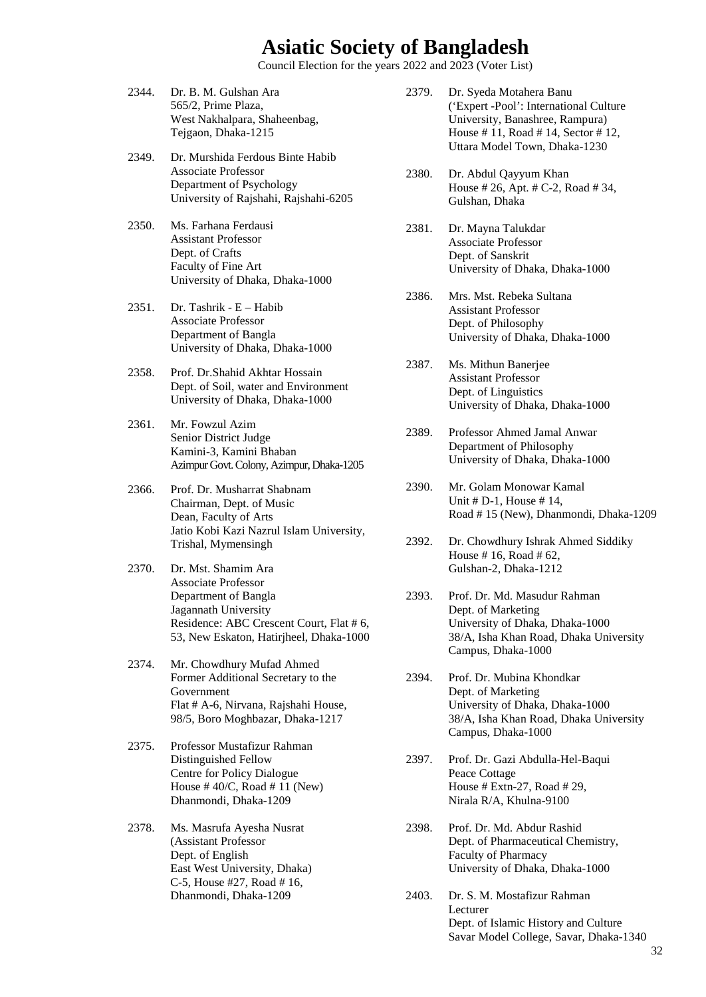- 2344. Dr. B. M. Gulshan Ara 565/2, Prime Plaza, West Nakhalpara, Shaheenbag, Tejgaon, Dhaka-1215
- 2349. Dr. Murshida Ferdous Binte Habib Associate Professor Department of Psychology University of Rajshahi, Rajshahi-6205
- 2350. Ms. Farhana Ferdausi Assistant Professor Dept. of Crafts Faculty of Fine Art University of Dhaka, Dhaka-1000
- 2351. Dr. Tashrik E Habib Associate Professor Department of Bangla University of Dhaka, Dhaka-1000
- 2358. Prof. Dr.Shahid Akhtar Hossain Dept. of Soil, water and Environment University of Dhaka, Dhaka-1000
- 2361. Mr. Fowzul Azim Senior District Judge Kamini-3, Kamini Bhaban Azimpur Govt. Colony, Azimpur, Dhaka-1205
- 2366. Prof. Dr. Musharrat Shabnam Chairman, Dept. of Music Dean, Faculty of Arts Jatio Kobi Kazi Nazrul Islam University, Trishal, Mymensingh
- 2370. Dr. Mst. Shamim Ara Associate Professor Department of Bangla Jagannath University Residence: ABC Crescent Court, Flat # 6, 53, New Eskaton, Hatirjheel, Dhaka-1000
- 2374. Mr. Chowdhury Mufad Ahmed Former Additional Secretary to the Government Flat # A-6, Nirvana, Rajshahi House, 98/5, Boro Moghbazar, Dhaka-1217
- 2375. Professor Mustafizur Rahman Distinguished Fellow Centre for Policy Dialogue House # 40/C, Road # 11 (New) Dhanmondi, Dhaka-1209
- 2378. Ms. Masrufa Ayesha Nusrat (Assistant Professor Dept. of English East West University, Dhaka) C-5, House #27, Road # 16, Dhanmondi, Dhaka-1209
- 2379. Dr. Syeda Motahera Banu ('Expert -Pool': International Culture University, Banashree, Rampura) House # 11, Road # 14, Sector # 12, Uttara Model Town, Dhaka-1230
- 2380. Dr. Abdul Qayyum Khan House # 26, Apt. # C-2, Road # 34, Gulshan, Dhaka
- 2381. Dr. Mayna Talukdar Associate Professor Dept. of Sanskrit University of Dhaka, Dhaka-1000
- 2386. Mrs. Mst. Rebeka Sultana Assistant Professor Dept. of Philosophy University of Dhaka, Dhaka-1000
- 2387. Ms. Mithun Banerjee Assistant Professor Dept. of Linguistics University of Dhaka, Dhaka-1000
- 2389. Professor Ahmed Jamal Anwar Department of Philosophy University of Dhaka, Dhaka-1000
- 2390. Mr. Golam Monowar Kamal Unit # D-1, House # 14, Road # 15 (New), Dhanmondi, Dhaka-1209
- 2392. Dr. Chowdhury Ishrak Ahmed Siddiky House # 16, Road # 62, Gulshan-2, Dhaka-1212
- 2393. Prof. Dr. Md. Masudur Rahman Dept. of Marketing University of Dhaka, Dhaka-1000 38/A, Isha Khan Road, Dhaka University Campus, Dhaka-1000
- 2394. Prof. Dr. Mubina Khondkar Dept. of Marketing University of Dhaka, Dhaka-1000 38/A, Isha Khan Road, Dhaka University Campus, Dhaka-1000
- 2397. Prof. Dr. Gazi Abdulla-Hel-Baqui Peace Cottage House # Extn-27, Road # 29, Nirala R/A, Khulna-9100
- 2398. Prof. Dr. Md. Abdur Rashid Dept. of Pharmaceutical Chemistry, Faculty of Pharmacy University of Dhaka, Dhaka-1000
- 2403. Dr. S. M. Mostafizur Rahman Lecturer Dept. of Islamic History and Culture Savar Model College, Savar, Dhaka-1340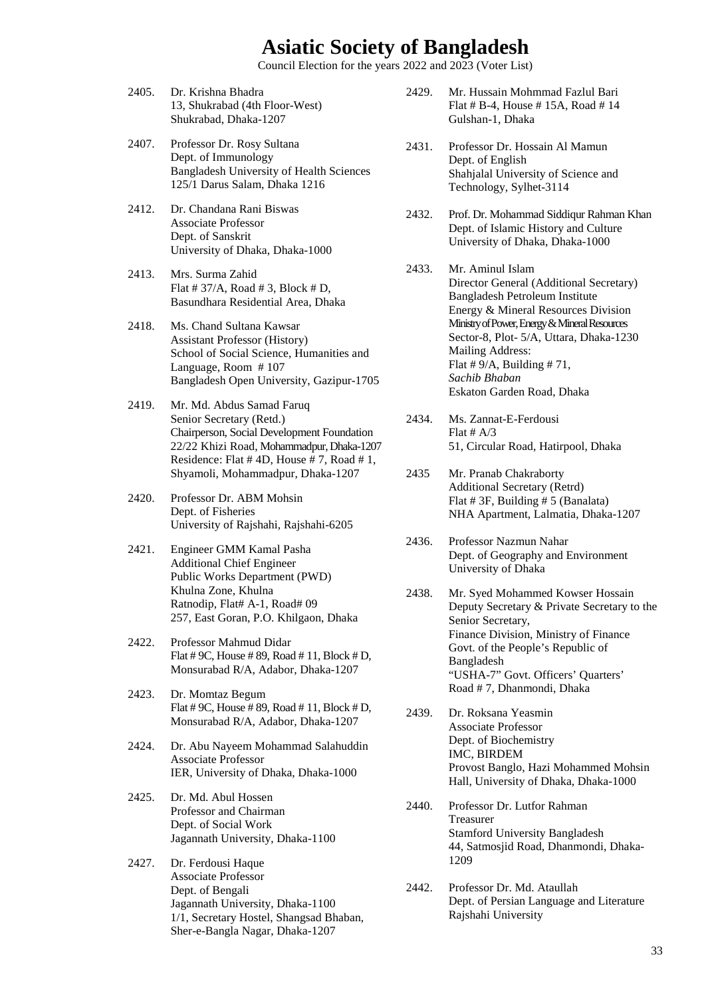- 2405. Dr. Krishna Bhadra 13, Shukrabad (4th Floor-West) Shukrabad, Dhaka-1207
- 2407. Professor Dr. Rosy Sultana Dept. of Immunology Bangladesh University of Health Sciences 125/1 Darus Salam, Dhaka 1216
- 2412. Dr. Chandana Rani Biswas Associate Professor Dept. of Sanskrit University of Dhaka, Dhaka-1000
- 2413. Mrs. Surma Zahid Flat  $\# 37/A$ , Road  $\# 3$ , Block  $\# D$ , Basundhara Residential Area, Dhaka
- 2418. Ms. Chand Sultana Kawsar Assistant Professor (History) School of Social Science, Humanities and Language, Room # 107 Bangladesh Open University, Gazipur-1705
- 2419. Mr. Md. Abdus Samad Faruq Senior Secretary (Retd.) Chairperson, Social Development Foundation 22/22 Khizi Road, Mohammadpur, Dhaka-1207 Residence: Flat # 4D, House # 7, Road # 1, Shyamoli, Mohammadpur, Dhaka-1207
- 2420. Professor Dr. ABM Mohsin Dept. of Fisheries University of Rajshahi, Rajshahi-6205
- 2421. Engineer GMM Kamal Pasha Additional Chief Engineer Public Works Department (PWD) Khulna Zone, Khulna Ratnodip, Flat# A-1, Road# 09 257, East Goran, P.O. Khilgaon, Dhaka
- 2422. Professor Mahmud Didar Flat # 9C, House # 89, Road # 11, Block # D, Monsurabad R/A, Adabor, Dhaka-1207
- 2423. Dr. Momtaz Begum Flat # 9C, House # 89, Road # 11, Block # D, Monsurabad R/A, Adabor, Dhaka-1207
- 2424. Dr. Abu Nayeem Mohammad Salahuddin Associate Professor IER, University of Dhaka, Dhaka-1000
- 2425. Dr. Md. Abul Hossen Professor and Chairman Dept. of Social Work Jagannath University, Dhaka-1100
- 2427. Dr. Ferdousi Haque Associate Professor Dept. of Bengali Jagannath University, Dhaka-1100 1/1, Secretary Hostel, Shangsad Bhaban, Sher-e-Bangla Nagar, Dhaka-1207
- 2429. Mr. Hussain Mohmmad Fazlul Bari Flat # B-4, House # 15A, Road # 14 Gulshan-1, Dhaka
- 2431. Professor Dr. Hossain Al Mamun Dept. of English Shahjalal University of Science and Technology, Sylhet-3114
- 2432. Prof. Dr. Mohammad Siddiqur Rahman Khan Dept. of Islamic History and Culture University of Dhaka, Dhaka-1000
- 2433. Mr. Aminul Islam Director General (Additional Secretary) Bangladesh Petroleum Institute Energy & Mineral Resources Division Ministry of Power, Energy & Mineral Resources Sector-8, Plot- 5/A, Uttara, Dhaka-1230 Mailing Address: Flat  $# 9/A$ , Building  $# 71$ , *Sachib Bhaban* Eskaton Garden Road, Dhaka
- 2434. Ms. Zannat-E-Ferdousi Flat  $# A/3$ 51, Circular Road, Hatirpool, Dhaka
- 2435 Mr. Pranab Chakraborty Additional Secretary (Retrd) Flat # 3F, Building # 5 (Banalata) NHA Apartment, Lalmatia, Dhaka-1207
- 2436. Professor Nazmun Nahar Dept. of Geography and Environment University of Dhaka
- 2438. Mr. Syed Mohammed Kowser Hossain Deputy Secretary & Private Secretary to the Senior Secretary, Finance Division, Ministry of Finance Govt. of the People's Republic of Bangladesh "USHA-7" Govt. Officers' Quarters' Road # 7, Dhanmondi, Dhaka
- 2439. Dr. Roksana Yeasmin Associate Professor Dept. of Biochemistry IMC, BIRDEM Provost Banglo, Hazi Mohammed Mohsin Hall, University of Dhaka, Dhaka-1000
- 2440. Professor Dr. Lutfor Rahman Treasurer Stamford University Bangladesh 44, Satmosjid Road, Dhanmondi, Dhaka-1209
- 2442. Professor Dr. Md. Ataullah Dept. of Persian Language and Literature Rajshahi University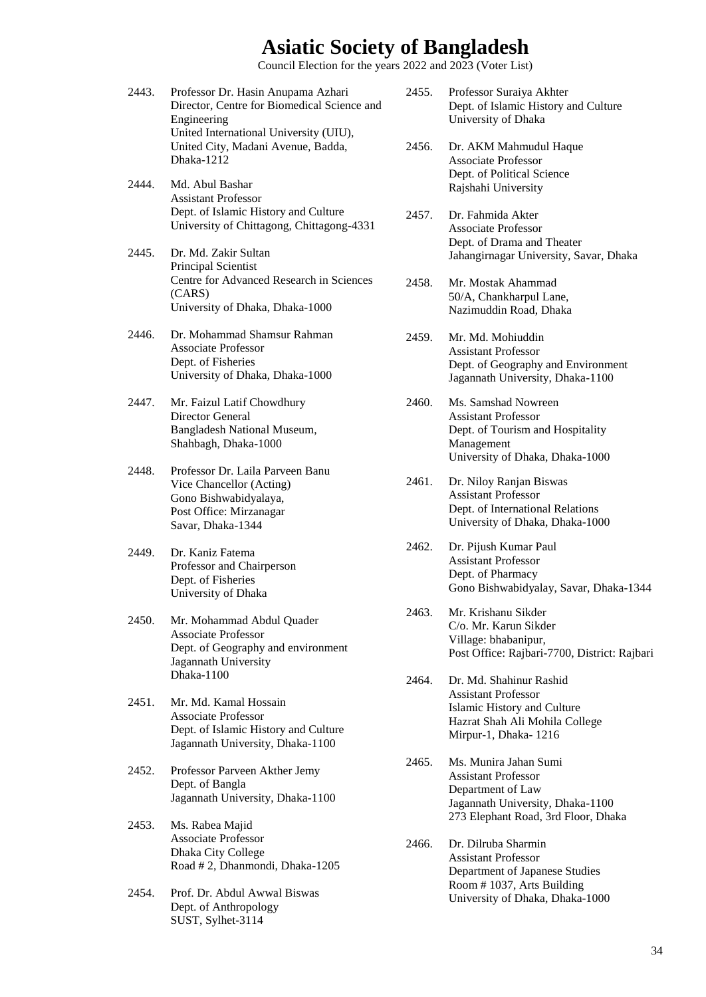- 2443. Professor Dr. Hasin Anupama Azhari Director, Centre for Biomedical Science and Engineering United International University (UIU), United City, Madani Avenue, Badda, Dhaka-1212
- 2444. Md. Abul Bashar Assistant Professor Dept. of Islamic History and Culture University of Chittagong, Chittagong-4331
- 2445. Dr. Md. Zakir Sultan Principal Scientist Centre for Advanced Research in Sciences (CARS) University of Dhaka, Dhaka-1000
- 2446. Dr. Mohammad Shamsur Rahman Associate Professor Dept. of Fisheries University of Dhaka, Dhaka-1000
- 2447. Mr. Faizul Latif Chowdhury Director General Bangladesh National Museum, Shahbagh, Dhaka-1000
- 2448. Professor Dr. Laila Parveen Banu Vice Chancellor (Acting) Gono Bishwabidyalaya, Post Office: Mirzanagar Savar, Dhaka-1344
- 2449. Dr. Kaniz Fatema Professor and Chairperson Dept. of Fisheries University of Dhaka
- 2450. Mr. Mohammad Abdul Quader Associate Professor Dept. of Geography and environment Jagannath University Dhaka-1100
- 2451. Mr. Md. Kamal Hossain Associate Professor Dept. of Islamic History and Culture Jagannath University, Dhaka-1100
- 2452. Professor Parveen Akther Jemy Dept. of Bangla Jagannath University, Dhaka-1100
- 2453. Ms. Rabea Majid Associate Professor Dhaka City College Road # 2, Dhanmondi, Dhaka-1205
- 2454. Prof. Dr. Abdul Awwal Biswas Dept. of Anthropology SUST, Sylhet-3114
- 2455. Professor Suraiya Akhter Dept. of Islamic History and Culture University of Dhaka
- 2456. Dr. AKM Mahmudul Haque Associate Professor Dept. of Political Science Rajshahi University
- 2457. Dr. Fahmida Akter Associate Professor Dept. of Drama and Theater Jahangirnagar University, Savar, Dhaka
- 2458. Mr. Mostak Ahammad 50/A, Chankharpul Lane, Nazimuddin Road, Dhaka
- 2459. Mr. Md. Mohiuddin Assistant Professor Dept. of Geography and Environment Jagannath University, Dhaka-1100
- 2460. Ms. Samshad Nowreen Assistant Professor Dept. of Tourism and Hospitality Management University of Dhaka, Dhaka-1000
- 2461. Dr. Niloy Ranjan Biswas Assistant Professor Dept. of International Relations University of Dhaka, Dhaka-1000
- 2462. Dr. Pijush Kumar Paul Assistant Professor Dept. of Pharmacy Gono Bishwabidyalay, Savar, Dhaka-1344
- 2463. Mr. Krishanu Sikder C/o. Mr. Karun Sikder Village: bhabanipur, Post Office: Rajbari-7700, District: Rajbari
- 2464. Dr. Md. Shahinur Rashid Assistant Professor Islamic History and Culture Hazrat Shah Ali Mohila College Mirpur-1, Dhaka- 1216
- 2465. Ms. Munira Jahan Sumi Assistant Professor Department of Law Jagannath University, Dhaka-1100 273 Elephant Road, 3rd Floor, Dhaka
- 2466. Dr. Dilruba Sharmin Assistant Professor Department of Japanese Studies Room # 1037, Arts Building University of Dhaka, Dhaka-1000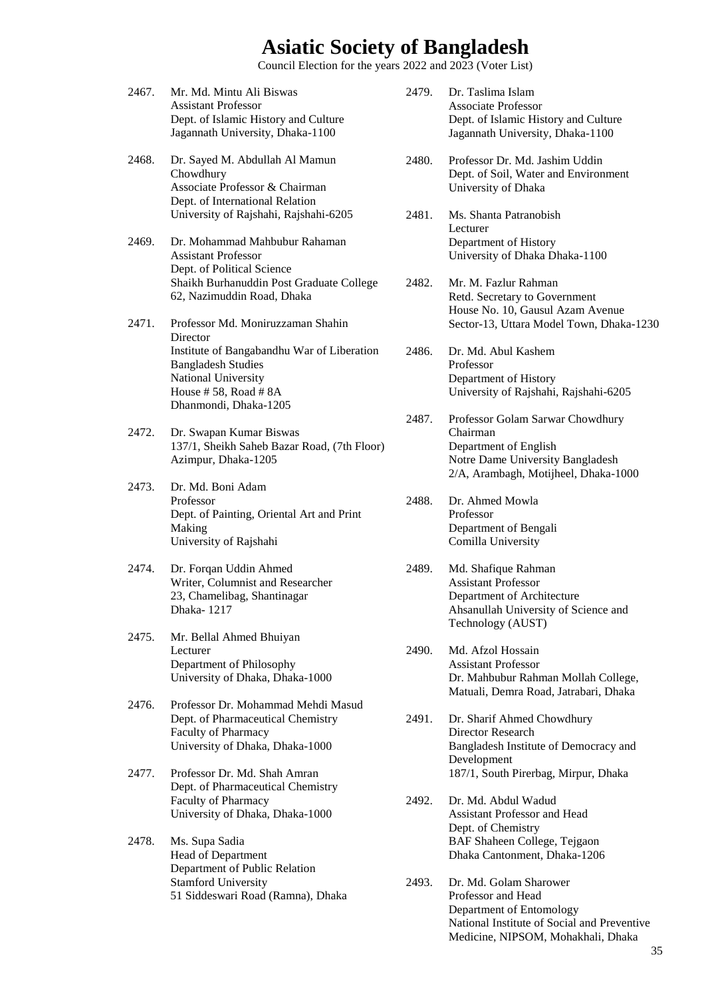- 2467. Mr. Md. Mintu Ali Biswas Assistant Professor Dept. of Islamic History and Culture Jagannath University, Dhaka-1100
- 2468. Dr. Sayed M. Abdullah Al Mamun Chowdhury Associate Professor & Chairman Dept. of International Relation University of Rajshahi, Rajshahi-6205
- 2469. Dr. Mohammad Mahbubur Rahaman Assistant Professor Dept. of Political Science Shaikh Burhanuddin Post Graduate College 62, Nazimuddin Road, Dhaka
- 2471. Professor Md. Moniruzzaman Shahin Director Institute of Bangabandhu War of Liberation Bangladesh Studies National University House # 58, Road # 8A Dhanmondi, Dhaka-1205
- 2472. Dr. Swapan Kumar Biswas 137/1, Sheikh Saheb Bazar Road, (7th Floor) Azimpur, Dhaka-1205
- 2473. Dr. Md. Boni Adam Professor Dept. of Painting, Oriental Art and Print Making University of Rajshahi
- 2474. Dr. Forqan Uddin Ahmed Writer, Columnist and Researcher 23, Chamelibag, Shantinagar Dhaka- 1217
- 2475. Mr. Bellal Ahmed Bhuiyan Lecturer Department of Philosophy University of Dhaka, Dhaka-1000
- 2476. Professor Dr. Mohammad Mehdi Masud Dept. of Pharmaceutical Chemistry Faculty of Pharmacy University of Dhaka, Dhaka-1000
- 2477. Professor Dr. Md. Shah Amran Dept. of Pharmaceutical Chemistry Faculty of Pharmacy University of Dhaka, Dhaka-1000
- 2478. Ms. Supa Sadia Head of Department Department of Public Relation Stamford University 51 Siddeswari Road (Ramna), Dhaka
- 2479. Dr. Taslima Islam Associate Professor Dept. of Islamic History and Culture Jagannath University, Dhaka-1100
- 2480. Professor Dr. Md. Jashim Uddin Dept. of Soil, Water and Environment University of Dhaka
- 2481. Ms. Shanta Patranobish Lecturer Department of History University of Dhaka Dhaka-1100
- 2482. Mr. M. Fazlur Rahman Retd. Secretary to Government House No. 10, Gausul Azam Avenue Sector-13, Uttara Model Town, Dhaka-1230
- 2486. Dr. Md. Abul Kashem Professor Department of History University of Rajshahi, Rajshahi-6205
- 2487. Professor Golam Sarwar Chowdhury Chairman Department of English Notre Dame University Bangladesh 2/A, Arambagh, Motijheel, Dhaka-1000
- 2488. Dr. Ahmed Mowla Professor Department of Bengali Comilla University
- 2489. Md. Shafique Rahman Assistant Professor Department of Architecture Ahsanullah University of Science and Technology (AUST)
- 2490. Md. Afzol Hossain Assistant Professor Dr. Mahbubur Rahman Mollah College, Matuali, Demra Road, Jatrabari, Dhaka
- 2491. Dr. Sharif Ahmed Chowdhury Director Research Bangladesh Institute of Democracy and Development 187/1, South Pirerbag, Mirpur, Dhaka
- 2492. Dr. Md. Abdul Wadud Assistant Professor and Head Dept. of Chemistry BAF Shaheen College, Tejgaon Dhaka Cantonment, Dhaka-1206
- 2493. Dr. Md. Golam Sharower Professor and Head Department of Entomology National Institute of Social and Preventive Medicine, NIPSOM, Mohakhali, Dhaka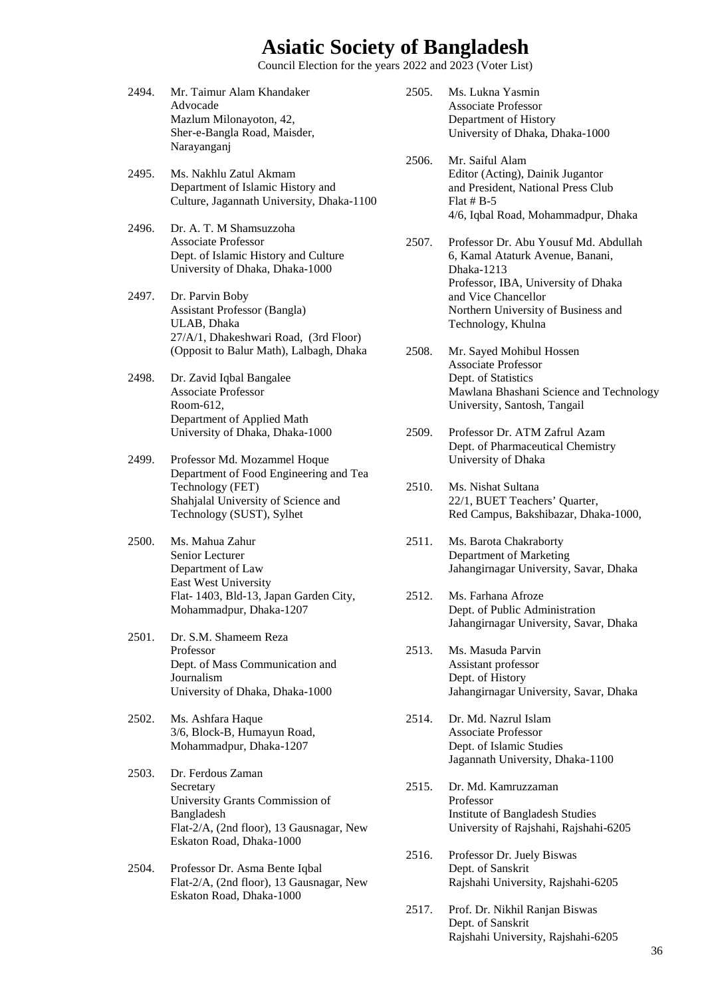- 2494. Mr. Taimur Alam Khandaker Advocade Mazlum Milonayoton, 42, Sher-e-Bangla Road, Maisder, Narayanganj
- 2495. Ms. Nakhlu Zatul Akmam Department of Islamic History and Culture, Jagannath University, Dhaka-1100
- 2496. Dr. A. T. M Shamsuzzoha Associate Professor Dept. of Islamic History and Culture University of Dhaka, Dhaka-1000
- 2497. Dr. Parvin Boby Assistant Professor (Bangla) ULAB, Dhaka 27/A/1, Dhakeshwari Road, (3rd Floor) (Opposit to Balur Math), Lalbagh, Dhaka
- 2498. Dr. Zavid Iqbal Bangalee Associate Professor Room-612, Department of Applied Math University of Dhaka, Dhaka-1000
- 2499. Professor Md. Mozammel Hoque Department of Food Engineering and Tea Technology (FET) Shahjalal University of Science and Technology (SUST), Sylhet
- 2500. Ms. Mahua Zahur Senior Lecturer Department of Law East West University Flat- 1403, Bld-13, Japan Garden City, Mohammadpur, Dhaka-1207
- 2501. Dr. S.M. Shameem Reza Professor Dept. of Mass Communication and Journalism University of Dhaka, Dhaka-1000
- 2502. Ms. Ashfara Haque 3/6, Block-B, Humayun Road, Mohammadpur, Dhaka-1207
- 2503. Dr. Ferdous Zaman Secretary University Grants Commission of Bangladesh Flat-2/A, (2nd floor), 13 Gausnagar, New Eskaton Road, Dhaka-1000
- 2504. Professor Dr. Asma Bente Iqbal Flat-2/A, (2nd floor), 13 Gausnagar, New Eskaton Road, Dhaka-1000
- 2505. Ms. Lukna Yasmin Associate Professor Department of History University of Dhaka, Dhaka-1000
- 2506. Mr. Saiful Alam Editor (Acting), Dainik Jugantor and President, National Press Club Flat  $# B-5$ 4/6, Iqbal Road, Mohammadpur, Dhaka
- 2507. Professor Dr. Abu Yousuf Md. Abdullah 6, Kamal Ataturk Avenue, Banani, Dhaka-1213 Professor, IBA, University of Dhaka and Vice Chancellor Northern University of Business and Technology, Khulna
- 2508. Mr. Sayed Mohibul Hossen Associate Professor Dept. of Statistics Mawlana Bhashani Science and Technology University, Santosh, Tangail
- 2509. Professor Dr. ATM Zafrul Azam Dept. of Pharmaceutical Chemistry University of Dhaka
- 2510. Ms. Nishat Sultana 22/1, BUET Teachers' Quarter, Red Campus, Bakshibazar, Dhaka-1000,
- 2511. Ms. Barota Chakraborty Department of Marketing Jahangirnagar University, Savar, Dhaka
- 2512. Ms. Farhana Afroze Dept. of Public Administration Jahangirnagar University, Savar, Dhaka
- 2513. Ms. Masuda Parvin Assistant professor Dept. of History Jahangirnagar University, Savar, Dhaka
- 2514. Dr. Md. Nazrul Islam Associate Professor Dept. of Islamic Studies Jagannath University, Dhaka-1100
- 2515. Dr. Md. Kamruzzaman Professor Institute of Bangladesh Studies University of Rajshahi, Rajshahi-6205
- 2516. Professor Dr. Juely Biswas Dept. of Sanskrit Rajshahi University, Rajshahi-6205
- 2517. Prof. Dr. Nikhil Ranjan Biswas Dept. of Sanskrit Rajshahi University, Rajshahi-6205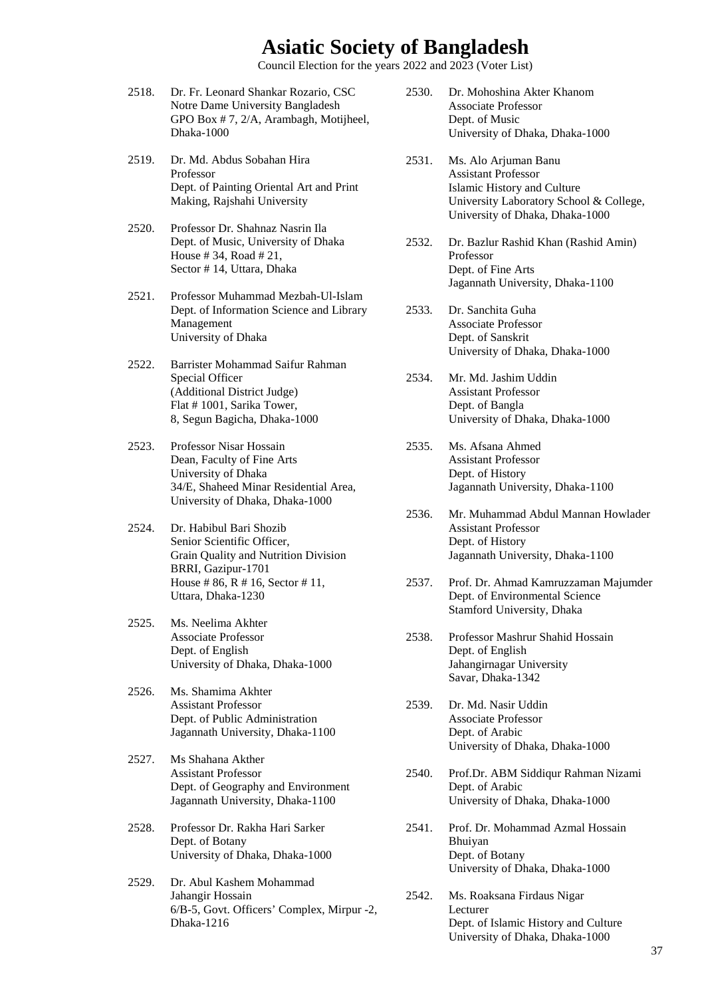- 2518. Dr. Fr. Leonard Shankar Rozario, CSC Notre Dame University Bangladesh GPO Box # 7, 2/A, Arambagh, Motijheel, Dhaka-1000
- 2519. Dr. Md. Abdus Sobahan Hira Professor Dept. of Painting Oriental Art and Print Making, Rajshahi University
- 2520. Professor Dr. Shahnaz Nasrin Ila Dept. of Music, University of Dhaka House # 34, Road # 21, Sector # 14, Uttara, Dhaka
- 2521. Professor Muhammad Mezbah-Ul-Islam Dept. of Information Science and Library Management University of Dhaka
- 2522. Barrister Mohammad Saifur Rahman Special Officer (Additional District Judge) Flat # 1001, Sarika Tower, 8, Segun Bagicha, Dhaka-1000
- 2523. Professor Nisar Hossain Dean, Faculty of Fine Arts University of Dhaka 34/E, Shaheed Minar Residential Area, University of Dhaka, Dhaka-1000
- 2524. Dr. Habibul Bari Shozib Senior Scientific Officer, Grain Quality and Nutrition Division BRRI, Gazipur-1701 House # 86, R # 16, Sector # 11, Uttara, Dhaka-1230
- 2525. Ms. Neelima Akhter Associate Professor Dept. of English University of Dhaka, Dhaka-1000
- 2526. Ms. Shamima Akhter Assistant Professor Dept. of Public Administration Jagannath University, Dhaka-1100
- 2527. Ms Shahana Akther Assistant Professor Dept. of Geography and Environment Jagannath University, Dhaka-1100
- 2528. Professor Dr. Rakha Hari Sarker Dept. of Botany University of Dhaka, Dhaka-1000
- 2529. Dr. Abul Kashem Mohammad Jahangir Hossain 6/B-5, Govt. Officers' Complex, Mirpur -2, Dhaka-1216
- 2530. Dr. Mohoshina Akter Khanom Associate Professor Dept. of Music University of Dhaka, Dhaka-1000
- 2531. Ms. Alo Arjuman Banu Assistant Professor Islamic History and Culture University Laboratory School & College, University of Dhaka, Dhaka-1000
- 2532. Dr. Bazlur Rashid Khan (Rashid Amin) Professor Dept. of Fine Arts Jagannath University, Dhaka-1100
- 2533. Dr. Sanchita Guha Associate Professor Dept. of Sanskrit University of Dhaka, Dhaka-1000
- 2534. Mr. Md. Jashim Uddin Assistant Professor Dept. of Bangla University of Dhaka, Dhaka-1000
- 2535. Ms. Afsana Ahmed Assistant Professor Dept. of History Jagannath University, Dhaka-1100
- 2536. Mr. Muhammad Abdul Mannan Howlader Assistant Professor Dept. of History Jagannath University, Dhaka-1100
- 2537. Prof. Dr. Ahmad Kamruzzaman Majumder Dept. of Environmental Science Stamford University, Dhaka
- 2538. Professor Mashrur Shahid Hossain Dept. of English Jahangirnagar University Savar, Dhaka-1342
- 2539. Dr. Md. Nasir Uddin Associate Professor Dept. of Arabic University of Dhaka, Dhaka-1000
- 2540. Prof.Dr. ABM Siddiqur Rahman Nizami Dept. of Arabic University of Dhaka, Dhaka-1000
- 2541. Prof. Dr. Mohammad Azmal Hossain Bhuiyan Dept. of Botany University of Dhaka, Dhaka-1000
- 2542. Ms. Roaksana Firdaus Nigar Lecturer Dept. of Islamic History and Culture University of Dhaka, Dhaka-1000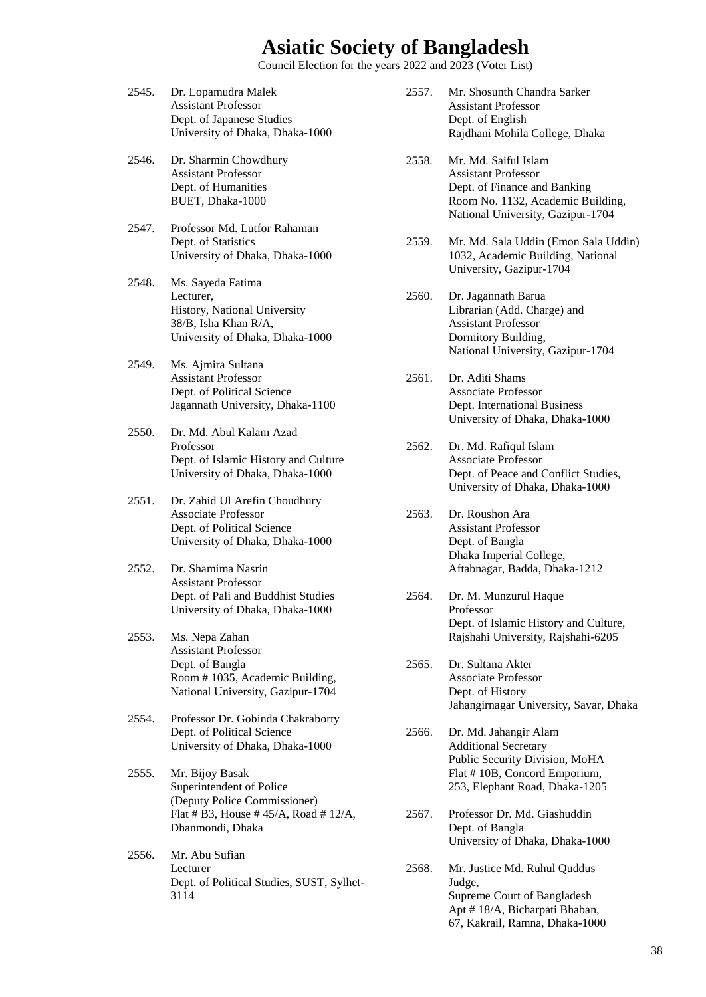- 2545. Dr. Lopamudra Malek Assistant Professor Dept. of Japanese Studies University of Dhaka, Dhaka-1000
- 2546. Dr. Sharmin Chowdhury Assistant Professor Dept. of Humanities BUET, Dhaka-1000
- 2547. Professor Md. Lutfor Rahaman Dept. of Statistics University of Dhaka, Dhaka-1000
- 2548. Ms. Sayeda Fatima Lecturer, History, National University 38/B, Isha Khan R/A, University of Dhaka, Dhaka-1000
- 2549. Ms. Ajmira Sultana Assistant Professor Dept. of Political Science Jagannath University, Dhaka-1100
- 2550. Dr. Md. Abul Kalam Azad Professor Dept. of Islamic History and Culture University of Dhaka, Dhaka-1000
- 2551. Dr. Zahid Ul Arefin Choudhury Associate Professor Dept. of Political Science University of Dhaka, Dhaka-1000
- 2552. Dr. Shamima Nasrin Assistant Professor Dept. of Pali and Buddhist Studies University of Dhaka, Dhaka-1000
- 2553. Ms. Nepa Zahan Assistant Professor Dept. of Bangla Room # 1035, Academic Building, National University, Gazipur-1704
- 2554. Professor Dr. Gobinda Chakraborty Dept. of Political Science University of Dhaka, Dhaka-1000
- 2555. Mr. Bijoy Basak Superintendent of Police (Deputy Police Commissioner) Flat # B3, House # 45/A, Road # 12/A, Dhanmondi, Dhaka
- 2556. Mr. Abu Sufian Lecturer Dept. of Political Studies, SUST, Sylhet-3114
- 2557. Mr. Shosunth Chandra Sarker Assistant Professor Dept. of English Rajdhani Mohila College, Dhaka
- 2558. Mr. Md. Saiful Islam Assistant Professor Dept. of Finance and Banking Room No. 1132, Academic Building, National University, Gazipur-1704
- 2559. Mr. Md. Sala Uddin (Emon Sala Uddin) 1032, Academic Building, National University, Gazipur-1704
- 2560. Dr. Jagannath Barua Librarian (Add. Charge) and Assistant Professor Dormitory Building, National University, Gazipur-1704
- 2561. Dr. Aditi Shams Associate Professor Dept. International Business University of Dhaka, Dhaka-1000
- 2562. Dr. Md. Rafiqul Islam Associate Professor Dept. of Peace and Conflict Studies, University of Dhaka, Dhaka-1000
- 2563. Dr. Roushon Ara Assistant Professor Dept. of Bangla Dhaka Imperial College, Aftabnagar, Badda, Dhaka-1212
- 2564. Dr. M. Munzurul Haque Professor Dept. of Islamic History and Culture, Rajshahi University, Rajshahi-6205
- 2565. Dr. Sultana Akter Associate Professor Dept. of History Jahangirnagar University, Savar, Dhaka
- 2566. Dr. Md. Jahangir Alam Additional Secretary Public Security Division, MoHA Flat # 10B, Concord Emporium, 253, Elephant Road, Dhaka-1205
- 2567. Professor Dr. Md. Giashuddin Dept. of Bangla University of Dhaka, Dhaka-1000
- 2568. Mr. Justice Md. Ruhul Quddus Judge, Supreme Court of Bangladesh Apt # 18/A, Bicharpati Bhaban, 67, Kakrail, Ramna, Dhaka-1000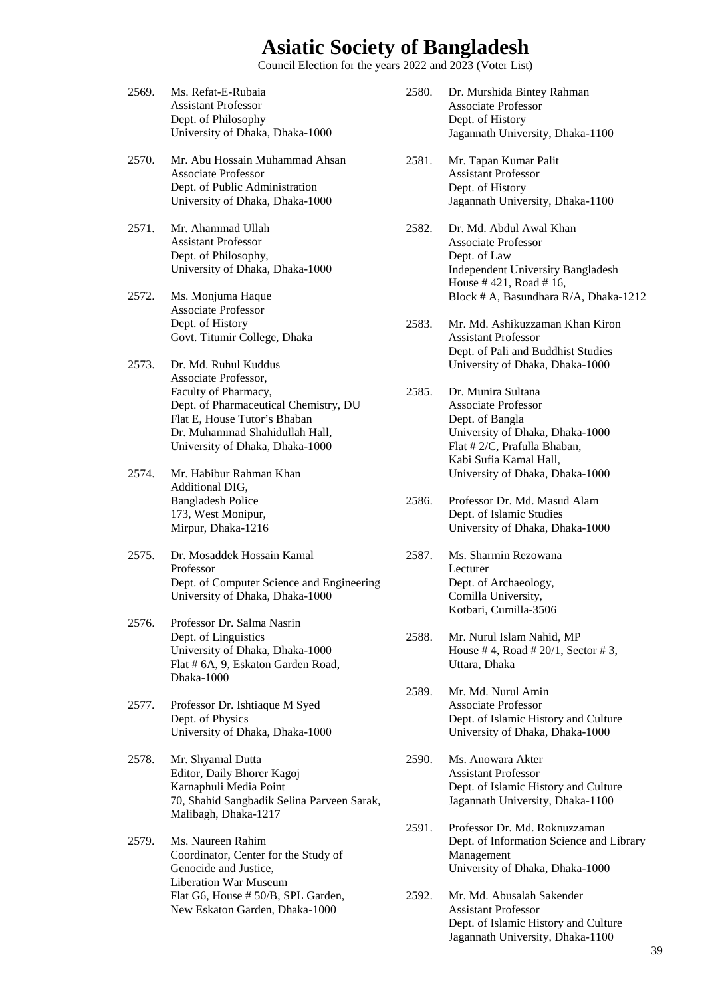- 2569. Ms. Refat-E-Rubaia Assistant Professor Dept. of Philosophy University of Dhaka, Dhaka-1000
- 2570. Mr. Abu Hossain Muhammad Ahsan Associate Professor Dept. of Public Administration University of Dhaka, Dhaka-1000
- 2571. Mr. Ahammad Ullah Assistant Professor Dept. of Philosophy, University of Dhaka, Dhaka-1000
- 2572. Ms. Monjuma Haque Associate Professor Dept. of History Govt. Titumir College, Dhaka
- 2573. Dr. Md. Ruhul Kuddus Associate Professor, Faculty of Pharmacy, Dept. of Pharmaceutical Chemistry, DU Flat E, House Tutor's Bhaban Dr. Muhammad Shahidullah Hall, University of Dhaka, Dhaka-1000
- 2574. Mr. Habibur Rahman Khan Additional DIG, Bangladesh Police 173, West Monipur, Mirpur, Dhaka-1216
- 2575. Dr. Mosaddek Hossain Kamal Professor Dept. of Computer Science and Engineering University of Dhaka, Dhaka-1000
- 2576. Professor Dr. Salma Nasrin Dept. of Linguistics University of Dhaka, Dhaka-1000 Flat # 6A, 9, Eskaton Garden Road, Dhaka-1000
- 2577. Professor Dr. Ishtiaque M Syed Dept. of Physics University of Dhaka, Dhaka-1000
- 2578. Mr. Shyamal Dutta Editor, Daily Bhorer Kagoj Karnaphuli Media Point 70, Shahid Sangbadik Selina Parveen Sarak, Malibagh, Dhaka-1217
- 2579. Ms. Naureen Rahim Coordinator, Center for the Study of Genocide and Justice, Liberation War Museum Flat G6, House # 50/B, SPL Garden, New Eskaton Garden, Dhaka-1000
- 2580. Dr. Murshida Bintey Rahman Associate Professor Dept. of History Jagannath University, Dhaka-1100
- 2581. Mr. Tapan Kumar Palit Assistant Professor Dept. of History Jagannath University, Dhaka-1100
- 2582. Dr. Md. Abdul Awal Khan Associate Professor Dept. of Law Independent University Bangladesh House # 421, Road # 16, Block # A, Basundhara R/A, Dhaka-1212
- 2583. Mr. Md. Ashikuzzaman Khan Kiron Assistant Professor Dept. of Pali and Buddhist Studies University of Dhaka, Dhaka-1000
- 2585. Dr. Munira Sultana Associate Professor Dept. of Bangla University of Dhaka, Dhaka-1000 Flat # 2/C, Prafulla Bhaban, Kabi Sufia Kamal Hall, University of Dhaka, Dhaka-1000
- 2586. Professor Dr. Md. Masud Alam Dept. of Islamic Studies University of Dhaka, Dhaka-1000
- 2587. Ms. Sharmin Rezowana Lecturer Dept. of Archaeology, Comilla University, Kotbari, Cumilla-3506
- 2588. Mr. Nurul Islam Nahid, MP House # 4, Road # 20/1, Sector # 3, Uttara, Dhaka
- 2589. Mr. Md. Nurul Amin Associate Professor Dept. of Islamic History and Culture University of Dhaka, Dhaka-1000
- 2590. Ms. Anowara Akter Assistant Professor Dept. of Islamic History and Culture Jagannath University, Dhaka-1100
- 2591. Professor Dr. Md. Roknuzzaman Dept. of Information Science and Library Management University of Dhaka, Dhaka-1000
- 2592. Mr. Md. Abusalah Sakender Assistant Professor Dept. of Islamic History and Culture Jagannath University, Dhaka-1100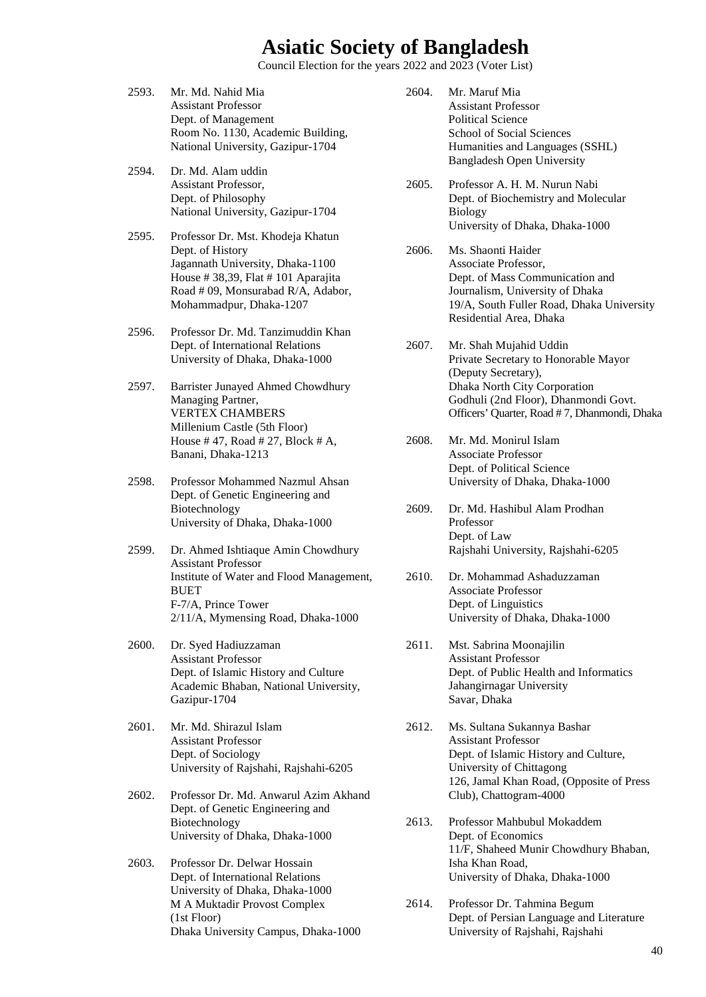- 2593. Mr. Md. Nahid Mia Assistant Professor Dept. of Management Room No. 1130, Academic Building, National University, Gazipur-1704
- 2594. Dr. Md. Alam uddin Assistant Professor, Dept. of Philosophy National University, Gazipur-1704
- 2595. Professor Dr. Mst. Khodeja Khatun Dept. of History Jagannath University, Dhaka-1100 House # 38,39, Flat # 101 Aparajita Road # 09, Monsurabad R/A, Adabor, Mohammadpur, Dhaka-1207
- 2596. Professor Dr. Md. Tanzimuddin Khan Dept. of International Relations University of Dhaka, Dhaka-1000
- 2597. Barrister Junayed Ahmed Chowdhury Managing Partner, VERTEX CHAMBERS Millenium Castle (5th Floor) House # 47, Road # 27, Block # A, Banani, Dhaka-1213
- 2598. Professor Mohammed Nazmul Ahsan Dept. of Genetic Engineering and Biotechnology University of Dhaka, Dhaka-1000
- 2599. Dr. Ahmed Ishtiaque Amin Chowdhury Assistant Professor Institute of Water and Flood Management, BUET F-7/A, Prince Tower 2/11/A, Mymensing Road, Dhaka-1000
- 2600. Dr. Syed Hadiuzzaman Assistant Professor Dept. of Islamic History and Culture Academic Bhaban, National University, Gazipur-1704
- 2601. Mr. Md. Shirazul Islam Assistant Professor Dept. of Sociology University of Rajshahi, Rajshahi-6205
- 2602. Professor Dr. Md. Anwarul Azim Akhand Dept. of Genetic Engineering and Biotechnology University of Dhaka, Dhaka-1000
- 2603. Professor Dr. Delwar Hossain Dept. of International Relations University of Dhaka, Dhaka-1000 M A Muktadir Provost Complex (1st Floor) Dhaka University Campus, Dhaka-1000
- 2604. Mr. Maruf Mia Assistant Professor Political Science School of Social Sciences Humanities and Languages (SSHL) Bangladesh Open University
- 2605. Professor A. H. M. Nurun Nabi Dept. of Biochemistry and Molecular Biology University of Dhaka, Dhaka-1000
- 2606. Ms. Shaonti Haider Associate Professor, Dept. of Mass Communication and Journalism, University of Dhaka 19/A, South Fuller Road, Dhaka University Residential Area, Dhaka
- 2607. Mr. Shah Mujahid Uddin Private Secretary to Honorable Mayor (Deputy Secretary), Dhaka North City Corporation Godhuli (2nd Floor), Dhanmondi Govt. Officers' Quarter, Road # 7, Dhanmondi, Dhaka
- 2608. Mr. Md. Monirul Islam Associate Professor Dept. of Political Science University of Dhaka, Dhaka-1000
- 2609. Dr. Md. Hashibul Alam Prodhan Professor Dept. of Law Rajshahi University, Rajshahi-6205
- 2610. Dr. Mohammad Ashaduzzaman Associate Professor Dept. of Linguistics University of Dhaka, Dhaka-1000
- 2611. Mst. Sabrina Moonajilin Assistant Professor Dept. of Public Health and Informatics Jahangirnagar University Savar, Dhaka
- 2612. Ms. Sultana Sukannya Bashar Assistant Professor Dept. of Islamic History and Culture, University of Chittagong 126, Jamal Khan Road, (Opposite of Press Club), Chattogram-4000
- 2613. Professor Mahbubul Mokaddem Dept. of Economics 11/F, Shaheed Munir Chowdhury Bhaban, Isha Khan Road, University of Dhaka, Dhaka-1000
- 2614. Professor Dr. Tahmina Begum Dept. of Persian Language and Literature University of Rajshahi, Rajshahi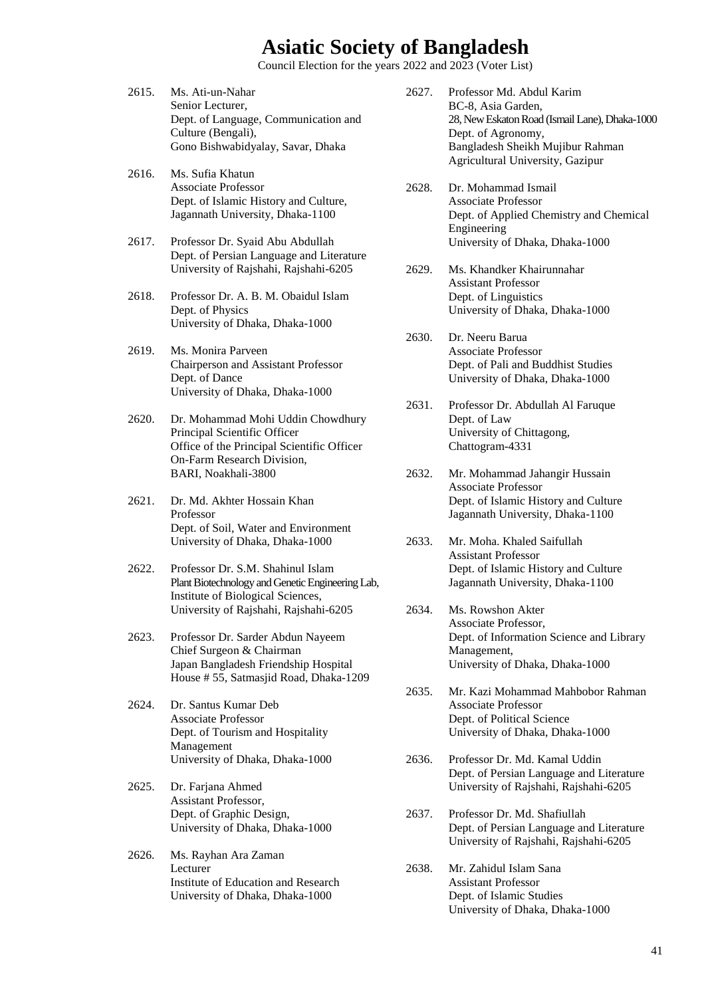- 2615. Ms. Ati-un-Nahar Senior Lecturer, Dept. of Language, Communication and Culture (Bengali), Gono Bishwabidyalay, Savar, Dhaka
- 2616. Ms. Sufia Khatun Associate Professor Dept. of Islamic History and Culture, Jagannath University, Dhaka-1100
- 2617. Professor Dr. Syaid Abu Abdullah Dept. of Persian Language and Literature University of Rajshahi, Rajshahi-6205
- 2618. Professor Dr. A. B. M. Obaidul Islam Dept. of Physics University of Dhaka, Dhaka-1000
- 2619. Ms. Monira Parveen Chairperson and Assistant Professor Dept. of Dance University of Dhaka, Dhaka-1000
- 2620. Dr. Mohammad Mohi Uddin Chowdhury Principal Scientific Officer Office of the Principal Scientific Officer On-Farm Research Division, BARI, Noakhali-3800
- 2621. Dr. Md. Akhter Hossain Khan Professor Dept. of Soil, Water and Environment University of Dhaka, Dhaka-1000
- 2622. Professor Dr. S.M. Shahinul Islam Plant Biotechnology and Genetic Engineering Lab, Institute of Biological Sciences, University of Rajshahi, Rajshahi-6205
- 2623. Professor Dr. Sarder Abdun Nayeem Chief Surgeon & Chairman Japan Bangladesh Friendship Hospital House # 55, Satmasjid Road, Dhaka-1209
- 2624. Dr. Santus Kumar Deb Associate Professor Dept. of Tourism and Hospitality Management University of Dhaka, Dhaka-1000
- 2625. Dr. Farjana Ahmed Assistant Professor, Dept. of Graphic Design, University of Dhaka, Dhaka-1000
- 2626. Ms. Rayhan Ara Zaman Lecturer Institute of Education and Research University of Dhaka, Dhaka-1000
- 2627. Professor Md. Abdul Karim BC-8, Asia Garden, 28, New Eskaton Road (Ismail Lane), Dhaka-1000 Dept. of Agronomy, Bangladesh Sheikh Mujibur Rahman Agricultural University, Gazipur
- 2628. Dr. Mohammad Ismail Associate Professor Dept. of Applied Chemistry and Chemical Engineering University of Dhaka, Dhaka-1000
- 2629. Ms. Khandker Khairunnahar Assistant Professor Dept. of Linguistics University of Dhaka, Dhaka-1000
- 2630. Dr. Neeru Barua Associate Professor Dept. of Pali and Buddhist Studies University of Dhaka, Dhaka-1000
- 2631. Professor Dr. Abdullah Al Faruque Dept. of Law University of Chittagong, Chattogram-4331
- 2632. Mr. Mohammad Jahangir Hussain Associate Professor Dept. of Islamic History and Culture Jagannath University, Dhaka-1100
- 2633. Mr. Moha. Khaled Saifullah Assistant Professor Dept. of Islamic History and Culture Jagannath University, Dhaka-1100
- 2634. Ms. Rowshon Akter Associate Professor, Dept. of Information Science and Library Management, University of Dhaka, Dhaka-1000
- 2635. Mr. Kazi Mohammad Mahbobor Rahman Associate Professor Dept. of Political Science University of Dhaka, Dhaka-1000
- 2636. Professor Dr. Md. Kamal Uddin Dept. of Persian Language and Literature University of Rajshahi, Rajshahi-6205
- 2637. Professor Dr. Md. Shafiullah Dept. of Persian Language and Literature University of Rajshahi, Rajshahi-6205
- 2638. Mr. Zahidul Islam Sana Assistant Professor Dept. of Islamic Studies University of Dhaka, Dhaka-1000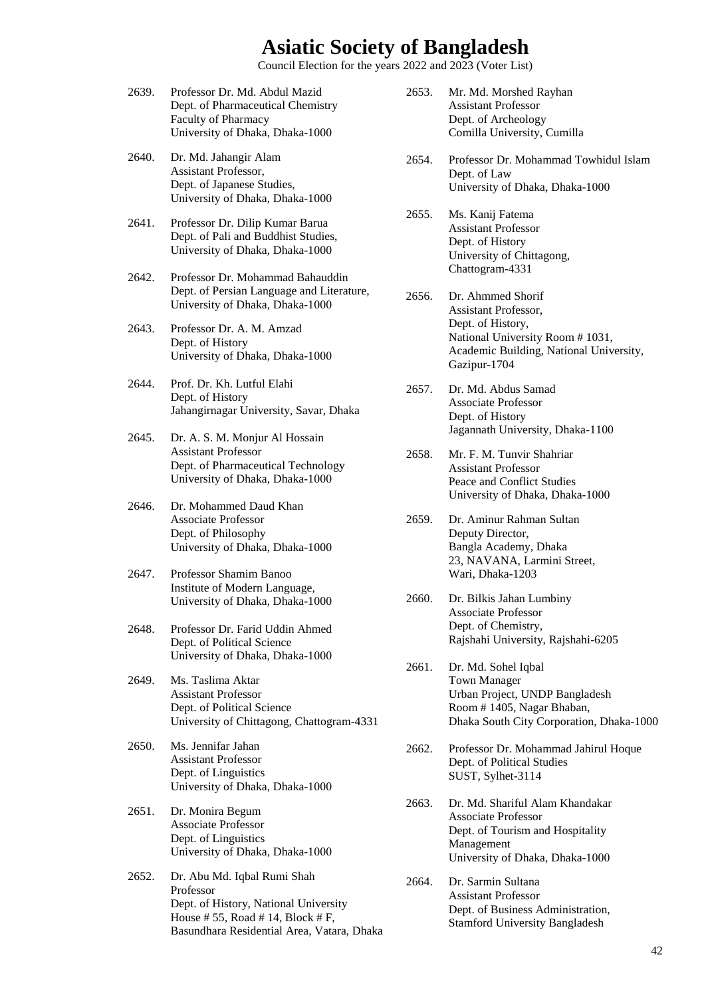- 2639. Professor Dr. Md. Abdul Mazid Dept. of Pharmaceutical Chemistry Faculty of Pharmacy University of Dhaka, Dhaka-1000
- 2640. Dr. Md. Jahangir Alam Assistant Professor, Dept. of Japanese Studies, University of Dhaka, Dhaka-1000
- 2641. Professor Dr. Dilip Kumar Barua Dept. of Pali and Buddhist Studies, University of Dhaka, Dhaka-1000
- 2642. Professor Dr. Mohammad Bahauddin Dept. of Persian Language and Literature, University of Dhaka, Dhaka-1000
- 2643. Professor Dr. A. M. Amzad Dept. of History University of Dhaka, Dhaka-1000
- 2644. Prof. Dr. Kh. Lutful Elahi Dept. of History Jahangirnagar University, Savar, Dhaka
- 2645. Dr. A. S. M. Monjur Al Hossain Assistant Professor Dept. of Pharmaceutical Technology University of Dhaka, Dhaka-1000
- 2646. Dr. Mohammed Daud Khan Associate Professor Dept. of Philosophy University of Dhaka, Dhaka-1000
- 2647. Professor Shamim Banoo Institute of Modern Language, University of Dhaka, Dhaka-1000
- 2648. Professor Dr. Farid Uddin Ahmed Dept. of Political Science University of Dhaka, Dhaka-1000
- 2649. Ms. Taslima Aktar Assistant Professor Dept. of Political Science University of Chittagong, Chattogram-4331
- 2650. Ms. Jennifar Jahan Assistant Professor Dept. of Linguistics University of Dhaka, Dhaka-1000
- 2651. Dr. Monira Begum Associate Professor Dept. of Linguistics University of Dhaka, Dhaka-1000
- 2652. Dr. Abu Md. Iqbal Rumi Shah Professor Dept. of History, National University House # 55, Road # 14, Block # F, Basundhara Residential Area, Vatara, Dhaka
- 2653. Mr. Md. Morshed Rayhan Assistant Professor Dept. of Archeology Comilla University, Cumilla
- 2654. Professor Dr. Mohammad Towhidul Islam Dept. of Law University of Dhaka, Dhaka-1000
- 2655. Ms. Kanij Fatema Assistant Professor Dept. of History University of Chittagong, Chattogram-4331
- 2656. Dr. Ahmmed Shorif Assistant Professor, Dept. of History, National University Room # 1031, Academic Building, National University, Gazipur-1704
- 2657. Dr. Md. Abdus Samad Associate Professor Dept. of History Jagannath University, Dhaka-1100
- 2658. Mr. F. M. Tunvir Shahriar Assistant Professor Peace and Conflict Studies University of Dhaka, Dhaka-1000
- 2659. Dr. Aminur Rahman Sultan Deputy Director, Bangla Academy, Dhaka 23, NAVANA, Larmini Street, Wari, Dhaka-1203
- 2660. Dr. Bilkis Jahan Lumbiny Associate Professor Dept. of Chemistry, Rajshahi University, Rajshahi-6205
- 2661. Dr. Md. Sohel Iqbal Town Manager Urban Project, UNDP Bangladesh Room # 1405, Nagar Bhaban, Dhaka South City Corporation, Dhaka-1000
- 2662. Professor Dr. Mohammad Jahirul Hoque Dept. of Political Studies SUST, Sylhet-3114
- 2663. Dr. Md. Shariful Alam Khandakar Associate Professor Dept. of Tourism and Hospitality Management University of Dhaka, Dhaka-1000
- 2664. Dr. Sarmin Sultana Assistant Professor Dept. of Business Administration, Stamford University Bangladesh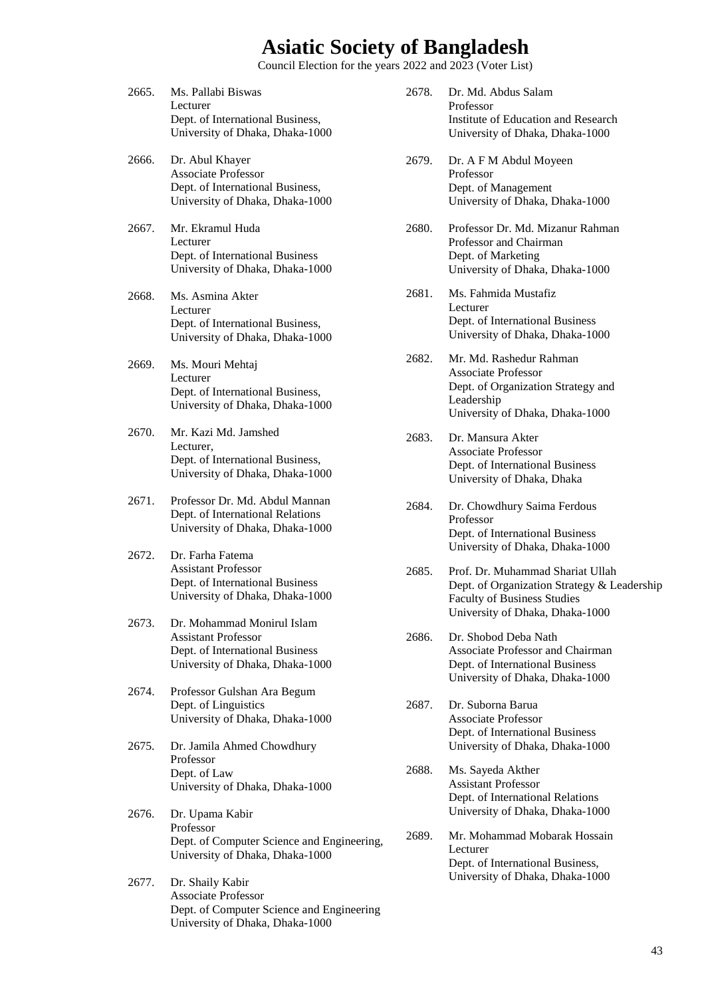- 2665. Ms. Pallabi Biswas Lecturer Dept. of International Business, University of Dhaka, Dhaka-1000
- 2666. Dr. Abul Khayer Associate Professor Dept. of International Business, University of Dhaka, Dhaka-1000
- 2667. Mr. Ekramul Huda Lecturer Dept. of International Business University of Dhaka, Dhaka-1000
- 2668. Ms. Asmina Akter Lecturer Dept. of International Business, University of Dhaka, Dhaka-1000
- 2669. Ms. Mouri Mehtaj Lecturer Dept. of International Business, University of Dhaka, Dhaka-1000
- 2670. Mr. Kazi Md. Jamshed Lecturer, Dept. of International Business, University of Dhaka, Dhaka-1000
- 2671. Professor Dr. Md. Abdul Mannan Dept. of International Relations University of Dhaka, Dhaka-1000
- 2672. Dr. Farha Fatema Assistant Professor Dept. of International Business University of Dhaka, Dhaka-1000
- 2673. Dr. Mohammad Monirul Islam Assistant Professor Dept. of International Business University of Dhaka, Dhaka-1000
- 2674. Professor Gulshan Ara Begum Dept. of Linguistics University of Dhaka, Dhaka-1000
- 2675. Dr. Jamila Ahmed Chowdhury Professor Dept. of Law University of Dhaka, Dhaka-1000
- 2676. Dr. Upama Kabir Professor Dept. of Computer Science and Engineering, University of Dhaka, Dhaka-1000
- 2677. Dr. Shaily Kabir Associate Professor Dept. of Computer Science and Engineering University of Dhaka, Dhaka-1000
- 2678. Dr. Md. Abdus Salam Professor Institute of Education and Research University of Dhaka, Dhaka-1000
- 2679. Dr. A F M Abdul Moyeen Professor Dept. of Management University of Dhaka, Dhaka-1000
- 2680. Professor Dr. Md. Mizanur Rahman Professor and Chairman Dept. of Marketing University of Dhaka, Dhaka-1000
- 2681. Ms. Fahmida Mustafiz Lecturer Dept. of International Business University of Dhaka, Dhaka-1000
- 2682. Mr. Md. Rashedur Rahman Associate Professor Dept. of Organization Strategy and Leadership University of Dhaka, Dhaka-1000
- 2683. Dr. Mansura Akter Associate Professor Dept. of International Business University of Dhaka, Dhaka
- 2684. Dr. Chowdhury Saima Ferdous Professor Dept. of International Business University of Dhaka, Dhaka-1000
- 2685. Prof. Dr. Muhammad Shariat Ullah Dept. of Organization Strategy & Leadership Faculty of Business Studies University of Dhaka, Dhaka-1000
- 2686. Dr. Shobod Deba Nath Associate Professor and Chairman Dept. of International Business University of Dhaka, Dhaka-1000
- 2687. Dr. Suborna Barua Associate Professor Dept. of International Business University of Dhaka, Dhaka-1000
- 2688. Ms. Sayeda Akther Assistant Professor Dept. of International Relations University of Dhaka, Dhaka-1000
- 2689. Mr. Mohammad Mobarak Hossain Lecturer Dept. of International Business, University of Dhaka, Dhaka-1000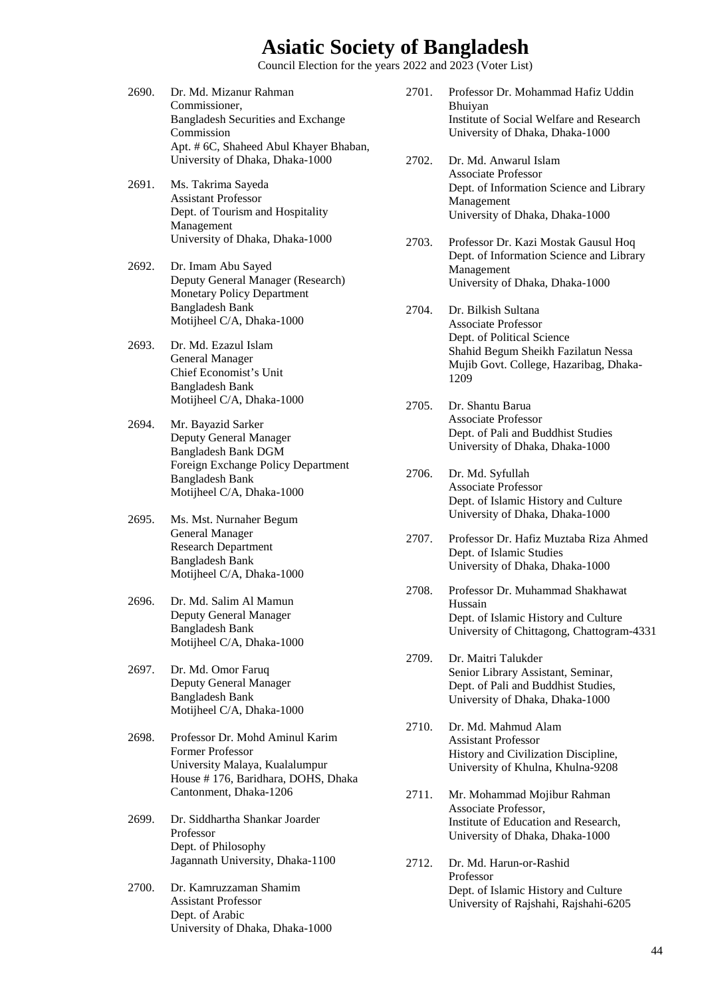- 2690. Dr. Md. Mizanur Rahman Commissioner, Bangladesh Securities and Exchange Commission Apt. # 6C, Shaheed Abul Khayer Bhaban, University of Dhaka, Dhaka-1000
- 2691. Ms. Takrima Sayeda Assistant Professor Dept. of Tourism and Hospitality Management University of Dhaka, Dhaka-1000
- 2692. Dr. Imam Abu Sayed Deputy General Manager (Research) Monetary Policy Department Bangladesh Bank Motijheel C/A, Dhaka-1000
- 2693. Dr. Md. Ezazul Islam General Manager Chief Economist's Unit Bangladesh Bank Motijheel C/A, Dhaka-1000
- 2694. Mr. Bayazid Sarker Deputy General Manager Bangladesh Bank DGM Foreign Exchange Policy Department Bangladesh Bank Motijheel C/A, Dhaka-1000
- 2695. Ms. Mst. Nurnaher Begum General Manager Research Department Bangladesh Bank Motijheel C/A, Dhaka-1000
- 2696. Dr. Md. Salim Al Mamun Deputy General Manager Bangladesh Bank Motijheel C/A, Dhaka-1000
- 2697. Dr. Md. Omor Faruq Deputy General Manager Bangladesh Bank Motijheel C/A, Dhaka-1000
- 2698. Professor Dr. Mohd Aminul Karim Former Professor University Malaya, Kualalumpur House # 176, Baridhara, DOHS, Dhaka Cantonment, Dhaka-1206
- 2699. Dr. Siddhartha Shankar Joarder Professor Dept. of Philosophy Jagannath University, Dhaka-1100
- 2700. Dr. Kamruzzaman Shamim Assistant Professor Dept. of Arabic University of Dhaka, Dhaka-1000
- 2701. Professor Dr. Mohammad Hafiz Uddin Bhuiyan Institute of Social Welfare and Research University of Dhaka, Dhaka-1000
- 2702. Dr. Md. Anwarul Islam Associate Professor Dept. of Information Science and Library Management University of Dhaka, Dhaka-1000
- 2703. Professor Dr. Kazi Mostak Gausul Hoq Dept. of Information Science and Library Management University of Dhaka, Dhaka-1000
- 2704. Dr. Bilkish Sultana Associate Professor Dept. of Political Science Shahid Begum Sheikh Fazilatun Nessa Mujib Govt. College, Hazaribag, Dhaka-1209
- 2705. Dr. Shantu Barua Associate Professor Dept. of Pali and Buddhist Studies University of Dhaka, Dhaka-1000
- 2706. Dr. Md. Syfullah Associate Professor Dept. of Islamic History and Culture University of Dhaka, Dhaka-1000
- 2707. Professor Dr. Hafiz Muztaba Riza Ahmed Dept. of Islamic Studies University of Dhaka, Dhaka-1000
- 2708. Professor Dr. Muhammad Shakhawat Hussain Dept. of Islamic History and Culture University of Chittagong, Chattogram-4331
- 2709. Dr. Maitri Talukder Senior Library Assistant, Seminar, Dept. of Pali and Buddhist Studies, University of Dhaka, Dhaka-1000
- 2710. Dr. Md. Mahmud Alam Assistant Professor History and Civilization Discipline, University of Khulna, Khulna-9208
- 2711. Mr. Mohammad Mojibur Rahman Associate Professor, Institute of Education and Research, University of Dhaka, Dhaka-1000
- 2712. Dr. Md. Harun-or-Rashid Professor Dept. of Islamic History and Culture University of Rajshahi, Rajshahi-6205